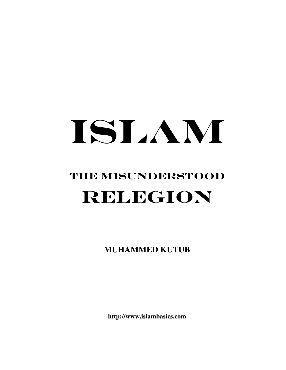# ISLAM

## THE MISUNDERSTOOD RELEGION

**MUHAMMED KUTUB** 

**http://www.islambasics.com**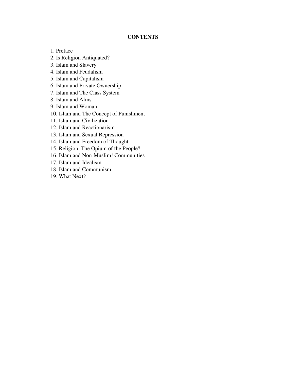### **CONTENTS**

- 1. Preface
- 2. Is Religion Antiquated?
- 3. Islam and Slavery
- 4. Islam and Feudalism
- 5. Islam and Capitalism
- 6. Islam and Private Ownership
- 7. Islam and The Class System
- 8. Islam and Alms
- 9. Islam and Woman
- 10. Islam and The Concept of Punishment
- 11. Islam and Civilization
- 12. Islam and Reactionarism
- 13. Islam and Sexual Repression
- 14. Islam and Freedom of Thought
- 15. Religion: The Opium of the People?
- 16. Islam and Non-Muslim! Communities
- 17. Islam and Idealism
- 18. Islam and Communism
- 19. What Next?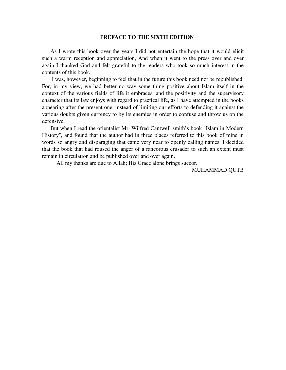#### P**REFACE TO THE SIXTH EDITION**

As I wrote this book over the years I did not entertain the hope that it would elicit such a warm reception and appreciation, And when it went to the press over and over again I thanked God and felt grateful to the readers who took so much interest in the contents of this book.

 I was, however, beginning to feel that in the future this book need not be republished, For, in my view, we had better no way some thing positive about Islam itself in the context of the various fields of life it embraces, and the positivity and the supervisory character that its law enjoys with regard to practical life, as I have attempted in the books appearing after the present one, instead of limiting our efforts to defending it against the various doubts given currency to by its enemies in order to confuse and throw us on the defensive.

But when I read the orientalist Mr. Wilfred Cantwell smith's book "Islam in Modern History", and found that the author had in three places referred to this book of mine in words so angry and disparaging that came very near to openly calling names. I decided that the book that had roused the anger of a rancorous crusader to such an extent must remain in circulation and be published over and over again.

All my thanks are due to Allah; His Grace alone brings succor.

#### MUHAMMAD QUTB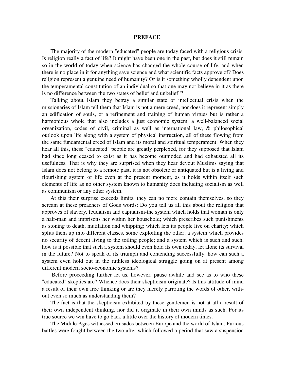#### **PREFACE**

The majority of the modern "educated" people are today faced with a religious crisis. Is religion really a fact of life? It might have been one in the past, but does it still remain so in the world of today when science has changed the whole course of life, and when there is no place in it for anything save science and what scientific facts approve of? Does religion represent a genuine need of humanity? Or is it something wholly dependent upon the temperamental constitution of an individual so that one may not believe in it as there is no difference between the two states of belief and unbelief '?

Talking about Islam they betray a similar state of intellectual crisis when the missionaries of Islam tell them that Islam is not a mere creed, nor does it represent simply an edification of souls, or a refinement and training of human virtues but is rather a harmonious whole that also includes a just economic system, a well-balanced social organization, codes of civil, criminal as well as international law, & philosophical outlook upon life along with a system of physical instruction, all of these flowing from the same fundamental creed of Islam and its moral and spiritual temperament. When they hear all this, these "educated" people are greatly perplexed, for they supposed that Islam had since long ceased to exist as it has become outmoded and had exhausted all its usefulness. That is why they are surprised when they hear devout Muslims saying that Islam does not belong to a remote past, it is not obsolete or antiquated but is a living and flourishing system of life even at the present moment, as it holds within itself such elements of life as no other system known to humanity does including socialism as well as communism or any other system.

At this their surprise exceeds limits, they can no more contain themselves, so they scream at these preachers of Gods words: Do you tell us all this about the religion that approves of slavery, feudalism and capitalism-the system which holds that woman is only a half-man and imprisons her within her household; which prescribes such punishments as stoning to death, mutilation and whipping; which lets its people live on charity; which splits them up into different classes, some exploiting the other; a system which provides no security of decent living to the toiling people; and a system which is such and such, how is it possible that such a system should even hold its own today, let alone its survival in the future? Not to speak of its triumph and contending successfully, how can such a system even hold out in the ruthless ideological struggle going on at present among different modern socio-economic systems?

 Before proceeding further let us, however, pause awhile and see as to who these "educated" skeptics are? Whence does their skepticism originate? Is this attitude of mind a result of their own free thinking or are they merely parroting the words of other, without even so much as understanding them?

The fact is that the skepticism exhibited by these gentlemen is not at all a result of their own independent thinking, nor did it originate in their own minds as such. For its true source we win have to go back a little over the history of modern times.

The Middle Ages witnessed crusades between Europe and the world of Islam. Furious battles were fought between the two after which followed a period that saw a suspension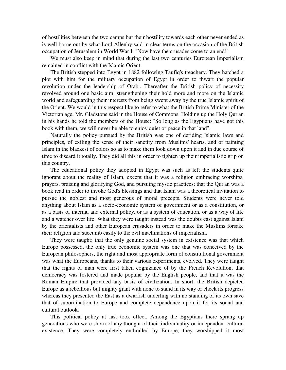of hostilities between the two camps but their hostility towards each other never ended as is well borne out by what Lord Allenby said in clear terms on the occasion of the British occupation of Jerusalem in World War I: "Now have the crusades come to an end!'

We must also keep in mind that during the last two centuries European imperialism remained in conflict with the Islamic Orient.

The British stepped into Egypt in 1882 following Taufiq's treachery. They hatched a plot with him for the military occupation of Egypt in order to thwart the popular revolution under the leadership of Orabi. Thereafter the British policy of necessity revolved around one basic aim: strengthening their hold more and more on the Islamic world and safeguarding their interests from being swept away by the true Islamic spirit of the Orient. We would in this respect like to refer to what the British Prime Minister of the Victorian age, Mr. Gladstone said in the House of Commons. Holding up the Holy Qur'an in his hands he told the members of the House: "So long as the Egyptians have got this book with them, we will never be able to enjoy quiet or peace in that land".

Naturally the policy pursued by the British was one of deriding Islamic laws and principles, of exiling the sense of their sanctity from Muslims' hearts, and of painting Islam in the blackest of colors so as to make them look down upon it and in due course of time to discard it totally. They did all this in order to tighten up their imperialistic grip on this country.

The educational policy they adopted in Egypt was such as left the students quite ignorant about the reality of Islam, except that it was a religion embracing worships, prayers, praising and glorifying God, and pursuing mystic practices; that the Qur'an was a book read in order to invoke God's blessings and that Islam was a theoretical invitation to pursue the noblest and most generous of moral precepts. Students were never told anything about Islam as a socio-economic system of government or as a constitution, or as a basis of internal and external policy, or as a system of education, or as a way of life and a watcher over life. What they were taught instead was the doubts cast against Islam by the orientalists and other European crusaders in order to make the Muslims forsake their religion and succumb easily to the evil machinations of imperialism.

They were taught; that the only genuine social system in existence was that which Europe possessed, the only true economic system was one that was conceived by the European philosophers, the right and most appropriate form of constitutional government was what the Europeans, thanks to their various experiments, evolved. They were taught that the rights of man were first taken cognizance of by the French Revolution, that democracy was fostered and made popular by the English people, and that it was the Roman Empire that provided any basis of civilization. In short, the British depicted Europe as a rebellious but mighty giant with none to stand in its way or check its progress whereas they presented the East as a dwarfish underling with no standing of its own save that of subordination to Europe and complete dependence upon it for its social and cultural outlook.

This political policy at last took effect. Among the Egyptians there sprang up generations who were shorn of any thought of their individuality or independent cultural existence. They were completely enthralled by Europe; they worshipped it most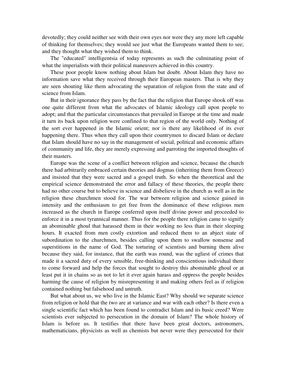devotedly; they could neither see with their own eyes nor were they any more left capable of thinking for themselves; they would see just what the Europeans wanted them to see; and they thought what they wished them to think.

The "educated" intelligentsia of today represents as such the culminating point of what the imperialists with their political maneuvers achieved in-this country.

These poor people know nothing about Islam but doubt. About Islam they have no information save what they received through their European masters. That is why they are seen shouting like them advocating the separation of religion from the state and of science from Islam.

But in their ignorance they pass by the fact that the religion that Europe shook off was one quite different from what the advocates of Islamic ideology call upon people to adopt; and that the particular circumstances that prevailed in Europe at the time and made it turn its back upon religion were confined to that region of the world only. Nothing of the sort ever happened in the Islamic orient; nor is there any likelihood of its ever happening there. Thus when they call upon their countrymen to discard Islam or declare that Islam should have no say in the management of social, political and economic affairs of community and life, they are merely expressing and parroting the imported thoughts of their masters.

Europe was the scene of a conflict between religion and science, because the church there had arbitrarily embraced certain theories and dogmas (inheriting them from Greece) and insisted that they were sacred and a gospel truth. So when the theoretical and the empirical science demonstrated the error and fallacy of these theories, the people there had no other course but to believe in science and disbelieve in the church as well as in the religion these churchmen stood for. The war between religion and science gained in intensity and the enthusiasm to get free from the dominance of these religious men increased as the church in Europe conferred upon itself divine power and proceeded to enforce it in a most tyrannical manner. Thus for the people there religion came to signify an abominable ghoul that harassed them in their working no less than in their sleeping hours. It exacted from men costly extortion and reduced them to an abject state of subordination to the churchmen, besides calling upon them to swallow nonsense and superstitions in the name of God. The torturing of scientists and burning them alive because they said, for instance, that the earth was round, was the ugliest of crimes that made it a sacred duty of every sensible, free-thinking and conscientious individual there to come forward and help the forces that sought to destroy this abominable ghoul or at least put it in chains so as not to let it ever again harass and oppress the people besides harming the cause of religion by misrepresenting it and making others feel as if religion contained nothing but falsehood and untruth.

But what about us, we who live in the Islamic East? Why should we separate science from religion or hold that the two are at variance and war with each other? Is there even a single scientific fact which has been found to contradict Islam and its basic creed? Were scientists ever subjected to persecution in the domain of Islam? The whole history of Islam is before us. It testifies that there have been great doctors, astronomers, mathematicians, physicists as well as chemists but never were they persecuted for their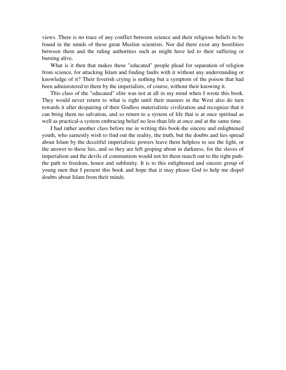views. There is no trace of any conflict between science and their religious beliefs to be found in the minds of these great Muslim scientists. Nor did there exist any hostilities between them and the ruling authorities such as might have led to their suffering or burning alive.

What is it then that makes these "educated" people plead for separation of religion from science, for attacking Islam and finding faults with it without any understanding or knowledge of it? Their feverish crying is nothing but a symptom of the poison that had been administered to them by the imperialists, of course, without their knowing it.

This class of the "educated" elite was not at all in my mind when I wrote this book. They would never return to what is right until their masters in the West also do turn towards it after despairing of their Godless materialistic civilization and recognize that it can bring them no salvation, and so return to a system of life that is at once spiritual as well as practical-a system embracing belief no less than life at once and at the same time.

I had rather another class before me in writing this book-the sincere and enlightened youth, who earnestly wish to find out the reality, the truth, but the doubts and lies spread about Islam by the deceitful imperialistic powers leave them helpless to see the light, or the answer to these lies, and so they are left groping about in darkness, for the slaves of imperialism and the devils of communism would not let them march out to the right paththe path to freedom, honor and sublimity. It is to this enlightened and sincere group of young men that I present this book and hope that it may please God to help me dispel doubts about Islam from their minds.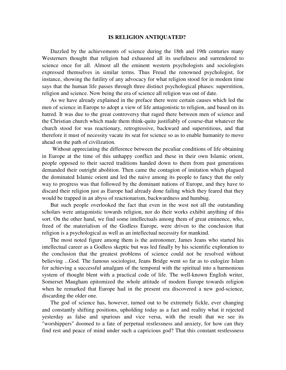#### **IS RELIGION ANTIQUATED?**

Dazzled by the achievements of science during the 18th and 19th centuries many Westerners thought that religion had exhausted all its usefulness and surrendered to science once for all. Almost all the eminent western psychologists and sociologists expressed themselves in similar terms. Thus Freud the renowned psychologist, for instance, showing the futility of any advocacy for what religion stood for in modem time says that the human life passes through three distinct psychological phases: superstition, religion and science. Now being the era of science all religion was out of date.

As we have already explained in the preface there were certain causes which led the men of science in Europe to adopt a view of life antagonistic to religion, and based on its hatred. It was due to the great controversy that raged there between men of science and the Christian church which made them think-quite justifiably of course-that whatever the church stood for was reactionary, retrogressive, backward and superstitious, and that therefore it must of necessity vacate its seat for science so as to enable humanity to move ahead on the path of civilization.

 Without appreciating the difference between the peculiar conditions of life obtaining in Europe at the time of this unhappy conflict and these in their own Islamic orient, people opposed to their sacred traditions handed down to them from past generations demanded their outright abolition. Then came the contagion of imitation which plagued the dominated Islamic orient and led the naive among its people to fancy that the only way to progress was that followed by the dominant nations of Europe, and they have to discard their religion just as Europe had already done failing which they feared that they would be trapped in an abyss of reactionarism, backwardness and humbug.

But such people overlooked the fact that even in the west not all the outstanding scholars were antagonistic towards religion, nor do their works exhibit anything of this sort. On the other hand, we find some intellectuals among them of great eminence, who, freed of the materialism of the Godless Europe, were driven to the conclusion that religion is a psychological as well as an intellectual necessity for mankind.

The most noted figure among them is the astronomer, James Jeans who started his intellectual career as a Godless skeptic but was led finally by his scientific exploration to the conclusion that the greatest problems of science could not be resolved without believing ...God. The famous sociologist, Jeans Bridge went so far as to eulogize Islam for achieving a successful amalgam of the temporal with the spiritual into a harmonious system of thought blent with a practical code of life. The well-known English writer, Somerset Maugham epitomized the whole attitude of modem Europe towards religion when he remarked that Europe had in the present era discovered a new god-science, discarding the older one.

The god of science has, however, turned out to be extremely fickle, ever changing and constantly shifting positions, upholding today as a fact and reality what it rejected yesterday as false and spurious and vice versa, with the result that we see its "worshippers" doomed to a fate of perpetual restlessness and anxiety, for how can they find rest and peace of mind under such a capricious god? That this constant restlessness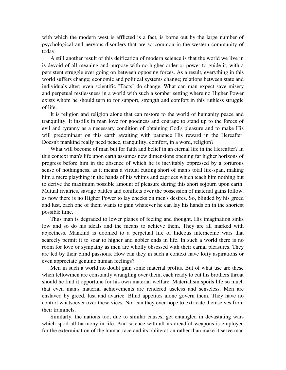with which the modern west is afflicted is a fact, is borne out by the large number of psychological and nervous disorders that are so common in the western community of today.

A still another result of this deification of modern science is that the world we live in is devoid of all meaning and purpose with no higher order or power to guide it, with a persistent struggle ever going on between opposing forces. As a result, everything in this world suffers change; economic and political systems change; relations between state and individuals alter; even scientific "Facts" do change. What can man expect save misery and perpetual restlessness in a world with such a somber setting where no Higher Power exists whom he should turn to for support, strength and comfort in this ruthless struggle of life.

It is religion and religion alone that can restore to the world of humanity peace and tranquility. It instills in man love for goodness and courage to stand up to the forces of evil and tyranny as a necessary condition of obtaining God's pleasure and to make His will predominant on this earth awaiting with patience His reward in the Hereafter. Doesn't mankind really need peace, tranquility, comfort, in a word, religion?

What will become of man but for faith and belief in an eternal life in the Hereafter? In this context man's life upon earth assumes new dimensions opening far higher horizons of progress before him in the absence of which he is inevitably oppressed by a torturous sense of nothingness, as it means a virtual cutting short of man's total life-span, making him a mere plaything in the hands of his whims and caprices which teach him nothing but to derive the maximum possible amount of pleasure during this short sojourn upon earth. Mutual rivalries, savage battles and conflicts over the possession of material gains follow, as now there is no Higher Power to lay checks on men's desires. So, blinded by his greed and lust, each one of them wants to gain whatever he can lay his hands on in the shortest possible time.

Thus man is degraded to lower planes of feeling and thought. His imagination sinks low and so do his ideals and the means to achieve them. They are all marked with abjectness. Mankind is doomed to a perpetual life of hideous internecine wars that scarcely permit it to soar to higher and nobler ends in life. In such a world there is no room for love or sympathy as men are wholly obsessed with their carnal pleasures. They are led by their blind passions. How can they in such a context have lofty aspirations or even appreciate genuine human feelings?

Men in such a world no doubt gain some material profits. But of what use are these when fellowmen are constantly wrangling over them, each ready to cut his brothers throat should he find it opportune for his own material welfare. Materialism spoils life so much that even man's material achievements are rendered useless and senseless. Men are enslaved by greed, lust and avarice. Blind appetites alone govern them. They have no control whatsoever over these vices. Nor can they ever hope to extricate themselves from their trammels.

Similarly, the nations too, due to similar causes, get entangled in devastating wars which spoil all harmony in life. And science with all its dreadful weapons is employed for the extermination of the human race and its obliteration rather than make it serve man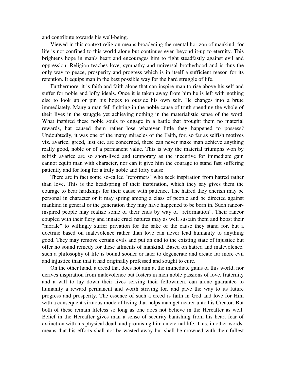and contribute towards his well-being.

Viewed in this context religion means broadening the mental horizon of mankind, for life is not confined to this world alone but continues even beyond it-up to eternity. This brightens hope in man's heart and encourages him to fight steadfastly against evil and oppression. Religion teaches love, sympathy and universal brotherhood and is thus the only way to peace, prosperity and progress which is in itself a sufficient reason for its retention. It equips man in the best possible way for the hard struggle of life.

Furthermore, it is faith and faith alone that can inspire man to rise above his self and suffer for noble and lofty ideals. Once it is taken away from him he is left with nothing else to look up or pin his hopes to outside his own self. He changes into a brute immediately. Many a man fell fighting in the noble cause of truth spending the whole of their lives in the struggle yet achieving nothing in the materialistic sense of the word. What inspired these noble souls to engage in a battle that brought them no material rewards, hat caused them rather lose whatever little they happened to possess? Undoubtedly, it was one of the many miracles of the Faith, for, so far as selfish motives viz. avarice, greed, lust etc. are concerned, these can never make man achieve anything really good, noble or of a permanent value. This is why the material triumphs won by selfish avarice are so short-lived and temporary as the incentive for immediate gain cannot equip man with character, nor can it give him the courage to stand fast suffering patiently and for long for a truly noble and lofty cause.

There are in fact some so-called "reformers" who seek inspiration from hatred rather than love. This is the headspring of their inspiration, which they say gives them the courage to bear hardships for their cause with patience. The hatred they cherish may be personal in character or it may spring among a class of people and be directed against mankind in general or the generation they may have happened to be born in. Such rancorinspired people may realize some of their ends by way of "reformation". Their rancor coupled with their fiery and innate cruel natures may as well sustain them and boost their "morale" to willingly suffer privation for the sake of the cause they stand for, but a doctrine based on malevolence rather than love can never lead humanity to anything good. They may remove certain evils and put an end to the existing state of injustice but offer no sound remedy for these ailments of mankind. Based on hatred and malevolence, such a philosophy of life is bound sooner or later to degenerate and create far more evil and injustice than that it had originally professed and sought to cure.

On the other hand, a creed that does not aim at the immediate gains of this world, nor derives inspiration from malevolence but fosters in men noble passions of love, fraternity and a will to lay down their lives serving their fellowmen, can alone guarantee to humanity a reward permanent and worth striving for, and pave the way to its future progress and prosperity. The essence of such a creed is faith in God and love for Him with a consequent virtuous mode of living that helps man get nearer unto his Creator. But both of these remain lifeless so long as one does not believe in the Hereafter as well. Belief in the Hereafter gives man a sense of security banishing from his heart fear of extinction with his physical death and promising him an eternal life. This, in other words, means that his efforts shall not be wasted away but shall be crowned with their fullest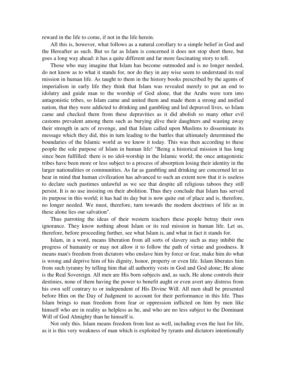reward in the life to come, if not in the life herein.

All this is, however, what follows as a natural corollary to a simple belief in God and the Hereafter as such. But so far as Islam is concerned it does not stop short there, but goes a long way ahead: it has a quite different and far more fascinating story to tell.

Those who may imagine that Islam has become outmoded and is no longer needed, do not know as to what it stands for, nor do they in any wise seem to understand its real mission in human life. As taught to them in the history books prescribed by the agents of imperialism in early life they think that Islam was revealed merely to put an end to idolatry and guide man to the worship of God alone, that the Arabs were torn into antagonistic tribes, so Islam came and united them and made them a strong and unified nation, that they were addicted to drinking and gambling and led depraved lives, so Islam came and checked them from these depravities as it did abolish so many other evil customs prevalent among them such as burying alive their daughters and wasting away their strength in acts of revenge, and that Islam called upon Muslims to disseminate its message which they did, this in turn leading to the battles that ultimately determined the boundaries of the Islamic world as we know it today. This was then according to these people the sole purpose of Islam in human life! "Being a historical mission it has long since been fulfilled: there is no idol-worship in the Islamic world; the once antagonistic tribes have been more or less subject to a process of absorption losing their identity in the larger nationalities or communities. As far as gambling and drinking are concerned let us bear in mind that human civilization has advanced to such an extent now that it is useless to declare such pastimes unlawful as we see that despite all religious taboos they still persist. It is no use insisting on their abolition. Thus they conclude that Islam has served its purpose in this world; it has had its day but is now quite out of place and is, therefore, no longer needed. We must, therefore, turn towards the modern doctrines of life as in these alone lies our salvation".

Thus parroting the ideas of their western teachers these people betray their own ignorance. They know nothing about Islam or its real mission in human life. Let us, therefore, before proceeding further, see what Islam is, and what in fact it stands for.

Islam, in a word, means liberation from all sorts of slavery such as may inhibit the progress of humanity or may not allow it to follow the path of virtue and goodness. It means man's freedom from dictators who enslave him by force or fear, make him do what is wrong and deprive him of his dignity, honor, property or even life. Islam liberates him from such tyranny by telling him that all authority vests in God and God alone; He alone is the Real Sovereign. All men are His born subjects and, as such, He alone controls their destinies, none of them having the power to benefit aught or even avert any distress from his own self contrary to or independent of His Divine Will. All men shall be presented before Him on the Day of Judgment to account for their performance in this life. Thus Islam brings to man freedom from fear or oppression inflicted on him by men like himself who are in reality as helpless as he, and who are no less subject to the Dominant Will of God Almighty than he himself is.

Not only this. Islam means freedom from lust as well, including even the lust for life, as it is this very weakness of man which is exploited by tyrants and dictators intentionally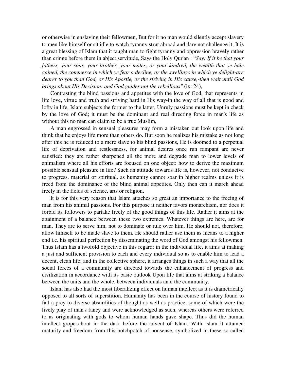or otherwise in enslaving their fellowmen, But for it no man would silently accept slavery to men like himself or sit idle to watch tyranny strut abroad and dare not challenge it, It is a great blessing of Islam that it taught man to fight tyranny and oppression bravely rather than cringe before them in abject servitude, Says the Holy Qur'an : "*Say: If it be that your fathers, your sons, your brother, your mates, or your kindred, the wealth that ye hale gained, the commerce in which ye fear a decline, or the swellings in which ye delight-are dearer to you than God, or His Apostle, or the striving in His cause,-then wait until God brings about His Decision: and God guides not the rebellious"* (ix: 24),

Contrasting the blind passions and appetites with the love of God, that represents in life love, virtue and truth and striving hard in His way-in the way of all that is good and lofty in life, Islam subjects the former to the latter, Unruly passions must be kept in check by the love of God; it must be the dominant and real directing force in man's life as without this no man can claim to be a true Muslim,

A man engrossed in sensual pleasures may form a mistaken out look upon life and think that he enjoys life more than others do. But soon he realizes his mistake as not long after this he is reduced to a mere slave to his blind passions, He is doomed to a perpetual life of deprivation and restlessness, for animal desires once run rampant are never satisfied: they are rather sharpened all the more and degrade man to lower levels of animalism where all his efforts are focused on one object: how to derive the maximum possible sensual pleasure in life? Such an attitude towards life is, however, not conducive to progress, material or spiritual, as humanity cannot soar in higher realms unless it is freed from the dominance of the blind animal appetites. Only then can it march ahead freely in the fields of science, arts or religion,

It is for this very reason that Islam attaches so great an importance to the freeing of man from his animal passions. For this purpose it neither favors monarchism, nor does it forbid its followers to partake freely of the good things of this life. Rather it aims at the attainment of a balance between these two extremes. Whatever things are here, are for man. They are to serve him, not to dominate or rule over him. He should not, therefore, allow himself to be made slave to them. He should rather use them as means to a higher end i.e. his spiritual perfection by disseminating the word of God amongst his fellowmen. Thus Islam has a twofold objective in this regard: in the individual life, it aims at making a just and sufficient provision to each and every individual so as to enable him to lead a decent, clean life; and in the collective sphere, it arranges things in such a way that all the social forces of a community are directed towards the enhancement of progress and civilization in accordance with its basic outlook Upon life that aims at striking a balance between the units and the whole, between individuals an d the community.

Islam has also had the most liberalizing effect on human intellect as it is diametrically opposed to all sorts of superstition. Humanity has been in the course of history found to fall a prey to diverse absurdities of thought as well as practice, some of which were the lively play of man's fancy and were acknowledged as such, whereas others were referred to as originating with gods to whom human hands gave shape. Thus did the human intellect grope about in the dark before the advent of Islam. With Islam it attained maturity and freedom from this hotchpotch of nonsense, symbolized in these so-called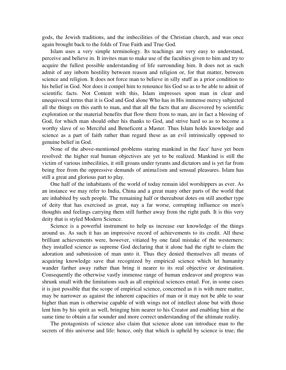gods, the Jewish traditions, and the imbecilities of the Christian church, and was once again brought back to the folds of True Faith and True God.

Islam uses a very simple terminology. Its teachings are very easy to understand, perceive and believe in. It invites man to make use of the faculties given to him and try to acquire the fullest possible understanding of life surrounding him. It does not as such admit of any inborn hostility between reason and religion or, for that matter, between science and religion. It does not force man to believe in silly stuff as a prior condition to his belief in God. Nor does it compel him to renounce his God so as to be able to admit of scientific facts. Not Content with this, Islam impresses upon man in clear and unequivocal terms that it is God and God alone Who has in His immense mercy subjected all the things on this earth to man, and that all the facts that are discovered by scientific exploration or the material benefits that flow there from to man, are in fact a blessing of God, for which man should other his thanks to God, and strive hard so as to become a worthy slave of so Merciful and Beneficent a Master. Thus Islam holds knowledge and science as a part of faith rather than regard these as an evil intrinsically opposed to genuine belief in God.

None of the above-mentioned problems staring mankind in the face' have yet been resolved: the higher real human objectives are yet to be realized. Mankind is still the victim of various imbecilities, it still groans under tyrants and dictators and is yet far from being free from the oppressive demands of anima1ism and sensual pleasures. Islam has still a great and glorious part to play.

One half of the inhabitants of the world of today remain idol worshippers as ever. As an instance we may refer to India, China and a great many other parts of the world that are inhabited by such people. The remaining half or thereabout dotes on still another type of deity that has exercised as great, nay a far worse, corrupting influence on men's thoughts and feelings carrying them still further away from the right path. It is this very deity that is styled Modern Science.

Science is a powerful instrument to help us increase our knowledge of the things around us. As such it has an impressive record of achievements to its credit. All these brilliant achievements were, however, vitiated by one fatal mistake of the westerners: they installed science as supreme God declaring that it alone had the right to claim the adoration and submission of man unto it. Thus they denied themselves all means of acquiring knowledge save that recognized by empirical science which let humanity wander farther away rather than bring it nearer to its real objective or destination. Consequently the otherwise vastly immense range of human endeavor and progress was shrunk small with the limitations such as all empirical sciences entail. For, in some cases it is just possible that the scope of empirical science, concerned as it is with mere matter, may be narrower as against the inherent capacities of man or it may not be able to soar higher than man is otherwise capable of with wings not of intellect alone but with those lent him by his spirit as well, bringing him nearer to his Creator and enabling him at the same time to obtain a far sounder and more correct understanding of the ultimate reality.

The protagonists of science also claim that science alone can introduce man to the secrets of this universe and life: hence, only that which is upheld by science is true; the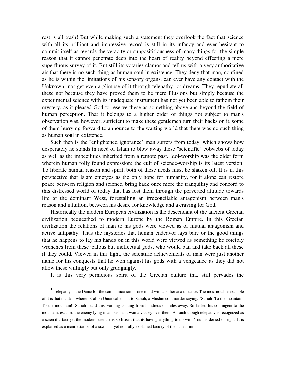rest is all trash! But while making such a statement they overlook the fact that science with all its brilliant and impressive record is still in its infancy and ever hesitant to commit itself as regards the veracity or supposititiousness of many things for the simple reason that it cannot penetrate deep into the heart of reality beyond effecting a mere superfluous survey of it. But still its votaries clamor and tell us with a very authoritative air that there is no such thing as human soul in existence. They deny that man, confined as he is within the limitations of his sensory organs, can ever have any contact with the Unknown -nor get even a glimpse of it through telepathy<sup>1</sup> or dreams. They repudiate all these not because they have proved them to be mere illusions but simply because the experimental science with its inadequate instrument has not yet been able to fathom their mystery, as it pleased God to reserve these as something above and beyond the field of human perception. That it belongs to a higher order of things not subject to man's observation was, however, sufficient to make these gentlemen turn their backs on it, some of them hurrying forward to announce to the waiting world that there was no such thing as human soul in existence.

Such then is the "enlightened ignorance" man suffers from today, which shows how desperately he stands in need of Islam to blow away these "scientific" cobwebs of today as well as the imbecilities inherited from a remote past. Idol-worship was the older form wherein human folly found expression: the cult of science-worship is its latest version. To liberate human reason and spirit, both of these needs must be shaken off. It is in this perspective that Islam emerges as the only hope for humanity, for it alone can restore peace between religion and science, bring back once more the tranquility and concord to this distressed world of today that has lost them through the perverted attitude towards life of the dominant West, forestalling an irreconcilable antagonism between man's reason and intuition, between his desire for knowledge and a craving for God.

Historically the modem European civilization is the descendant of the ancient Grecian civilization bequeathed to modern Europe by the Roman Empire. In this Grecian civilization the relations of man to his gods were viewed as of mutual antagonism and active antipathy. Thus the mysteries that human endeavor lays bare or the good things that he happens to lay his hands on in this world were viewed as something he forcibly wrenches from these jealous but ineffectual gods, who would ban and take back all these if they could. Viewed in this light, the scientific achievements of man were just another name for his conquests that he won against his gods with a vengeance as they did not allow these willingly but only grudgingly.

It is this very pernicious spirit of the Grecian culture that still pervades the

<sup>&</sup>lt;sup>1</sup> Telepathy is the Dame for the communication of one mind with another at a distance. The most notable example of it is that incident wherein Caliph Omar called out to Sariah, a Muslim commander saying: "Sariah! To the mountain! To the mountain!' Sariah heard this warning coming from hundreds of miles away. So he led his contingent to the mountain, escaped the enemy lying in ambush and won a victory over them. As such though telepathy is recognized as a scientific fact yet the modern scientist is so biased that its having anything to do with "soul' is denied outright. It is explained as a manifestation of a sixth but yet not fully explained faculty of the human mind.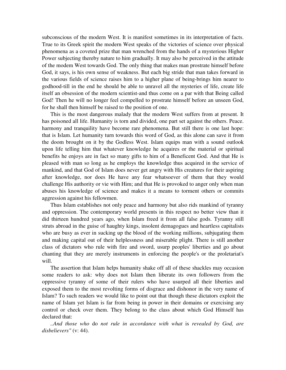subconscious of the modern West. It is manifest sometimes in its interpretation of facts. True to its Greek spirit the modern West speaks of the victories of science over physical phenomena as a coveted prize that man wrenched from the hands of a mysterious Higher Power subjecting thereby nature to him gradually. It may also be perceived in the attitude of the modem West towards God. The only thing that makes man prostrate himself before God, it says, is his own sense of weakness. But each big stride that man takes forward in the various fields of science raises him to a higher plane of being-brings him nearer to godhood-till in the end he should be able to unravel all the mysteries of life, create life itself an obsession of the modern scientist-and thus come on a par with that Being called God! Then he will no longer feel compelled to prostrate himself before an unseen God, for he shall then himself be raised to the position of one.

This is the most dangerous malady that the modern West suffers from at present. It has poisoned all life. Humanity is torn and divided, one part set against the others. Peace. harmony and tranquility have become rare phenomena. But still there is one last hope: that is Islam. Let humanity turn towards this word of God, as this alone can save it from the doom brought on it by the Godless West. Islam equips man with a sound outlook upon life telling him that whatever knowledge he acquires or the material or spiritual benefits he enjoys are in fact so many gifts to him of a Beneficent God. And that He is pleased with man so long as he employs the knowledge thus acquired in the service of mankind, and that God of Islam does never get angry with His creatures for their aspiring after knowledge, nor does He have any fear whatsoever of them that they would challenge His authority or vie with Him; and that He is provoked to anger only when man abuses his knowledge of science and makes it a means to torment others or commits aggression against his fellowmen.

Thus Islam establishes not only peace and harmony but also rids mankind of tyranny and oppression. The contemporary world presents in this respect no better view than it did thirteen hundred years ago, when Islam freed it from all false gods. Tyranny still struts abroad in the guise of haughty kings, insolent demagogues and heartless capitalists who are busy as ever in sucking up the blood of the working millions, subjugating them and making capital out of their helplessness and miserable plight. There is still another class of dictators who rule with fire and sword, usurp peoples' liberties and go about chanting that they are merely instruments in enforcing the people's or the proletariat's will.

The assertion that Islam helps humanity shake off all of these shackles may occasion some readers to ask: why does not Islam then liberate its own followers from the oppressive tyranny of some of their rulers who have usurped all their liberties and exposed them to the most revolting forms of disgrace and dishonor in the very name of Islam? To such readers we would like to point out that though these dictators exploit the name of Islam yet Islam is far from being in power in their domains or exercising any control or check over them. They belong to the class about which God Himself has declared that:

*..And those who* do *not rule in accordance with what* is *revealed by God, are disbelievers"* (v: 44).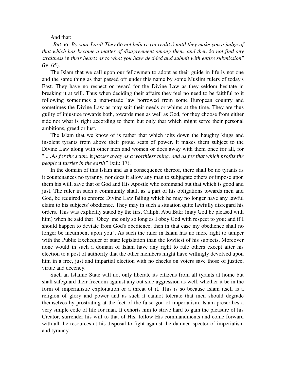And that:

*..But* no! *By your Lord! They* do *not believe (in reality) until they make you a judge of that which has become a matter of disagreement among them, and then* do *not find any straitness* in *their hearts as to what you have decided and submit with entire submission"*  (iv: 65).

The Islam that we call upon our fellowmen to adopt as their guide in life is not one and the same thing as that passed off under this name by some Muslim rulers of today's East. They have no respect or regard for the Divine Law as they seldom hesitate in breaking it at will. Thus when deciding their affairs they feel no need to be faithful to it following sometimes a man-made law borrowed from some European country and sometimes the Divine Law as may suit their needs or whims at the time. They are thus guilty of injustice towards both, towards men as well as God, for they choose from either side not what is right according to them but only that which might serve their personal ambitions, greed or lust.

The Islam that we know of is rather that which jolts down the haughty kings and insolent tyrants from above their proud seats of power. It makes them subject to the Divine Law along with other men and women or does away with them once for all, for "... .As *for the scum,* it *passes away as a worthless thing, and as for that which profits the people* it *tarries in the earth"* (xiii: 17).

In the domain of this Islam and as a consequence thereof, there shall be no tyrants as it countenances no tyranny, nor does it allow any man to subjugate others or impose upon them his will, save that of God and His Apostle who command but that which is good and just. The ruler in such a community shall, as a part of his obligations towards men and God, be required to enforce Divine Law failing which he may no longer have any lawful claim to his subjects' obedience. They may in such a situation quite lawfully disregard his orders. This was explicitly stated by the first Caliph, Abu Bakr (may God be pleased with him) when he said that "Obey me only so long as I obey God with respect to you; and if I should happen to deviate from God's obedience, then in that case my obedience shall no longer be incumbent upon you", As such the ruler in Islam has no more right to tamper with the Public Exchequer or state legislation than the lowliest of his subjects, Moreover none would in such a domain of Islam have any right to rule others except after his election to a post of authority that the other members might have willingly devolved upon him in a free, just and impartial election with no checks on voters save those of justice, virtue and decency.

Such an Islamic State will not only liberate its citizens from all tyrants at home but shall safeguard their freedom against any out side aggression as well, whether it be in the form of imperialistic exploitation or a threat of it, This is so because Islam itself is a religion of glory and power and as such it cannot tolerate that men should degrade themselves by prostrating at the feet of the false god of imperialism, Islam prescribes a very simple code of life for man. It exhorts him to strive hard to gain the pleasure of his Creator, surrender his will to that of His, follow His commandments and come forward with all the resources at his disposal to fight against the damned specter of imperialism and tyranny.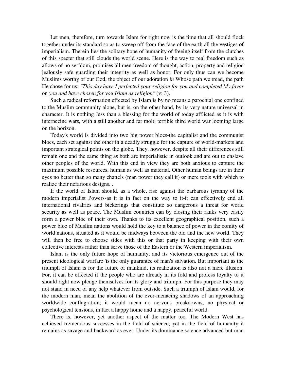Let men, therefore, turn towards Islam for right now is the time that all should flock together under its standard so as to sweep off from the face of the earth all the vestiges of imperialism. Therein lies the solitary hope of humanity of freeing itself from the clutches of this specter that still clouds the world scene. Here is the way to real freedom such as allows of no serfdom, promises all men freedom of thought, action, property and religion jealously safe guarding their integrity as well as honor. For only thus can we become Muslims worthy of our God, the object of our adoration *in* Whose path we tread, the path He chose for us: *"This day have I perfected your religion for you and completed My favor*  on *you and have chosen for you Islam as religion"* (v: 3).

Such a radical reformation effected by Islam is by no means a parochial one confined to the Muslim community alone, but is, on the other hand, by its very nature universal in character. It is nothing Jess than a blessing for the world of today afflicted as it is with internecine wars, with a still another and far molt: terrible third world war looming large on the horizon.

Today's world is divided into two big power blocs-the capitalist and the communist blocs, each set against the other in a deadly struggle for the capture of world-markets and important strategical points on the globe, They, however, despite all their differences still remain one and the same thing as both are imperialistic in outlook and are out to enslave other peoples of the world. With this end in view they are both anxious to capture the maximum possible resources, human as well as material. Other human beings are in their eyes no better than so many chattels (man power they call it) or mere tools with which to realize their nefarious designs. .

If the world of Islam should, as a whole, rise against the barbarous tyranny of the modern imperialist Powers-as it is in fact on the way to it-it can effectively end all international rivalries and bickerings that constitute so dangerous a threat for world security as well as peace. The Muslim countries can by closing their ranks very easily form a power bloc of their own. Thanks to its excellent geographical position, such a power bloc of Muslim nations would hold the key to a balance of power in the comity of world nations, situated as it would be midways between the old and the new world. They will then be free to choose sides with this or that party in keeping with their own collective interests rather than serve those of the Eastern or the Western imperialism.

Islam is the only future hope of humanity, and its victorious emergence out of the present ideological warfare 'is the only guarantee of man's salvation. But important as the triumph of Islam is for the future of mankind, its realization is also not a mere illusion. For, it can be effected if the people who are already in its fold and profess loyalty to it should right now pledge themselves for its glory and triumph. For this purpose they may not stand in need of any help whatever from outside. Such a triumph of Islam would, for the modern man, mean the abolition of the ever-menacing shadows of an approaching worldwide conflagration; it would mean no nervous breakdowns, no physical or psychological tensions, in fact a happy home and a happy, peaceful world.

There is, however, yet another aspect of the matter too. The Modern West has achieved tremendous successes in the field of science, yet in the field of humanity it remains as savage and backward as ever. Under its dominance science advanced but man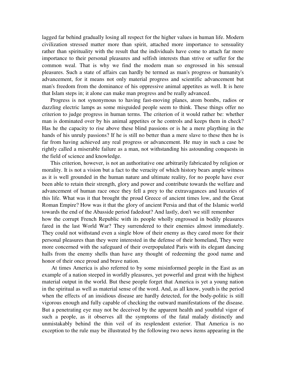lagged far behind gradually losing all respect for the higher values in human life. Modern civilization stressed matter more than spirit, attached more importance to sensuality rather than spirituality with the result that the individuals have come to attach far more importance to their personal pleasures and selfish interests than strive or suffer for the common weal. That is why we find the modern man so engrossed in his sensual pleasures. Such a state of affairs can hardly be termed as man's progress or humanity's advancement, for it means not only material progress and scientific advancement but man's freedom from the dominance of his oppressive animal appetites as well. It is here that Islam steps in; it alone can make man progress and be really advanced.

Progress is not synonymous to having fast-moving planes, atom bombs, radios or dazzling electric lamps as some misguided people seem to think. These things offer no criterion to judge progress in human terms. The criterion of it would rather be: whether man is dominated over by his animal appetites or he controls and keeps them in check? Has he the capacity to rise above these blind passions or is he a mere plaything in the hands of his unruly passions? If he is still no better than a mere slave to these then he is far from having achieved any real progress or advancement. He may in such a case be rightly called a miserable failure as a man, not withstanding his astounding conquests in the field of science and knowledge.

This criterion, however, is not an authoritative one arbitrarily fabricated by religion or morality. It is not a vision but a fact to the veracity of which history bears ample witness as it is well grounded in the human nature and ultimate reality, for no people have ever been able to retain their strength, glory and power and contribute towards the welfare and advancement of human race once they fell a prey to the extravagances and luxuries of this life. What was it that brought the proud Greece of ancient times low, and the Great Roman Empire? How was it that the glory of ancient Persia and that of the Islamic world towards the end of the Abasside period fadedout? And lastly, don't we still remember how the corrupt French Republic with its people wholly engrossed in bodily pleasures fared in the last World War? They surrendered to their enemies almost immediately. They could not withstand even a single blow of their enemy as they cared more for their personal pleasures than they were interested in the defense of their homeland, They were more concerned with the safeguard of their overpopulated Paris with its elegant dancing halls from the enemy shells than have any thought of redeeming the good name and honor of their once proud and brave nation.

 At times America is also referred to by some misinformed people in the East as an example of a nation steeped in worldly pleasures, yet powerful and great with the highest material output in the world. But these people forget that America is yet a young nation in the spiritual as well as material sense of the word. And, as all know, youth is the period when the effects of an insidious disease are hardly detected, for the body-politic is still vigorous enough and fully capable of checking the outward manifestations of the disease. But a penetrating eye may not be deceived by the apparent health and youthful vigor of such a people, as it observes all the symptoms of the fatal malady distinctly and unmistakably behind the thin veil of its resplendent exterior. That America is no exception to the rule may be illustrated by the following two news items appearing in the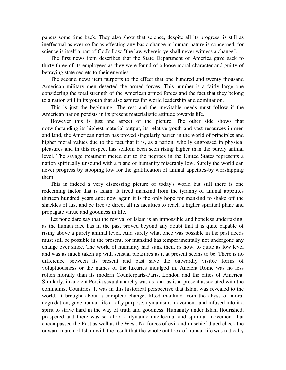papers some time back. They also show that science, despite all its progress, is still as ineffectual as ever so far as effecting any basic change in human nature is concerned, for science is itself a part of God's Law-"the law wherein ye shall never witness a change".

The first news item describes that the State Department of America gave sack to thirty-three of its employees as they were found of a loose moral character and guilty of betraying state secrets to their enemies.

The second news item purports to the effect that one hundred and twenty thousand American military men deserted the armed forces. This number is a fairly large one considering the total strength of the American armed forces and the fact that they belong to a nation still in its youth that also aspires for world leadership and domination.

This is just the beginning. The rest and the inevitable needs must follow if the American nation persists in its present materialistic attitude towards life.

However this is just one aspect of the picture. The other side shows that notwithstanding its highest material output, its relative youth and vast resources in men and land, the American nation has proved singularly barren in the world of principles and higher moral values due to the fact that it is, as a nation, wholly engrossed in physical pleasures and in this respect has seldom been seen rising higher than the purely animal level. The savage treatment meted out to the negroes in the United States represents a nation spiritually unsound with a plane of humanity miserably low. Surely the world can never progress by stooping low for the gratification of animal appetites-by worshipping them.

This is indeed a very distressing picture of today's world but still there is one redeeming factor that is Islam. It freed mankind from the tyranny of animal appetites thirteen hundred years ago; now again it is the only hope for mankind to shake off the shackles of lust and be free to direct all its faculties to reach a higher spiritual plane and propagate virtue and goodness in life.

Let none dare say that the revival of Islam is an impossible and hopeless undertaking, as the human race has in the past proved beyond any doubt that it is quite capable of rising above a purely animal level. And surely what once was possible in the past needs must still be possible in the present, for mankind has temperamentally not undergone any change ever since. The world of humanity had sunk then, as now, to quite as low level and was as much taken up with sensual pleasures as it at present seems to be. There is no difference between its present and past save the outwardly visible forms of voluptuousness or the names of the luxuries indulged in. Ancient Rome was no less rotten morally than its modern Counterparts-Paris, London and the cities of America. Similarly, in ancient Persia sexual anarchy was as rank as is at present associated with the communist Countries. It was in this historical perspective that Islam was revealed to the world. It brought about a complete change, lifted mankind from the abyss of moral degradation, gave human life a lofty purpose, dynamism, movement, and infused into it a spirit to strive hard in the way of truth and goodness. Humanity under Islam flourished, prospered and there was set afoot a dynamic intellectual and spiritual movement that encompassed the East as well as the West. No forces of evil and mischief dared check the onward march of Islam with the result that the whole out look of human life was radically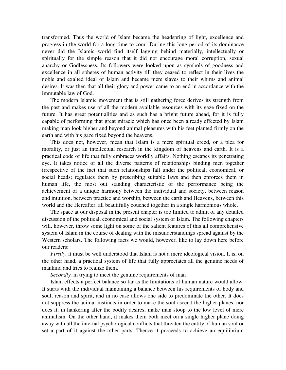transformed. Thus the world of Islam became the headspring of light, excellence and progress in the world for a long time to com" During this long period of its dominance never did the Islamic world find itself lagging behind materially, intellectually or spiritually for the simple reason that it did not encourage moral corruption, sexual anarchy or Godlessness. Its followers were looked upon as symbols of goodness and excellence in all spheres of human activity till they ceased to reflect in their lives the noble and exalted ideal of Islam and became mere slaves to their whims and animal desires. It was then that all their glory and power came to an end in accordance with the immutable law of God.

The modern Islamic movement that is still gathering force derives its strength from the past and makes use of all the modern available resources with its gaze fixed on the future. It has great potentialities and as such has a bright future ahead, for it is fully capable of performing that great miracle which has once been already effected by Islam making man look higher and beyond animal pleasures with his feet planted firmly on the earth and with his gaze fixed beyond the heavens.

This does not, however, mean that Islam is a mere spiritual creed, or a plea for morality, or just an intellectual research in the kingdom of heavens and earth. It is a practical code of life that fully embraces worldly affairs. Nothing escapes its penetrating eye. It takes notice of all the diverse patterns of relationships binding men together irrespective of the fact that such relationships fall under the political, economical, or social heads; regulates them by prescribing suitable laws and then enforces them in human life, the most out standing characteristic of the performance being the achievement of a unique harmony between the individual and society, between reason and intuition, between practice and worship, between the earth and Heavens, between this world and the Hereafter, all beautifully couched together in a single harmonious whole.

The space at our disposal in the present chapter is too limited to admit of any detailed discussion of the political, economical and social system of Islam. The following chapters will, however, throw some light on some of the salient features of this all comprehensive system of Islam in the course of dealing with the misunderstandings spread against by the Western scholars. The following facts we would, however, like to lay down here before our readers:

*Firstly,* it must be well understood that Islam is not a mere ideological vision. It is, on the other hand, a practical system of life that fully appreciates all the genuine needs of mankind and tries to realize them.

*Secondly,* in trying to meet the genuine requirements of man

Islam effects a perfect balance so far as the limitations of human nature would allow. It starts with the individual maintaining a balance between his requirements of body and soul, reason and spirit, and in no case allows one side to predominate the other. It does not suppress the animal instincts in order to make the soul ascend the higher planes, nor does it, in hankering after the bodily desires, make man stoop to the low level of mere animalism. On the other hand, it makes them both meet on a single higher plane doing away with all the internal psychological conflicts that threaten the entity of human soul or set a part of it against the other parts. Thence it proceeds to achieve an equilibrium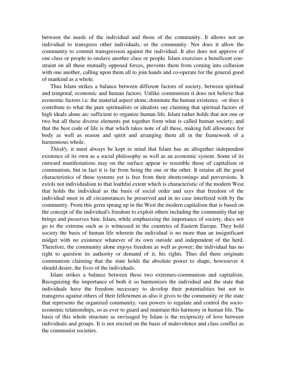between the needs of the individual and those of the community. It allows not an individual to transgress other individuals, or the community. Nor does it allow the community to commit transgression against the individual. It also does not approve of one class or people to enslave another class or people. Islam exercises a beneficent constraint on all these mutually opposed forces, prevents them from coming into collusion with one another, calling upon them all to join hands and co-operate for the general good of mankind as a whole.

Thus Islam strikes a balance between different factors of society, between spiritual and temporal, economic and human factors. Unlike communism it does not believe that economic factors i.e*.* the material aspect alone, dominate the human existence. -or does it contribute to what the pure spiritualists or idealists say claiming that spiritual factors of high ideals alone arc sufficient to organize human life. Islam rather holds that not one or two but all these diverse elements put together form what is called human society; and that the best code of life is that which takes note of all these, making full allowance for body as well as reason and spirit and arranging them all in the framework of a harmonious whole.

*Third/y,* it must always be kept in mind that Islam has an altogether independent existence of its own as a social philosophy as well as an economic system. Some of its outward manifestations may on the surface appear to resemble those of capitalism or communism, but in fact it is far from being the one or the other. It retains all the good characteristics of these systems yet is free from their shortcomings and perversions. It extols not individualism to that loathful extent which is characteristic of the modern West that holds the individual as the basis of social order and says that freedom of the individual must in all circumstances be preserved and in no case interfered with by the community. From this germ sprang up in the West the modern capitalism that is based on the concept of the individual's freedom to exploit others including the community that up brings and preserves him. Islam, while emphasizing the importance of society, docs not go to the extreme such as is witnessed in the countries of Eastern Europe. They hold society the basis of human life wherein the individual is no more than an insignificant midget with no existence whatever of its own outside and independent of the herd. Therefore, the community alone enjoys freedom as well as power; the individual has no right to question its authority or demand of it, his rights. Thus did there originate communism claiming that the state holds the absolute power to shape, howsoever it should desire, the lives of the individuals.

Islam strikes a balance between these two extremes-communism and capitalism. Recognizing the importance of both it so harmonizes the individual and the state that individuals have the freedom necessary to develop their potentialities but not to transgress against others of their fellowmen as also it gives to the community or the state that represents the organized community, vast powers to regulate and control the socioeconomic relationships, so as ever to guard and maintain this harmony in human life. The basis of this whole structure as envisaged by Islam is the reciprocity of love between individuals and groups. It is not erected on the basis of malevolence and class conflict as the communist societies.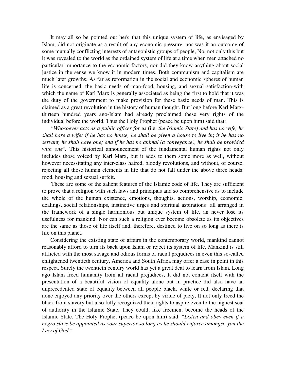It may all so be pointed out her\: that this unique system of life, as envisaged by Islam, did not originate as a result of any economic pressure, nor was it an outcome of some mutually conflicting interests of antagonistic groups of people, No, not only this but it was revealed to the world as the ordained system of life at a time when men attached no particular importance to the economic factors, nor did they know anything about social justice in the sense we know it in modern times. Both communism and capitalism are much later growths. As far as reformation in the social and economic spheres of human life is concerned, the basic needs of man-food, housing, and sexual satisfaction-with which the name of Karl Marx is generally associated as being the first to hold that it was the duty of the government to make provision for these basic needs of man. This is claimed as a great revolution in the history of human thought. But long before Karl Marxthirteen hundred years ago-Islam had already proclaimed these very rights of the individual before the world. Thus the Holy Prophet (peace be upon him) said that:

*"Whosoever acts as a public officer for us* (i.e. *the Islamic State) and has no wife, he shall hare a wife: if he has no house, he shall be given a house to live in*; *if he has no servant, he shall have one; and if he has no animal (a conveyance), he shall be provided*  with one". This historical announcement of the fundamental human rights not only includes those voiced by Karl Marx, but it adds to them some more as well, without however necessitating any inter-class hatred, bloody revolutions, and without, of course, rejecting all those human elements in life that do not fall under the above three heads: food, housing and sexual surfeit.

 These are some of the salient features of the Islamic code of life. They are sufficient to prove that a religion with such laws and principals and so comprehensive as to include the whole of the human existence, emotions, thoughts, actions, worship, economic; dealings, social relationships, instinctive urges and spiritual aspirations all arranged in the framework of a single harmonious but unique system of life, an never lose its usefulness for mankind. Nor can such a religion ever become obsolete as its objectives are the same as those of life itself and, therefore, destined to live on so long as there is life on this planet.

Considering the existing state of affairs in the contemporary world, mankind cannot reasonably afford to turn its back upon Islam or reject its system of life, Mankind is still afflicted with the most savage and odious forms of racial prejudices in even this so-called enlightened twentieth century, America and South Africa may offer a case in point in this respect, Surely the twentieth century world has yet a great deal to learn from Islam, Long ago Islam freed humanity from all racial prejudices, It did not content itself with the presentation of a beautiful vision of equality alone but in practice did also have an unprecedented state of equality between all people black, white or red, declaring that none enjoyed any priority over the others except by virtue of piety, It not only freed the black from slavery but also fully recognized their rights to aspire even to the highest seat of authority in the Islamic State, They could, like freemen, become the heads of the Islamic State. The Holy Prophet (peace be upon him) said: "*Listen and obey even if a negro slave be appointed as your superior so long as he should enforce amongst you the Law of God,"*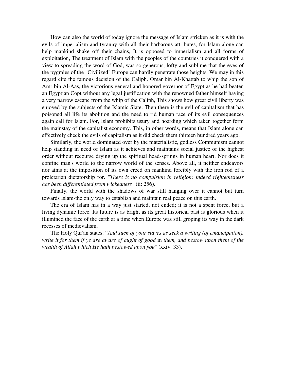How can also the world of today ignore the message of Islam stricken as it is with the evils of imperialism and tyranny with all their barbarous attributes, for Islam alone can help mankind shake off their chains, It is opposed to imperialism and all forms of exploitation, The treatment of Islam with the peoples of the countries it conquered with a view to spreading the word of God, was so generous, lofty and sublime that the eyes of the pygmies of the "Civilized" Europe can hardly penetrate those heights, We may in this regard cite the famous decision of the Caliph. Omar bin Al-Khattab to whip the son of Amr bin Al-Aas, the victorious general and honored governor of Egypt as he had beaten an Egyptian Copt without any legal justification with the renowned father himself having a very narrow escape from the whip of the Caliph, This shows how great civil liberty was enjoyed by the subjects of the Islamic Slate. Then there is the evil of capitalism that has poisoned all life its abolition and the need to rid human race of its evil consequences again call for Islam. For, Islam prohibits usury and hoarding which taken together form the mainstay of the capitalist economy. This, in other words, means that Islam alone can effectively check the evils of capitalism as it did check them thirteen hundred years ago.

Similarly, the world dominated over by the materialistic, godless Communism cannot help standing in need of Islam as it achieves and maintains social justice of the highest order without recourse drying up the spiritual head-springs in human heart. Nor does it confine man's world to the narrow world of the senses. Above all, it neither endeavors nor aims at the imposition of its own creed on mankind forcibly with the iron rod of a proletarian dictatorship for. *"There is no compulsion in religion; indeed righteousness has been differentiated from wickedness"* (ii: 256).

Finally, the world with the shadows of war still hanging over it cannot but turn towards Islam-the only way to establish and maintain real peace on this earth.

The era of Islam has in a way just started, not ended; it is not a spent force, but a living dynamic force. Its future is as bright as its great historical past is glorious when it illumined the face of the earth at a time when Europe was still groping its way in the dark recesses of medievalism.

 The Holy Qur'an states: "*And such of your slaves as seek a writing (of emancipation), write it for them if ye are aware of aught of good* in *them, and bestow upon them of the wealth of Allah which He hath bestowed upon you"* (xxiv: 33),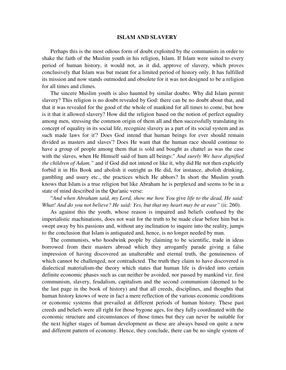#### **ISLAM AND SLAVERY**

Perhaps this is the most odious form of doubt exploited by the communists in order to shake the faith of the Muslim youth in his religion, Islam. If Islam were suited to every period of human history, it would not, as it did, approve of slavery, which proves conclusively that Islam was but meant for a limited period of history only. It has fulfilled its mission and now stands outmoded and obsolete for it was not designed to be a religion for all times and climes.

The sincere Muslim youth is also haunted by similar doubts. Why did Islam permit slavery? This religion is no doubt revealed by God: there can be no doubt about that, and that it was revealed for the good of the whole of mankind for all times to come, but how is it that it allowed slavery? How did the religion based on the notion of perfect equality among men, stressing the common origin of them all and then successfully translating its concept of equality in its social life, recognize slavery as a part of its social system and as such made laws for it'? Does God intend that human beings for ever should remain divided as masters and slaves'? Does He want that the human race should continue to have a group of people among them that is sold and bought as chattel as was the case with the slaves, when He Himself said of hum all beings:" *And surely We have dignified the children of Adam,"* and if God did not intend or like it, why did He not then explicitly forbid it in His Book and abolish it outright as He did, for instance, abolish drinking, gambling and usury etc., the practices which He abhors? In short the Muslim youth knows that Islam is a true religion but like Abraham he is perplexed and seems to be in a state of mind described in the Qur'anic verse:

"*And when Abraham said, my Lord, show me how You* give *life to the dead, He said: What! And do you not believe? He said: Yes, but that my heart may be at ease"* (ii: 260).

As against this the youth, whose reason is impaired and beliefs confused by the imperialistic machinations, does not wait for the truth to be made clear before him but is swept away by his passions and, without any inclination to inquire into the reality, jumps to the conclusion that Islam is antiquated and, hence, is no longer needed by man.

The communists, who hoodwink people by claiming to be scientific, trade in ideas borrowed from their masters abroad which they arrogantly parade giving a false impression of having discovered an unalterable and eternal truth, the genuineness of which cannot be challenged, nor contradicted. The truth they claim to have discovered is dialectical materialism-the theory which states that human life is divided into certain definite economic phases such as can neither be avoided, nor passed by mankind viz. first communism, slavery, feudalism, capitalism and the second communism (deemed to be the last page in the book of history) and that all creeds, disciplines, and thoughts that human history knows of were in fact a mere reflection of the various economic conditions or economic systems that prevailed at different periods of human history. These past creeds and beliefs were all right for those bygone ages, for they fully coordinated with the economic structure and circumstances of those times but they can never be suitable for the next higher stages of human development as these are always based on quite a new and different pattern of economy. Hence, they conclude, there can be no single system of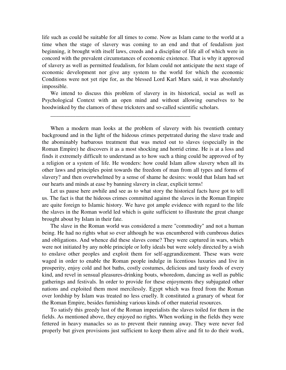life such as could be suitable for all times to come. Now as Islam came to the world at a time when the stage of slavery was coming to an end and that of feudalism just beginning, it brought with itself laws, creeds and a discipline of life all of which were in concord with the prevalent circumstances of economic existence. That is why it approved of slavery as well as permitted feudalism, for Islam could not anticipate the next stage of economic development nor give any system to the world for which the economic Conditions were not yet ripe for, as the blessed Lord Karl Marx said, it was absolutely impossible.

We intend to discuss this problem of slavery in its historical, social as well as Psychological Context with an open mind and without allowing ourselves to be hoodwinked by the clamors of these tricksters and so-called scientific scholars.

\_\_\_\_\_\_\_\_\_\_\_\_\_\_\_\_\_\_\_\_\_\_\_\_\_\_\_\_\_\_\_\_\_\_\_\_\_\_\_\_\_\_\_\_\_\_\_\_\_\_

When a modern man looks at the problem of slavery with his twentieth century background and in the light of the hideous crimes perpetrated during the slave trade and the abominably barbarous treatment that was meted out to slaves (especially in the Roman Empire) he discovers it as a most shocking and horrid crime. He is at a loss and finds it extremely difficult to understand as to how such a thing could be approved of by a religion or a system of life. He wonders: how could Islam allow slavery when all its other laws and principles point towards the freedom of man from all types and forms of slavery? and then overwhelmed by a sense of shame he desires: would that Islam had set our hearts and minds at ease by banning slavery in clear, explicit terms!

Let us pause here awhile and see as to what story the historical facts have got to tell us. The fact is that the hideous crimes committed against the slaves in the Roman Empire are quite foreign to Islamic history. We have got ample evidence with regard to the life the slaves in the Roman world led which is quite sufficient to illustrate the great change brought about by Islam in their fate.

The slave in the Roman world was considered a mere "commodity" and not a human being. He had no rights what so ever although he was encumbered with cumbrous duties and obligations. And whence did these slaves come? They were captured in wars, which were not initiated by any noble principle or lofty ideals but were solely directed by a wish to enslave other peoples and exploit them for self-aggrandizement. These wars were waged in order to enable the Roman people indulge in licentious luxuries and live in prosperity, enjoy cold and hot baths, costly costumes, delicious and tasty foods of every kind, and revel in sensual pleasures-drinking bouts, whoredom, dancing as well as public gatherings and festivals. In order to provide for these enjoyments they subjugated other nations and exploited them most mercilessly. Egypt which was freed from the Roman over lordship by Islam was treated no less cruelly. It constituted a granary of wheat for the Roman Empire, besides furnishing various kinds of other material resources.

To satisfy this greedy lust of the Roman imperialists the slaves toiled for them in the fields. As mentioned above, they enjoyed no rights. When working in the fields they were fettered in heavy manacles so as to prevent their running away. They were never fed properly but given provisions just sufficient to keep them alive and fit to do their work,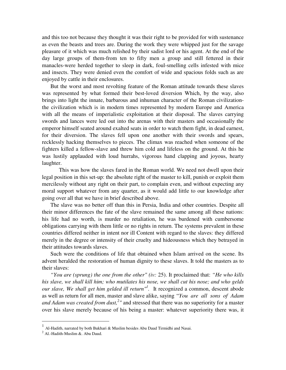and this too not because they thought it was their right to be provided for with sustenance as even the beasts and trees are. During the work they were whipped just for the savage pleasure of it which was much relished by their sadist lord or his agent. At the end of the day large groups of them-from ten to fifty men a group and still fettered in their manacles-were herded together to sleep in dark, foul-smelling cells infested with mice and insects. They were denied even the comfort of wide and spacious folds such as are enjoyed by cattle in their enclosures.

But the worst and most revolting feature of the Roman attitude towards these slaves was represented by what formed their best-loved diversion Which, by the way, also brings into light the innate, barbarous and inhuman character of the Roman civilizationthe civilization which is in modern times represented by modern Europe and America with all the means of imperialistic exploitation at their disposal. The slaves carrying swords and lances were led out into the arenas with their masters and occasionally the emperor himself seated around exalted seats in order to watch them fight, in dead earnest, for their diversion. The slaves fell upon one another with their swords and spears, recklessly hacking themselves to pieces. The climax was reached when someone of the fighters killed a fellow-slave and threw him cold and lifeless on the ground. At this he was lustily applauded with loud hurrahs, vigorous hand clapping and joyous, hearty laughter.

 This was how the slaves fared in the Roman world. We need not dwell upon their legal position in this set-up: the absolute right of the master to kill, punish or exploit them mercilessly without any right on their part, to complain even, and without expecting any moral support whatever from any quarter, as it would add little to our knowledge after going over all that we have in brief described above.

The slave was no better off than this in Persia, India and other countries. Despite all their minor differences the fate of the slave remained the same among all these nations: his life had no worth, is murder no retaliation, he was burdened with cumbersome obligations carrying with them little or no rights in return. The systems prevalent in these countries differed neither in intent nor ill Content with regard to the slaves: they differed merely in the degree or intensity of their cruelty and hideousness which they betrayed in their attitudes towards slaves.

Such were the conditions of life that obtained when Islam arrived on the scene. Its advent heralded the restoration of human dignity to these slaves. It told the masters as to their slaves:

*"You are (sprung) the one from the other" (iv:* 25). It proclaimed that: *"He who kills his slave, we shall kill him; who mutilates his nose, we shall cut his nose; and who gelds our slave, We shall get him gelded ill return"<sup>1</sup> .* It recognized a common, descent abode as well as return for all men, master and slave alike, saying "*You are all sons of Adam and Adam was created from dust*,<sup>2</sup>" and stressed that there was no superiority for a master over his slave merely because of his being a master: whatever superiority there was, it

<sup>1</sup> Al-Hadith, narrated by both Bukhari & Muslim besides Abu Daud Tirmidhi and Nasai.

 $2$  Al.-Hadith-Muslim &. Abu Daud.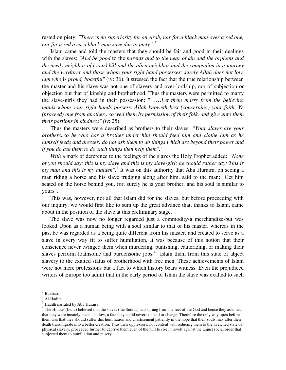rested on piety: *"There* is *no superiority for an Arab, nor for a black man over a red one, nor for a red over a black man save due to piety".<sup>1</sup>*

Islam came and told the masters that they should be fair and good in their dealings with the slaves: *"And be good* to the *parents and to the near of kin and the orphans and the needy neighbor of (your) kill and the alien neighbor and the companion in a journey and the wayfarer and those whom your right hand possesses; surely Allah does not love him who* is *proud, boastful"* (iv: 36). It stressed the fact that the true relationship between the master and his slave was not one of slavery and over-lordship, nor of subjection or objection but that of kinship and brotherhood. Thus the masters were permitted to marry the slave-girls they had in their possession: "……*Let them marry from the believing maids whom your right hands possess. Allah knoweth best (concerning) your faith. Ye (proceed) one from another.. so wed them by permission of their folk, and give unto them their portions in kindness" (iv*: 25).

Thus the masters were described as brothers to their slaves: *"Your slaves are your brothers..so he who has a brother under him should feed him and clothe him as he himself feeds and dresses; do not ask them to do things which are beyond their power and if you do ask them to do such things then help them".<sup>2</sup>*

*With* a mark of deference to the feelings of the slaves the Holy Prophet added: *"None of you should say: this is my slave and this is my slave-girl: he should rather say: This is my man and this is my maiden".<sup>3</sup>* It was on this authority that Abu Huraira, on seeing a man riding a horse and his slave trudging along after him, said to the man: "Get him seated on the horse behind you, for, surely he is your brother, and his soul is similar to yours".

This was, however, not all that Islam did for the slaves, but before proceeding with our inquiry, we would first like to sum up the great advance that, thanks to Islam, came about in the position of the slave at this preliminary stage.

The slave was now no longer regarded just a commodity-a merchandize-but was looked Upon as a human being with a soul similar to that of his master, whereas in the past be was regarded as a being quite different from his master, and created to serve as a slave in every way fit to suffer humiliation, It was because of this notion that their conscience never twinged them when murdering, punishing, cauterizing, or making their slaves perform loathsome and burdensome jobs. $4$  Islam them from this state of abject slavery to the exalted status of brotherhood with free men. These achievements of Islam were not mere professions but a fact to which history bears witness. Even the prejudiced writers of Europe too admit that in the early period of Islam the slave was exalted to such

<sup>&</sup>lt;sup>1</sup> Bukhari.

 $^{2}$  Al-Hadith.

 $^3$  Hadith narrated by Abu Huraira.

<sup>&</sup>lt;sup>4</sup> The Hindus (India) believed that the slaves (the Sudras) had sprung from the feet of the God and hence they assumed that they were innately mean and low, a fate they could never contend or change. Therefore the only way open before them was that they should suffer this humiliation and chastisement patiently in the hope that their souls may after their death transmigrate into a better creation. Thus their oppressors, not content with reducing them to the wretched state of physical slavery, proceeded further to deprive them even of the will to rise in revolt against the unjust social order that subjected them to humiliation and misery.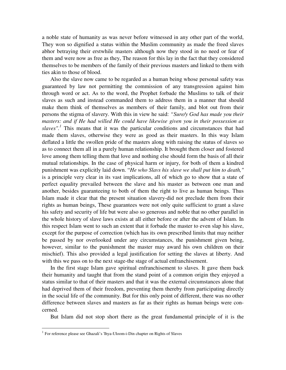a noble state of humanity as was never before witnessed in any other part of the world, They won so dignified a status within the Muslim community as made the freed slaves abhor betraying their erstwhile masters although now they stood in no need or fear of them and were now as free as they, The reason for this lay in the fact that they considered themselves to be members of the family of their previous masters and linked to them with ties akin to those of blood.

Also the slave now came to be regarded as a human being whose personal safety was guaranteed by law not permitting the commission of any transgression against him through word or act. As to the word, the Prophet forbade the Muslims to talk of their slaves as such and instead commanded them to address them in a manner that should make them think of themselves as members of their family, and blot out from their persons the stigma of slavery. With this in view he said: *"Sure/y God has made you their masters: and if He had willed He could have likewise given you in their possession as*  slaves".<sup>1</sup> This means that it was the particular conditions and circumstances that had made them slaves, otherwise they were as good as their masters. In this way Islam deflated a little the swollen pride of the masters along with raising the status of slaves so as to connect them all in a purely human relationship. It brought them closer and fostered love among them telling them that love and nothing else should form the basis of all their mutual relationships. In the case of physical harm or injury, for both of them a kindred punishment was explicitly laid down. "*He who Slavs his slave we shall put him to death,"*  is a principle very clear in its vast implications, all of which go to show that a state of perfect equality prevailed between the slave and his master as between one man and another, besides guaranteeing to both of them the right to live as human beings. Thus Islam made it clear that the present situation slavery-did not preclude them from their rights as human beings, These guarantees were not only quite sufficient to grant a slave his safety and security of life but were also so generous and noble that no other parallel in the whole history of slave laws exists at all either before or after the advent of Islam. In this respect Islam went to such an extent that it forbade the master to even slap his slave, except for the purpose of correction (which has its own prescribed limits that may neither be passed by nor overlooked under any circumstances, the punishment given being, however, similar to the punishment the master may award his own children on their mischief). This also provided a legal justification for setting the slaves at liberty. And with this we pass on to the next stage-the stage of actual enfranchisement.

In the first stage Islam gave spiritual enfranchisement to slaves. It gave them back their humanity and taught that from the stand point of a common origin they enjoyed a status similar to that of their masters and that it was the external circumstances alone that had deprived them of their freedom, preventing them thereby from participating directly in the social life of the community. But for this only point of different, there was no other difference between slaves and masters as far as their rights as human beings were concerned.

But Islam did not stop short there as the great fundamental principle of it is the

<sup>&</sup>lt;sup>1</sup> For reference please see Ghazali's 'lhya-Uloom-i-Din chapter on Rights of Slaves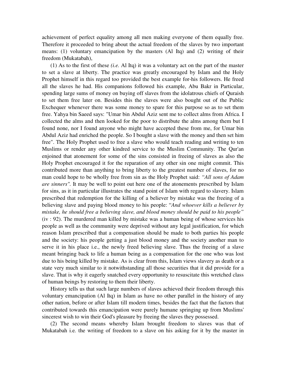achievement of perfect equality among all men making everyone of them equally free. Therefore it proceeded to bring about the actual freedom of the slaves by two important means: (1) voluntary emancipation by the masters (Al Itq) and (2) writing of their freedom (Mukatabah),

(1) As to the first of these *(i.e.* Al Itq) it was a voluntary act on the part of the master to set a slave at liberty. The practice was greatly encouraged by Islam and the Holy Prophet himself in this regard too provided the best example for-his followers. He freed all the slaves he had. His companions followed his example, Abu Bakr in Particular, spending large sums of money on buying off slaves from the idolatrous chiefs of Quraish to set them free later on. Besides this the slaves were also bought out of the Public Exchequer whenever there was some money to spare for this purpose so as to set them free. Yahya bin Saeed says: "Umar bin Abdul Aziz sent me to collect alms from Africa. I collected the alms and then looked for the poor to distribute the alms among them but I found none, nor I found anyone who might have accepted these from me, for Umar bin Abdul Aziz had enriched the people. So I bought a slave with the money and then set him free". The Holy Prophet used to free a slave who would teach reading and writing to ten Muslims or render any other kindred service to the Muslim Community. The Qur'an enjoined that atonement for some of the sins consisted in freeing of slaves as also the Holy Prophet encouraged it for the reparation of any other sin one might commit. This contributed more than anything to bring liberty to the greatest number of slaves, for no man could hope to be wholly free from sin as the Holy Prophet said: *"All sons of Adam are sinners".* It may be well to point out here one of the atonements prescribed by Islam for sins, as it in particular illustrates the stand point of Islam with regard to slavery. Islam prescribed that redemption for the killing of a believer by mistake was the freeing of a believing slave and paying blood money to his people: "*And whoever kills a believer by mistake, he should free a believing slave, and blood money should be paid to his people"*  (iv : 92). The murdered man killed by mistake was a human being of whose services his people as well as the community were deprived without any legal justification, for which reason Islam prescribed that a compensation should be made to both parties his people and the society: his people getting a just blood money and the society another man to serve it in his place i.e., the newly freed believing slave. Thus the freeing of a slave meant bringing back to life a human being as a compensation for the one who was lost due to his being killed by mistake. As is clear from this, Islam views slavery as death or a state very much similar to it notwithstanding all those securities that it did provide for a slave. That is why it eagerly snatched every opportunity to resuscitate this wretched class of human beings by restoring to them their liberty.

History tells us that such large numbers of slaves achieved their freedom through this voluntary emancipation (Al Itq) in Islam as have no other parallel in the history of any other nation, before or after Islam till modern times, besides the fact that the factors that contributed towards this emancipation were purely humane springing up from Muslims' sincerest wish to win their God's pleasure by freeing the slaves they possessed.

(2) The second means whereby Islam brought freedom to slaves was that of Mukatabah i.e*.* the writing of freedom to a slave on his asking for it by the master in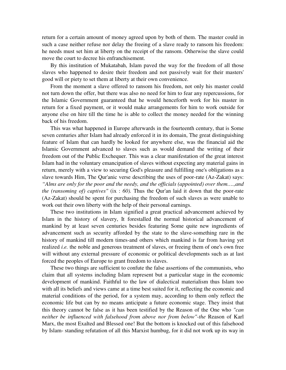return for a certain amount of money agreed upon by both of them. The master could in such a case neither refuse nor delay the freeing of a slave ready to ransom his freedom: he needs must set him at liberty on the receipt of the ransom. Otherwise the slave could move the court to decree his enfranchisement.

By this institution of Mukatabah, Islam paved the way for the freedom of all those slaves who happened to desire their freedom and not passively wait for their masters' good will or piety to set them at liberty at their own convenience.

From the moment a slave offered to ransom his freedom, not only his master could not turn down the offer, but there was also no need for him to fear any repercussions, for the Islamic Government guaranteed that he would henceforth work for his master in return for a fixed payment, or it would make arrangements for him to work outside for anyone else on hire till the time he is able to collect the money needed for the winning back of his freedom.

This was what happened in Europe afterwards in the fourteenth century, that is Some seven centuries after Islam had already enforced it in its domain, The great distinguishing feature of Islam that can hardly be looked for anywhere else, was the financial aid the Islamic Government advanced to slaves such as would demand the writing of their freedom out of the Public Exchequer. This was a clear manifestation of the great interest Islam had in the voluntary emancipation of slaves without expecting any material gains in return, merely with a view to securing God's pleasure and fulfilling one's obligations as a slave towards Him, The Qur'anic verse describing the uses of poor-rate (Az-Zakat) says: *"Alms are only for the poor and the needy, and the officials (appointed) over them….,and the (ransoming of) captives"* (ix : *60).* Thus the Qur'an laid it down that the poor-rate (Az-Zakat) should be spent for purchasing the freedom of such slaves as were unable to work out their own liberty with the help of their personal earnings.

These two institutions in Islam signified a great practical advancement achieved by Islam in the history of slavery, It forestalled the normal historical advancement of mankind by at least seven centuries besides featuring Some quite new ingredients of advancement such as security afforded by the state to the slave-something rare in the history of mankind till modern times-and others which mankind is far from having yet realized *i.e.* the noble and generous treatment of slaves, or freeing them of one's own free will without any external pressure of economic or political developments such as at last forced the peoples of Europe to grant freedom to slaves.

These two things are sufficient to confute the false assertions of the communists, who claim that all systems including Islam represent but a particular stage in the economic development of mankind. Faithful to the law of dialectical materialism thus Islam too with all its beliefs and views came at a time best suited for it, reflecting the economic and material conditions of the period, for a system may, according to them only reflect the economic life but can by no means anticipate a future economic stage. They insist that this theory cannot be false as it has been testified by the Reason of the One who *"can neither be influenced with falsehood from above nor from below"-the* Reason of Karl Marx, the most Exalted and Blessed one! But the bottom is knocked out of this falsehood by Islam- standing refutation of all this Marxist humbug, for it did not work up its way in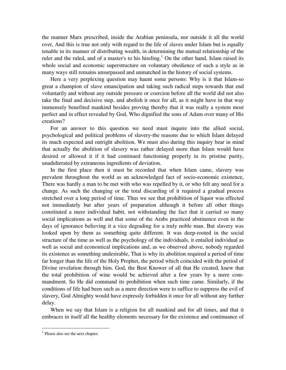the manner Marx prescribed, inside the Arabian peninsula, nor outside it all the world over, And this is true not only with regard to the life of slaves under Islam but is equally tenable in its manner of distributing wealth, in determining the mutual relationship of the ruler and the ruled, and of a master's to his hireling.<sup>1</sup> On the other hand, Islam raised its whole social and economic superstructure on voluntary obedience of such a style as in many ways still remains unsurpassed and unmatched in the history of social systems.

Here a very perplexing question may haunt some persons: Why is it that Islam-so great a champion of slave emancipation and taking such radical steps towards that end voluntarily and without any outside pressure or coercion before all the world did not also take the final and decisive step, and abolish it once for all, as it might have in that way immensely benefited mankind besides proving thereby that it was really a system most perfect and in effect revealed by God, Who dignified the sons of Adam over many of His creations?

For an answer to this question we need must inquire into the allied social, psychological and political problems of slavery-the reasons due to which Islam delayed its much expected and outright abolition. We must also during this inquiry bear in mind that actually the abolition of slavery was rather delayed more than Islam would have desired or allowed it if it had continued functioning properly in its pristine purity, unadulterated by extraneous ingredients of deviation.

In the first place then it must be recorded that when Islam came, slavery was prevalent throughout the world as an acknowledged fact of socio-economic existence, There was hardly a man to be met with who was repelled by it, or who felt any need for a change. As such the changing or the total discarding of it required a gradual process stretched over a long period of time. Thus we see that prohibition of liquor was effected not immediately but after years of preparation although it before all other things constituted a mere individual habit, not withstanding the fact that it carried so many social implications as well and that some of the Arabs practiced abstinence even in the days of ignorance believing it a vice degrading for a truly noble man. But slavery was looked upon by them as something quite different. It was deep-rooted in the social structure of the time as well as the psychology of the individuals, it entailed individual as well as social and economical implications and, as we observed above, nobody regarded its existence as something undesirable, That is why its abolition required a period of time far longer than the life of the Holy Prophet, the period which coincided with the period of Divine revelation through him. God, the Best Knower of all that He created, knew that the total prohibition of wine would be achieved after a few years by a mere commandment. So He did command its prohibition when such time came. Similarly, if the conditions of life had been such as a mere direction were to suffice to suppress the evil of slavery, God Almighty would have expressly forbidden it once for all without any further delay.

When we say that Islam is a religion for all mankind and for all times, and that it embraces in itself all the healthy elements necessary for the existence and continuance of

<sup>&</sup>lt;sup>1</sup> Please also see the next chapter.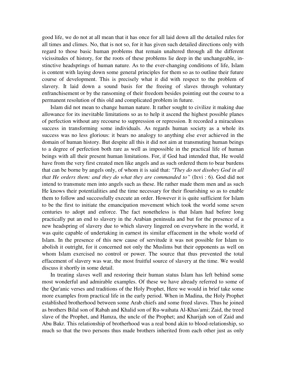good life, we do not at all mean that it has once for all laid down all the detailed rules for all times and climes. No, that is not so, for it has given such detailed directions only with regard to those basic human problems that remain unaltered through all the different vicissitudes of history, for the roots of these problems lie deep in the unchangeable, instinctive headsprings of human nature. As to the ever-changing conditions of life, Islam is content with laying down some general principles for them so as to outline their future course of development. This is precisely what it did with respect to the problem of slavery. It laid down a sound basis for the freeing of slaves through voluntary enfranchisement or by the ransoming of their freedom besides pointing out the course to a permanent resolution of this old and complicated problem in future.

Islam did not mean to change human nature. It rather sought to civilize it making due allowance for its inevitable limitations so as to help it ascend the highest possible planes of perfection without any recourse to suppression or repression. It recorded a miraculous success in transforming some individuals. As regards human society as a whole its success was no less glorious: it bears no analogy to anything else ever achieved in the domain of human history. But despite all this it did not aim at transmuting human beings to a degree of perfection both rare as well as impossible in the practical life of human beings with all their present human limitations. For, if God had intended that, He would have from the very first created men like angels and as such ordered them to bear burdens that can be borne by angels only, of whom it is said that: *"They do not disobey God in all that He orders them: and they do what they are commanded to"* (Ixvi : 6). God did not intend to transmute men into angels such as these. He rather made them men and as such He knows their potentialities and the time necessary for their flourishing so as to enable them to follow and successfully execute an order. However it is quite sufficient for Islam to be the first to initiate the emancipation movement which took the world some seven centuries to adopt and enforce. The fact nonetheless is that Islam had before long practically put an end to slavery in the Arabian peninsula and but for the presence of a new headspring of slavery due to which slavery lingered on everywhere in the world, it was quite capable of undertaking in earnest its similar effacement in the whole world of Islam. In the presence of this new cause of servitude it was not possible for Islam to abolish it outright, for it concerned not only the Muslims but their opponents as well on whom Islam exercised no control or power. The source that thus prevented the total effacement of slavery was war, the most fruitful source of slavery at the time. We would discuss it shortly in some detail.

In treating slaves well and restoring their human status Islam has left behind some most wonderful and admirable examples. Of these we have already referred to some of the Qur'anic verses and traditions of the Holy Prophet, Here we would in brief take some more examples from practical life in the early period. When in Madina, the Holy Prophet established brotherhood between some Arab chiefs and some freed slaves. Thus he joined as brothers Bilal son of Rabah and Khalid son of Ru-waihata Al-Khas'ami; Zaid, the treed slave of the Prophet, and Hamza, the uncle of the Prophet; and Kharijah son of Zaid and Abu Bakr. This relationship of brotherhood was a real bond akin to blood-relationship, so much so that the two persons thus made brothers inherited from each other just as only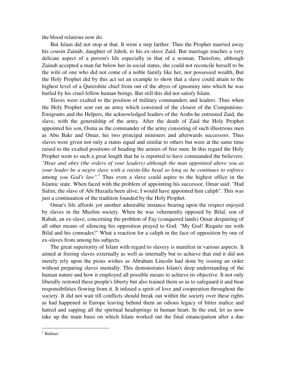the blood relations now do.

But Islam did not stop at that. It went a step farther. Thus the Prophet married away his cousin Zainab, daughter of Jahsh, to his ex-slave Zaid. But marriage touches a very delicate aspect of a person's life especially in that of a woman. Therefore, although Zainab accepted a man far below her in social status, she could not reconcile herself to be the wife of one who did not come of a noble family like her, nor possessed wealth, But the Holy Prophet did by this act set an example to show that a slave could attain to the highest level of a Qureishite chief from out of the abyss of ignominy into which he was hurled by his cruel fellow human beings. But still this did not satisfy Islam.

Slaves were exalted to the position of military commanders and leaders. Thus when the Holy Prophet sent out an army which consisted of the closest of the Companions-Emigrants and the Helpers, the acknowledged leaders of the Arabs-he entrusted Zaid, the slave, with the generalship of the army. After the death of Zaid the Holy Prophet appointed his son, Osma as the commander of the army consisting of such illustrious men as Abu Bakr and Omar, his two principal ministers and afterwards successors. Thus slaves were given not only a status equal and similar to others but were at the same time raised to the exalted positions of heading the armies of free men. In this regard the Holy Prophet went to such a great length that he is reported to have commanded the believers: *"Hear and obey (the orders of your leaders) although the man appointed above you as your leader be a negro slave with a raisin-like head so long as he continues to enforce*  among *you God's law".<sup>1</sup>* Thus even a slave could aspire to the highest office in the Islamic state. When faced with the problem of appointing his successor, Omar said: "Had Salim, the slave of Abi Huzaifa been alive, I would have appointed him caliph". This was just a continuation of the tradition founded by the Holy Prophet.

Omar's life affords yet another admirable instance bearing upon the respect enjoyed by slaves in the Muslim society. When he was vehemently opposed by Bilal, son of Rabah, an ex-slave, concerning the problem of Fay (conquered lands) Omar despairing of all other means of silencing his opposition prayed to God: "My God! Requite me with Bilal and his comrades!" What a reaction for a caliph in the face of opposition by one of ex-slaves from among his subjects.

The great superiority of Islam with regard to slavery is manifest in various aspects. It aimed at freeing slaves externally as well as internally but to achieve that end it did not merely rely upon the pious wishes as Abraham Lincoln had done by issuing an order without preparing slaves mentally. This demonstrates Islam's deep understanding of the human nature and how it employed all possible means to achieve its objective. It not only liberally restored these people's liberty but also trained them so as to safeguard it and bear responsibilities flowing from it. It infused a spirit of love and cooperation throughout the society. It did not wait till conflicts should break out within the society over these rights as had happened in Europe leaving behind them an odious legacy of bitter malice and hatred and sapping all the spiritual headsprings in human heart. In the end, let us now take up the main basis on which Islam worked out the final emancipation after a due

<sup>&</sup>lt;sup>1</sup> Bukhari.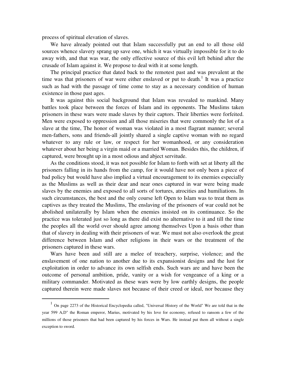process of spiritual elevation of slaves.

 $\overline{a}$ 

We have already pointed out that Islam successfully put an end to all those old sources whence slavery sprang up save one, which it was virtually impossible for it to do away with, and that was war, the only effective source of this evil left behind after the crusade of Islam against it. We propose to deal with it at some length.

The principal practice that dated back to the remotest past and was prevalent at the time was that prisoners of war were either enslaved or put to death.<sup>1</sup> It was a practice such as had with the passage of time come to stay as a necessary condition of human existence in those past ages.

It was against this social background that Islam was revealed to mankind. Many battles took place between the forces of Islam and its opponents. The Muslims taken prisoners in these wars were made slaves by their captors. Their liberties were forfeited. Men were exposed to oppression and all those miseries that were commonly the lot of a slave at the time, The honor of woman was violated in a most flagrant manner; several men-fathers, sons and friends-all jointly shared a single captive woman with no regard whatever to any rule or law, or respect for her womanhood, or any consideration whatever about her being a virgin maid or a married Woman. Besides this, the children, if captured, were brought up in a most odious and abject servitude.

As the conditions stood, it was not possible for Islam to forth with set at liberty all the prisoners falling in its hands from the camp, for it would have not only been a piece of bad policy but would have also implied a virtual encouragement to its enemies especially as the Muslims as well as their dear and near ones captured in war were being made slaves by the enemies and exposed to all sorts of tortures, atrocities and humiliations. In such circumstances, the best and the only course left Open to Islam was to treat them as captives as they treated the Muslims, The enslaving of the prisoners of war could not be abolished unilaterally by Islam when the enemies insisted on its continuance. So the practice was tolerated just so long as there did exist no alternative to it and till the time the peoples all the world over should agree among themselves Upon a basis other than that of slavery in dealing with their prisoners of war. We must not also overlook the great difference between Islam and other religions in their wars or the treatment of the prisoners captured in these wars.

Wars have been aud still are a melee of treachery, surprise, violence; and the enslavement of one nation to another due to its expansionist designs and the lust for exploitation in order to advance its own selfish ends. Such wars are and have been the outcome of personal ambition, pride, vanity or a wish for vengeance of a king or a military commander. Motivated as these wars were by low earthly designs, the people captured therein were made slaves not because of their creed or ideal, nor because they

<sup>1</sup> On page 2273 of the Historical Encyclopedia called, "Universal History of the World" We are told that in the year 599 A,D" the Roman emperor, Marius, motivated by his love for economy, refused to ransom a few of the millions of those prisoners that had been captured by his forces in Wars. He instead put them all without a single exception to sword.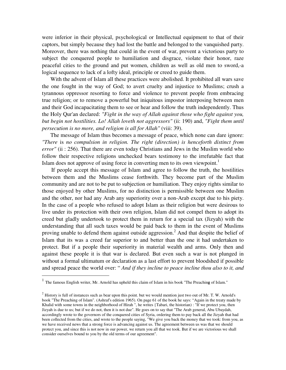were inferior in their physical, psychological or Intellectual equipment to that of their captors, but simply because they had lost the battle and belonged to the vanquished party. Moreover, there was nothing that could in the event of war, prevent a victorious party to subject the conquered people to humiliation and disgrace, violate their honor, raze peaceful cities to the ground and put women, children as well as old men to sword,-a logical sequence to lack of a lofty ideal, principle or creed to guide them.

With the advent of Islam all these practices were abolished. It prohibited all wars save the one fought in the way of God; to avert cruelty and injustice to Muslims; crush a tyrannous oppressor resorting to force and violence to prevent people from embracing true religion; or to remove a powerful but iniquitous impostor interposing between men and their God incapacitating them to see or hear and follow the truth independently. Thus the Holy Qur'an declared: *"Fight in the way of Allah against those who fight against you, but begin not hostilities. Lo! Allah loveth not aggressors"* (ii: 190) and, *"Fight them until persecution is no more, and religion is all for Allah"* (viii: 39).

The message of Islam thus becomes a message of peace, which none can dare ignore: *"There* is *no compulsion in religion. The right (direction) is henceforth distinct from error"* (ii : 256). That there are even today Christians and Jews in the Muslim world who follow their respective religions unchecked bears testimony to the irrefutable fact that Islam does not approve of using force in converting men to its own viewpoint.<sup>1</sup>

 If people accept this message of Islam and agree to follow the truth, the hostilities between them and the Muslims cease forthwith. They become part of the Muslim community and are not to be put to subjection or humiliation. They enjoy rights similar to those enjoyed by other Muslims, for no distinction is permissible between one Muslim and the other, nor had any Arab any superiority over a non-Arab except due to his piety. In the case of a people who refused to adopt Islam as their religion but were desirous to live under its protection with their own religion, Islam did not compel them to adopt its creed but gladly undertook to protect them in return for a special tax (Jizyah) with the understanding that all such taxes would be paid back to them in the event of Muslims proving unable to defend them against outside aggression.<sup>2</sup> And that despite the belief of Islam that its was a creed far superior to and better than the one it had undertaken to protect. But if a people their superiority in material wealth and arms. Only then and against these people it is that war is declared. But even such a war is not plunged in without a formal ultimatum or declaration as a last effort to prevent bloodshed if possible and spread peace the world over: " *And if they incline to peace incline thou also to it, and* 

<sup>1</sup> The famous English writer, Mr. Arnold has upheld this claim of Islam in his book "The Preachin**g** of Islam."

 $2$  History is full of instances such as bear upon this point. but we would mention just two out of Mr. T. W. Arnold's book "The Preaching of Islam". (Ashraf's edition 1965). On page 61 of the book he says: "Again in the treaty made by Khalid with some towns in the neighborhood of Hirah ", he writes {Tabari, the historian) : "If we protect you, then Jizyah is due to us; but if we do not, then it is not due". He goes on to say that "The Arab general, Abu Ubaydah, accordingly wrote to the governors of the conquered cities of Syria, ordering them to pay back all the Jizyah that had been collected from the cities, and wrote to the people saying, "We give you back the money that we took: from you, as we have received news that a strong force is advancing against us. The agreement between us was that we should protect you, and since this is not now in our power, we return you all that we took. But if we are victorious we shall consider ourselves bound to you by the old terms of our agreement".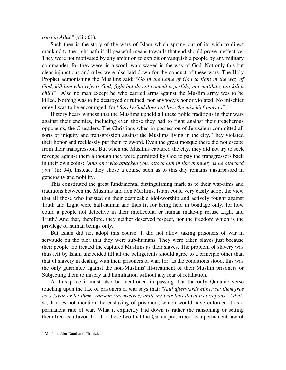*trust in Allah"* (viii: 61).

Such then is the story of the wars of Islam which sprang out of its wish to direct mankind to the right path if all peaceful means towards that end should prove ineffective. They were not motivated by any ambition to exploit or vanquish a people by any military commander, for they were, in a word, wars waged in the way of God. Not only this but clear injunctions and rules were also laid down for the conduct of these wars. The Holy Prophet admonishing the Muslims said: *"Go in the name of God to fight in the way of God; kill him who rejects God; fight but do not commit a perfidy, nor mutilate, nor kill a child".<sup>1</sup>* Also no man except he who carried arms against the Muslim army was to be killed. Nothing was to be destroyed or ruined, nor anybody's honor violated. No mischief or evil was to be encouraged, for "*Surely God does not love the mischief-makers".* 

History bears witness that the Muslims upheld all these noble traditions in their wars against their enemies, including even those they had to fight against their treacherous opponents, the Crusaders. The Christians when in possession of Jerusalem committed all sorts of iniquity and transgression against the Muslims living in the city. They violated their honor and recklessly put them to sword. Even the great mosque there did not escape from their transgression. But when the Muslims captured the city, they did not try to seek revenge against them although they were permitted by God to pay the transgressors back in their own coins: "*And one who attacked you, attack him in like manner, as he attacked you"* (ii: 94). Instead, they chose a course such as to this day remains unsurpassed in generosity and nobility.

This constituted the great fundamental distinguishing mark as to their war-aims and traditions between the Muslims and non Muslims. Islam could very easily adopt the view that all those who insisted on their despicable idol-worship and actively fought against Truth and Light were half-human and thus fit for being held in bondage only, for how could a people not defective in their intellectual or human make-up refuse Light and Truth? And that, therefore, they neither deserved respect, nor the freedom which is the privilege of human beings only.

But Islam did not adopt this course. It did not allow taking prisoners of war in servitude on the plea that they were sub-humans. They were taken slaves just because their people too treated the captured Muslims as their slaves, The problem of slavery was thus left by Islam undecided till all the belligerents should agree to a principle other than that of slavery in dealing with their prisoners of war, for, as the conditions stood, this was the only guarantee against the non-Muslims' ill-treatment of their Muslim prisoners or Subjecting them to misery and humiliation without any fear of retaliation.

At this price it must also be mentioned in passing that the only Qur'anic verse touching upon the fate of prisoners of war says that: *"And afterwards either set them free as a favor or let them ransom (themselves) until the war lays down its weapons" (xlvii:*  4), It does not mention the enslaving of prisoners, which would have enforced it as a permanent rule of war, What it explicitly laid down is rather the ransoming or setting them free as a favor, for it is these two that the Qur'an prescribed as a permanent law of

<sup>&</sup>lt;sup>1</sup> Muslim, Abu Daud and Tirmizi.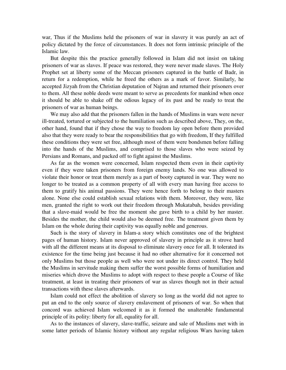war, Thus if the Muslims held the prisoners of war in slavery it was purely an act of policy dictated by the force of circumstances. It does not form intrinsic principle of the Islamic law.

But despite this the practice generally followed in Islam did not insist on taking prisoners of war as slaves. If peace was restored, they were never made slaves. The Holy Prophet set at liberty some of the Meccan prisoners captured in the battle of Badr, in return for a redemption, while he freed the others as a mark of favor. Similarly, he accepted Jizyah from the Christian deputation of Najran and returned their prisoners over to them. All these noble deeds were meant to serve as precedents for mankind when once it should be able to shake off the odious legacy of its past and be ready to treat the prisoners of war as human beings.

We may also add that the prisoners fallen in the hands of Muslims in wars were never ill-treated, tortured or subjected to the humiliation such as described above, They, on the, other hand, found that if they chose the way to freedom lay open before them provided also that they were ready to bear the responsibilities that go with freedom, If they fulfilled these conditions they were set free, although most of them were bondsmen before falling into the hands of the Muslims, and comprised to those slaves who were seized by Persians and Romans, and packed off to fight against the Muslims.

As far as the women were concerned, Islam respected them even in their captivity even if they were taken prisoners from foreign enemy lands. No one was allowed to violate their honor or treat them merely as a part of booty captured in war. They were no longer to be treated as a common property of all with every man having free access to them to gratify his animal passions. They were hence forth to belong to their masters alone. None else could establish sexual relations with them. Moreover, they were, like men, granted the right to work out their freedom through Mukatabah, besides providing that a slave-maid would be free the moment she gave birth to a child by her master. Besides the mother, the child would also be deemed free. The treatment given them by Islam on the whole during their captivity was equally noble and generous.

Such is the story of slavery in Islam-a story which constitutes one of the brightest pages of human history. Islam never approved of slavery in principle as it strove hard with all the different means at its disposal to eliminate slavery once for all. It tolerated its existence for the time being just because it had no other alternative for it concerned not only Muslims but those people as well who were not under its direct control. They held the Muslims in servitude making them suffer the worst possible forms of humiliation and miseries which drove the Muslims to adopt with respect to these people a Course of like treatment, at least in treating their prisoners of war as slaves though not in their actual transactions with these slaves afterwards.

Islam could not effect the abolition of slavery so long as the world did not agree to put an end to the only source of slavery enslavement of prisoners of war. So when that concord was achieved Islam welcomed it as it formed the unalterable fundamental principle of its polity: liberty for all, equality for all.

As to the instances of slavery, slave-traffic, seizure and sale of Muslims met with in some latter periods of Islamic history without any regular religious Wars having taken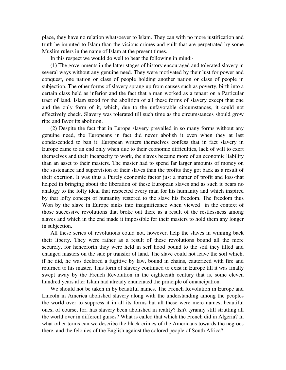place, they have no relation whatsoever to Islam. They can with no more justification and truth be imputed to Islam than the vicious crimes and guilt that are perpetrated by some Muslim rulers in the name of Islam at the present times.

In this respect we would do well to bear the following in mind:-

(1) The governments in the latter stages of history encouraged and tolerated slavery in several ways without any genuine need. They were motivated by their lust for power and conquest, one nation or class of people holding another nation or class of people in subjection. The other forms of slavery sprang up from causes such as poverty, birth into a certain class held as inferior and the fact that a man worked as a tenant on a Particular tract of land. Islam stood for the abolition of all these forms of slavery except that one and the only form of it, which, due to the unfavorable circumstances, it could not effectively check. Slavery was tolerated till such time as the circumstances should grow ripe and favor its abolition.

(2) Despite the fact that in Europe slavery prevailed in so many forms without any genuine need, the Europeans in fact did never abolish it even when they at last condescended to ban it. European writers themselves confess that in fact slavery in Europe came to an end only when due to their economic difficulties, lack of will to exert themselves and their incapacity to work, the slaves became more of an economic liability than an asset to their masters. The master had to spend far larger amounts of money on the sustenance and supervision of their slaves than the profits they got back as a result of their exertion. It was thus a Purely economic factor just a matter of profit and loss-that helped in bringing about the liberation of these European slaves and as such it bears no analogy to the lofty ideal that respected every man for his humanity and which inspired by that lofty concept of humanity restored to the slave his freedom. The freedom thus Won by the slave in Europe sinks into insignificance when viewed in the context of those successive revolutions that broke out there as a result of the restlessness among slaves and which in the end made it impossible for their masters to hold them any longer in subjection.

All these series of revolutions could not, however, help the slaves in winning back their liberty. They were rather as a result of these revolutions bound all the more securely, for henceforth they were held in serf hood bound to the soil they tilled and changed masters on the sale pr transfer of land. The slave could not leave the soil which, if he did, he was declared a fugitive by law, bound in chains, cauterized with fire and returned to his master, This form of slavery continued to exist in Europe till it was finally swept away by the French Revolution in the eighteenth century that is, some eleven hundred years after Islam had already enunciated the principle of emancipation.

We should not be taken in by beautiful names. The French Revolution in Europe and Lincoln in America abolished slavery along with the understanding among the peoples the world over to suppress it in all its forms hut all these were mere names, beautiful ones, of course, for, has slavery been abolished in reality? Isn't tyranny still strutting all the world over in different guises? What is called that which the French did in Algeria? In what other terms can we describe the black crimes of the Americans towards the negroes there, and the felonies of the English against the colored people of South Africa?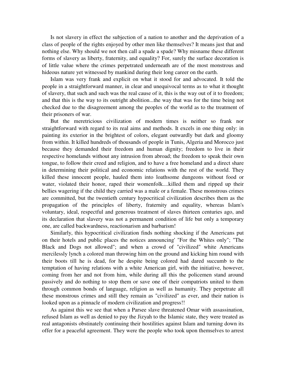Is not slavery in effect the subjection of a nation to another and the deprivation of a class of people of the rights enjoyed by other men like themselves? It means just that and nothing else. Why should we not then call a spade a spade? Why misname these different forms of slavery as liberty, fraternity, and equality? For, surely the surface decoration is of little value where the crimes perpetrated underneath are of the most monstrous and hideous nature yet witnessed by mankind during their long career on the earth.

Islam was very frank and explicit on what it stood for and advocated. It told the people in a straightforward manner, in clear and unequivocal terms as to what it thought of slavery, that such and such was the real cause of it, this is the way out of it to freedom; and that this is the way to its outright abolition...the way that was for the time being not checked due to the disagreement among the peoples of the world as to the treatment of their prisoners of war.

But the meretricious civilization of modern times is neither so frank nor straightforward with regard to its real aims and methods. It excels in one thing only: in painting its exterior in the brightest of colors, elegant outwardly but dark and gloomy from within. It killed hundreds of thousands of people in Tunis, Algeria and Morocco just because they demanded their freedom and human dignity; freedom to live in their respective homelands without any intrusion from abroad; the freedom to speak their own tongue, to follow their creed and religion, and to have a free homeland and a direct share in determining their political and economic relations with the rest of the world. They killed these innocent people, hauled them into loathsome dungeons without food or water, violated their honor, raped their womenfolk....killed them and ripped up their bellies wagering if the child they carried was a male or a female. These monstrous crimes are committed, but the twentieth century hypocritical civilization describes them as the propagation of the principles of liberty, fraternity and equality, whereas Islam's voluntary, ideal, respectful and generous treatment of slaves thirteen centuries ago, and its declaration that slavery was not a permanent condition of life but only a temporary one, are called backwardness, reactionarism and barbarism!

Similarly, this hypocritical civilization finds nothing shocking if the Americans put on their hotels and public places the notices announcing' "For the Whites only"; "The Black and Dogs not allowed"; and when a crowd of "civilized" white Americans mercilessly lynch a colored man throwing him on the ground and kicking him round with their boots till he is dead, for he despite being colored had dared succumb to the temptation of having relations with a white American girl, with the initiative, however, coming from her and not from him, while during all this the policemen stand around passively and do nothing to stop them or save one of their compatriots united to them through common bonds of language, religion as well as humanity. They perpetrate all these monstrous crimes and still they remain as "civilized" as ever, and their nation is looked upon as a pinnacle of modern civilization and progress!!

As against this we see that when a Parsee slave threatened Omar with assassination, refused Islam as well as denied to pay the Jizyah to the Islamic state, they were treated as real antagonists obstinately continuing their hostilities against Islam and turning down its offer for a peaceful agreement. They were the people who took upon themselves to arrest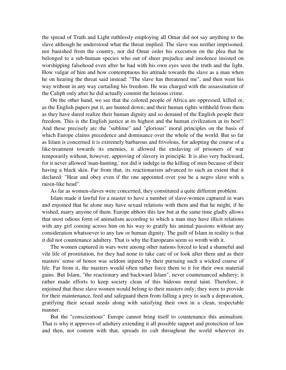the spread of Truth and Light ruthlessly employing all Omar did not say anything to the slave although he understood what the threat implied. The slave was neither imprisoned, nor banished from the country, nor did Omar order his execution on the plea that he belonged to a sub-human species who out of sheer prejudice and insolence insisted on worshipping falsehood even after he had with his own eyes seen the truth and the light. How vulgar of him and how contemptuous his attitude towards the slave as a man when he on hearing the threat said instead: "The slave has threatened me", and then went his way without in any way curtailing his freedom. He was charged with the assassination of the Caliph only after he did actually commit the heinous crime.

On the other hand, we see that the colored people of Africa are oppressed, killed or, as the English papers put it, are hunted down; and their human rights withheld from them as they have dared realize their human dignity and so demand of the English people their freedom. This is the English justice at its highest and the human civilization at its best!! And these precisely arc the "sublime" and "glorious" moral principles on the basis of which Europe claims precedence and dominance over the whole of the world. But so far as Islam is concerned it is extremely barbarous and frivolous, for adopting the course of a like-treatment towards its enemies, it allowed the enslaving of prisoners of war temporarily without, however, approving of slavery in principle. It is also very backward, for it never allowed 'man-hunting,' nor did it indulge in the killing of men because of their having a black skin. Far from that, its reactionarism advanced to such an extent that it declared: "Hear and obey even if the one appointed over you be a negro slave with a raisin-like head".

As far as women-slaves were concerned, they constituted a quite different problem.

Islam made it lawful for a master to have a number of slave-women captured in wars and enjoined that he alone may have sexual relations with them and that he might, if he wished, marry anyone of them. Europe abhors this law but at the same time gladly allows that most odious form of animalism according to which a man may have illicit relations with any girl coming across him on his way to gratify his animal passions without any consideration whatsoever to any law or human dignity. The guilt of Islam in reality is that it did not countenance adultery. That is why the Europeans seem so wroth with it.

The women captured in wars were among other nations forced to lead a shameful and vile life of prostitution, for they had none to take care of or look after them and as their masters' sense of honor was seldom injured by their pursuing such a wicked course of life. Far from it, the masters would often rather force them to it for their own material gains. But Islam, "the reactionary and backward Islam", never countenanced adultery; it rather made efforts to keep society clean of this hideous moral taint. Therefore, it enjoined that these slave women would belong to their masters only; they were to provide for their maintenance, feed and safeguard them from falling a prey to such a depravation, gratifying their sexual needs along with satisfying their own in a clean, respectable manner.

But the "conscientious" Europe cannot bring itself to countenance this animalism. That is why it approves of adultery extending it all possible support and protection of law and then, not content with that, spreads its cult throughout the world wherever its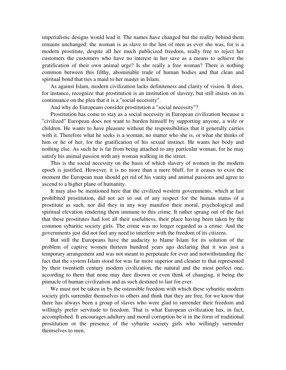imperialistic designs would lead it. The names have changed but the reality behind them remains unchanged: the woman is as slave to the lust of men as ever she was, for is a modern prostitute, despite all her much publicized freedom, really free to reject her customers the customers who have no interest in her save as a means to achieve the gratification of their own animal urge? Is she really a free woman? There is nothing common between this filthy, abominable trade of human bodies and that clean and spiritual bond that ties a maid to her master in Islam.

As against Islam, modern civilization lacks definiteness and clarity of vision. It does, for instance, recognize that prostitution is an institution of slavery, but still insists on its continuance on the plea that it is a "social necessity".

And why do Europeans consider prostitution a "social necessity"?

Prostitution has come to stay as a social necessity in European civilization because a "civilized" European does not want to burden himself by supporting anyone, a wife or children. He wants to have pleasure without the responsibilities that it generally carries with it. Therefore what he seeks is a woman, no matter who she is, or what she thinks of him or he of her, for the gratification of his sexual instinct. He wants her body and nothing else. As such he is far from being attached to any particular woman, for he may satisfy his animal passion with any woman walking in the street.

This is the social necessity on the basis of which slavery of women in the modern epoch is justified. However, it is no more than a mere bluff, for it ceases to exist the moment the European man should get rid of his vanity and animal passions and agree to ascend to a higher plane of humanity.

It may also be mentioned here that the civilized western governments, which at last prohibited prostitution, did not act so out of any respect for the human status of a prostitute as such, nor did they in any way manifest their moral, psychological and spiritual elevation rendering them immune to this crime. It rather sprang out of the fact that these prostitutes had lost all their usefulness, their place having been taken by the common sybaritic society girls. The crime was no longer regarded as a crime. And the governments just did not feel any need to interfere with the freedom of its citizens.

But still the Europeans have the audacity to blame Islam for its solution of the problem of captive women thirteen hundred years ago declaring that it was just a temporary arrangement and was not meant to perpetuate for ever and notwithstanding the fact that the system Islam stood for was far more superior and cleaner to that represented by their twentieth century modern civilization, the natural and the most perfect one, according to them that none may dare disown or even think of changing, it being the pinnacle of human civilization and as such destined to last for ever.

We must not be taken in by the ostensible freedom with which these sybaritic modern society girls surrender themselves to others and think that they are free, for we know that there has always been a group of slaves who were glad to surrender their freedom and willingly prefer servitude to freedom. That is what European civilization has, in fact, accomplished. It encourages adultery and moral corruption be it in the form of traditional prostitution or the presence of the sybarite society girls who willingly surrender themselves to men.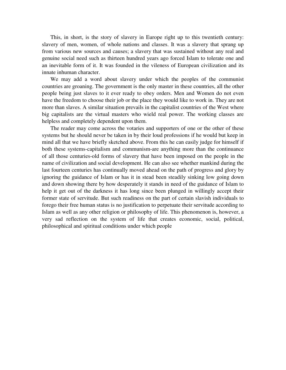This, in short, is the story of slavery in Europe right up to this twentieth century: slavery of men, women, of whole nations and classes. It was a slavery that sprang up from various new sources and causes; a slavery that was sustained without any real and genuine social need such as thirteen hundred years ago forced Islam to tolerate one and an inevitable form of it. It was founded in the vileness of European civilization and its innate inhuman character.

We may add a word about slavery under which the peoples of the communist countries are groaning. The government is the only master in these countries, all the other people being just slaves to it ever ready to obey orders. Men and Women do not even have the freedom to choose their job or the place they would like to work in. They are not more than slaves. A similar situation prevails in the capitalist countries of the West where big capitalists are the virtual masters who wield real power. The working classes are helpless and completely dependent upon them.

The reader may come across the votaries and supporters of one or the other of these systems but he should never be taken in by their loud professions if he would but keep in mind all that we have briefly sketched above. From this he can easily judge for himself if both these systems-capitalism and communism-are anything more than the continuance of all those centuries-old forms of slavery that have been imposed on the people in the name of civilization and social development. He can also see whether mankind during the last fourteen centuries has continually moved ahead on the path of progress and glory by ignoring the guidance of Islam or has it in stead been steadily sinking low going down and down showing there by how desperately it stands in need of the guidance of Islam to help it get out of the darkness it has long since been plunged in willingly accept their former state of servitude. But such readiness on the part of certain slavish individuals to forego their free human status is no justification to perpetuate their servitude according to Islam as well as any other religion or philosophy of life. This phenomenon is, however, a very sad reflection on the system of life that creates economic, social, political, philosophical and spiritual conditions under which people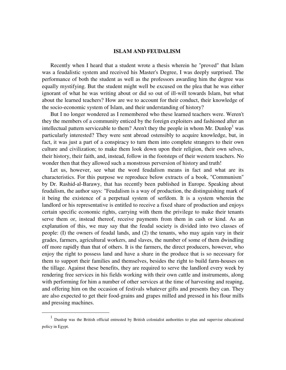## **ISLAM AND FEUDALISM**

Recently when I heard that a student wrote a thesis wherein he "proved" that Islam was a feudalistic system and received his Master's Degree, I was deeply surprised. The performance of both the student as well as the professors awarding him the degree was equally mystifying. But the student might well be excused on the plea that he was either ignorant of what he was writing about or did so out of ill-will towards Islam, but what about the learned teachers? How are we to account for their conduct, their knowledge of the socio-economic system of Islam, and their understanding of history?

But I no longer wondered as I remembered who these learned teachers were. Weren't they the members of a community enticed by the foreign exploiters and fashioned after an intellectual pattern serviceable to them? Aren't they the people in whom Mr. Dunlop<sup>1</sup> was particularly interested? They were sent abroad ostensibly to acquire knowledge, but, in fact, it was just a part of a conspiracy to turn them into complete strangers to their own culture and civilization; to make them look down upon their religion, their own selves, their history, their faith, and, instead, follow in the footsteps of their western teachers. No wonder then that they allowed such a monstrous perversion of history and truth!

Let us, however, see what the word feudalism means in fact and what are its characteristics. For this purpose we reproduce below extracts of a book, "Communism" by Dr. Rashid-al-Barawy, that has recently been published in Europe. Speaking about feudalism, the author says: "Feudalism is a way of production, the distinguishing mark of it being the existence of a perpetual system of serfdom. It is a system wherein the landlord or his representative is entitled to receive a fixed share of production and enjoys certain specific economic rights, carrying with them the privilege to make their tenants serve them or, instead thereof, receive payments from them in cash or kind. As an explanation of this, we may say that the feudal society is divided into two classes of people: (I) the owners of feudal lands, and (2) the tenants, who may again vary in their grades, farmers, agricultural workers, and slaves, the number of some of them dwindling off more rapidly than that of others. It is the farmers, the direct producers, however, who enjoy the right to possess land and have a share in the produce that is so necessary for them to support their families and themselves, besides the right to build farm-houses on the tillage. Against these benefits, they are required to serve the landlord every week by rendering free services in his fields working with their own cattle and instruments, along with performing for him a number of other services at the time of harvesting and reaping, and offering him on the occasion of festivals whatever gifts and presents they can. They are also expected to get their food-grains and grapes milled and pressed in his flour mills and pressing machines.

 $\overline{a}$ 

<sup>&</sup>lt;sup>1</sup> Dunlop was the British official entrusted by British colonialist authorities to plan and supervise educational policy in Egypt.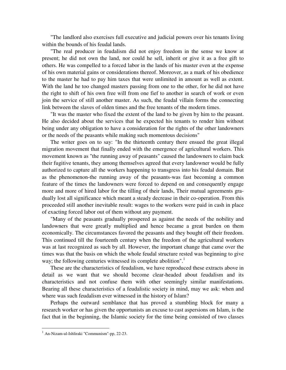"The landlord also exercises full executive and judicial powers over his tenants living within the bounds of his feudal lands.

"The real producer in feudalism did not enjoy freedom in the sense we know at present; he did not own the land, nor could he sell, inherit or give it as a free gift to others. He was compelled to a forced labor in the lands of his master even at the expense of his own material gains or considerations thereof. Moreover, as a mark of his obedience to the master he had to pay him taxes that were unlimited in amount as well as extent. With the land he too changed masters passing from one to the other, for he did not have the right to shift of his own free will from one fief to another in search of work or even join the service of still another master. As such, the feudal villain forms the connecting link between the slaves of olden times and the free tenants of the modern times.

"It was the master who fixed the extent of the land to be given by him to the peasant. He also decided about the services that he expected his tenants to render him without being under any obligation to have a consideration for the rights of the other landowners or the needs of the peasants while making such momentous decisions"

The writer goes on to say: "In the thirteenth century there ensued the great illegal migration movement that finally ended with the emergence of agricultural workers. This movement known as "the running away of peasants" caused the landowners to claim back their fugitive tenants, they among themselves agreed that every landowner would be fully authorized to capture all the workers happening to transgress into his feudal domain. But as the phenomenon-the running away of the peasants-was fast becoming a common feature of the times the landowners were forced to depend on and consequently engage more and more of hired labor for the tilling of their lands, Their mutual agreements gradually lost all significance which meant a steady decrease in their co-operation. From this proceeded still another inevitable result: wages to the workers were paid in cash in place of exacting forced labor out of them without any payment.

"Many of the peasants gradually prospered as against the needs of the nobility and landowners that were greatly multiplied and hence became a great burden on them economically. The circumstances favored the peasants and they bought off their freedom. This continued till the fourteenth century when the freedom of the agricultural workers was at last recognized as such by all. However, the important change that came over the times was that the basis on which the whole feudal structure rested was beginning to give way; the following centuries witnessed its complete abolition".<sup>1</sup>

These are the characteristics of feudalism, we have reproduced these extracts above in detail as we want that we should become clear-headed about feudalism and its characteristics and not confuse them with other seemingly similar manifestations. Bearing all these characteristics of a feudalistic society in mind, may we ask: when and where was such feudalism ever witnessed in the history of Islam?

Perhaps the outward semblance that has proved a stumbling block for many a research worker or has given the opportunists an excuse to cast aspersions on Islam, is the fact that in the beginning, the Islamic society for the time being consisted of two classes

 $\overline{a}$ 

<sup>1</sup> An-Nizam-ul-Ishliraki "Communism"-pp, 22-23.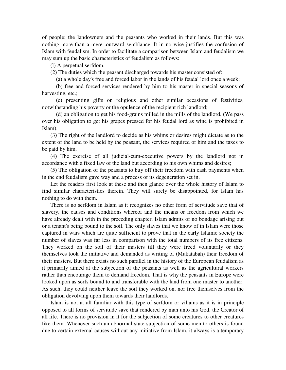of people: the landowners and the peasants who worked in their lands. But this was nothing more than a mere .outward semblance. It in no wise justifies the confusion of Islam with feudalism. In order to facilitate a comparison between Islam and feudalism we may sum up the basic characteristics of feudalism as follows:

(l) A perpetual serfdom.

(2) The duties which the peasant discharged towards his master consisted of:

(a) a whole day's free and forced labor in the lands of his feudal lord once a week;

(b) free and forced services rendered by him to his master in special seasons of harvesting, etc.;

 (c) presenting gifts on religious and other similar occasions of festivities, notwithstanding his poverty or the opulence of the recipient rich landlord;

 (d) an obligation to get his food-grains milled in the mills of the landlord. (We pass over his obligation to get his grapes pressed for his feudal lord as wine is prohibited in Islam).

(3) The right of the landlord to decide as his whims or desires might dictate as to the extent of the land to be held by the peasant, the services required of him and the taxes to be paid by him.

(4) The exercise of all judicial-cum-executive powers by the landlord not in accordance with a fixed law of the land but according to his own whims and desires;

(5) The obligation of the peasants to buy off their freedom with cash payments when in the end feudalism gave way and a process of its degeneration set in.

Let the readers first look at these and then glance over the whole history of Islam to find similar characteristics therein. They will surely be disappointed, for Islam has nothing to do with them.

There is no serfdom in Islam as it recognizes no other form of servitude save that of slavery, the causes and conditions whereof and the means or freedom from which we have already dealt with in the preceding chapter. Islam admits of no bondage arising out or a tenant's being bound to the soil. The only slaves that we know of in Islam were those captured in wars which are quite sufficient to prove that in the early Islamic society the number of slaves was far less in comparison with the total numbers of its free citizens. They worked on the soil of their masters till they were freed voluntarily or they themselves took the initiative and demanded as writing of (Mukatabah) their freedom of their masters. But there exists no such parallel in the history of the European feudalism as it primarily aimed at the subjection of the peasants as well as the agricultural workers rather than encourage them to demand freedom. That is why the peasants in Europe were looked upon as serfs bound to and transferable with the land from one master to another. As such, they could neither leave the soil they worked on, nor free themselves from the obligation devolving upon them towards their landlords.

Islam is not at all familiar with this type of serfdom or villains as it is in principle opposed to all forms of servitude save that rendered by man unto his God, the Creator of all life. There is no provision in it for the subjection of some creatures to other creatures like them. Whenever such an abnormal state-subjection of some men to others is found due to certain external causes without any initiative from Islam, it always is a temporary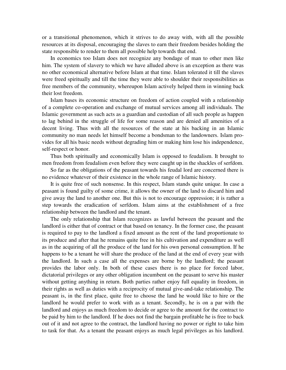or a transitional phenomenon, which it strives to do away with, with all the possible resources at its disposal, encouraging the slaves to earn their freedom besides holding the state responsible to render to them all possible help towards that end.

In economics too Islam does not recognize any bondage of man to other men like him. The system of slavery to which we have alluded above is an exception as there was no other economical alternative before Islam at that time. Islam tolerated it till the slaves were freed spiritually and till the time they were able to shoulder their responsibilities as free members of the community, whereupon Islam actively helped them in winning back their lost freedom.

Islam bases its economic structure on freedom of action coupled with a relationship of a complete co-operation and exchange of mutual services among all individuals. The Islamic government as such acts as a guardian and custodian of all such people as happen to lag behind in the struggle of life for some reason and are denied all amenities of a decent living. Thus with all the resources of the state at his backing in an Islamic community no man needs let himself become a bondsman to the landowners. Islam provides for all his basic needs without degrading him or making him lose his independence, self-respect or honor.

Thus both spiritually and economically Islam is opposed to feudalism. It brought to men freedom from feudalism even before they were caught up in the shackles of serfdom.

So far as the obligations of the peasant towards his feudal lord are concerned there is no evidence whatever of their existence in the whole range of Islamic history.

It is quite free of such nonsense. In this respect, Islam stands quite unique. In case a peasant is found guilty of some crime, it allows the owner of the land to discard him and give away the land to another one. But this is not to encourage oppression; it is rather a step towards the eradication of serfdom. Islam aims at the establishment of a free relationship between the landlord and the tenant.

The only relationship that Islam recognizes as lawful between the peasant and the landlord is either that of contract or that based on tenancy. In the former case, the peasant is required to pay to the landlord a fixed amount as the rent of the land proportionate to its produce and after that he remains quite free in his cultivation and expenditure as well as in the acquiring of all the produce of the land for his own personal consumption. If he happens to be a tenant he will share the produce of the land at the end of every year with the landlord. In such a case all the expenses are borne by the landlord; the peasant provides the labor only. In both of these cases there is no place for forced labor, dictatorial privileges or any other obligation incumbent on the peasant to serve his master without getting anything in return. Both parties rather enjoy full equality in freedom, in their rights as well as duties with a reciprocity of mutual give-and-take relationship. The peasant is, in the first place, quite free to choose the land he would like to hire or the landlord he would prefer to work with as a tenant. Secondly, he is on a par with the landlord and enjoys as much freedom to decide or agree to the amount for the contract to be paid by him to the landlord. If he does not find the bargain profitable he is free to back out of it and not agree to the contract, the landlord having no power or right to take him to task for that. As a tenant the peasant enjoys as much legal privileges as his landlord.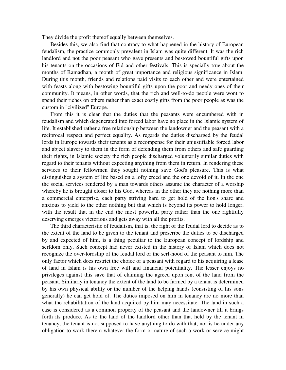They divide the profit thereof equally between themselves.

Besides this, we also find that contrary to what happened in the history of European feudalism, the practice commonly prevalent in Islam was quite different. It was the rich landlord and not the poor peasant who gave presents and bestowed bountiful gifts upon his tenants on the occasions of Eid and other festivals. This is specially true about the months of Ramadhan, a month of great importance and religious significance in Islam. During this month, friends and relations paid visits to each other and were entertained with feasts along with bestowing bountiful gifts upon the poor and needy ones of their community. It means, in other words, that the rich and well-to-do people were wont to spend their riches on others rather than exact costly gifts from the poor people as was the custom in "civilized" Europe.

From this it is clear that the duties that the peasants were encumbered with in feudalism and which degenerated into forced labor have no place in the Islamic system of life. It established rather a free relationship between the landowner and the peasant with a reciprocal respect and perfect equality. As regards the duties discharged by the feudal lords in Europe towards their tenants as a recompense for their unjustifiable forced labor and abject slavery to them in the form of defending them from others and safe guarding their rights, in Islamic society the rich people discharged voluntarily similar duties with regard to their tenants without expecting anything from them in return. In rendering these services to their fellowmen they sought nothing save God's pleasure. This is what distinguishes a system of life based on a lofty creed and the one devoid of it. In the one the social services rendered by a man towards others assume the character of a worship whereby he is brought closer to his God, whereas in the other they are nothing more than a commercial enterprise, each party striving hard to get hold of the lion's share and anxious to yield to the other nothing but that which is beyond its power to hold longer, with the result that in the end the most powerful party rather than the one rightfully deserving emerges victorious and gets away with all the profits.

The third characteristic of feudalism, that is, the right of the feudal lord to decide as to the extent of the land to be given to the tenant and prescribe the duties to be discharged by and expected of him, is a thing peculiar to the European concept of lordship and serfdom only. Such concept had never existed in the history of Islam which does not recognize the over-lordship of the feudal lord or the serf-hood of the peasant to him. The only factor which does restrict the choice of a peasant with regard to his acquiring a lease of land in Islam is his own free will and financial potentiality. The lesser enjoys no privileges against this save that of claiming the agreed upon rent of the land from the peasant. Similarly in tenancy the extent of the land to be farmed by a tenant is determined by his own physical ability or the number of the helping hands (consisting of his sons generally) he can get hold of. The duties imposed on him in tenancy are no more than what the rehabilitation of the land acquired by him may necessitate. The land in such a case is considered as a common property of the peasant and the landowner till it brings forth its produce. As to the land of the landlord other than that held by the tenant in tenancy, the tenant is not supposed to have anything to do with that, nor is he under any obligation to work therein whatever the form or nature of such a work or service might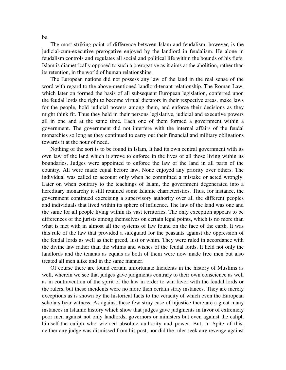The most striking point of difference between Islam and feudalism, however, is the judicial-cum-executive prerogative enjoyed by the landlord in feudalism. He alone in feudalism controls and regulates all social and political life within the bounds of his fiefs. Islam is diametrically opposed to such a prerogative as it aims at the abolition, rather than its retention, in the world of human relationships.

The European nations did not possess any law of the land in the real sense of the word with regard to the above-mentioned landlord-tenant relationship. The Roman Law, which later on formed the basis of all subsequent European legislation, conferred upon the feudal lords the right to become virtual dictators in their respective areas, make laws for the people, hold judicial powers among them, and enforce their decisions as they might think fit. Thus they held in their persons legislative, judicial and executive powers all in one and at the same time. Each one of them formed a government within a government. The government did not interfere with the internal affairs of the feudal monarchies so long as they continued to carry out their financial and military obligations towards it at the hour of need.

Nothing of the sort is to be found in Islam, It had its own central government with its own law of the land which it strove to enforce in the lives of all those living within its boundaries, Judges were appointed to enforce the law of the land in all parts of the country. All were made equal before law, None enjoyed any priority over others. The individual was called to account only when he committed a mistake or acted wrongly. Later on when contrary to the teachings of Islam, the government degenerated into a hereditary monarchy it still retained some Islamic characteristics. Thus, for instance, the government continued exercising a supervisory authority over all the different peoples and individuals that lived within its sphere of influence. The law of the land was one and the same for all people living within its vast territories. The only exception appears to be differences of the jurists among themselves on certain legal points, which is no more than what is met with in almost all the systems of law found on the face of the earth. It was this rule of the law that provided a safeguard for the peasants against the oppression of the feudal lords as well as their greed, lust or whim. They were ruled in accordance with the divine law rather than the whims and wishes of the feudal lords. It held not only the landlords and the tenants as equals as both of them were now made free men but also treated all men alike and in the same manner.

Of course there are found certain unfortunate Incidents in the history of Muslims as well, wherein we see that judges gave judgments contrary to their own conscience as well as in contravention of the spirit of the law in order to win favor with the feudal lords or the rulers, but these incidents were no more then certain stray instances. They are merely exceptions as is shown by the historical facts to the veracity of which even the European scholars bear witness. As against these few stray case of injustice there are a great many instances in Islamic history which show that judges gave judgments in favor of extremely poor men against not only landlords, governors or ministers but even against the caliph himself-the caliph who wielded absolute authority and power. But, in Spite of this, neither any judge was dismissed from his post, nor did the ruler seek any revenge against

be.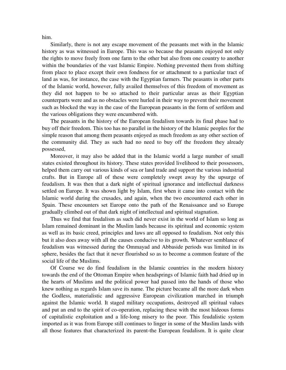him.

Similarly, there is not any escape movement of the peasants met with in the Islamic history as was witnessed in Europe. This was so because the peasants enjoyed not only the rights to move freely from one farm to the other but also from one country to another within the boundaries of the vast Islamic Empire. Nothing prevented them from shifting from place to place except their own fondness for or attachment to a particular tract of land as was, for instance, the case with the Egyptian farmers. The peasants in other parts of the Islamic world, however, fully availed themselves of this freedom of movement as they did not happen to be so attached to their particular areas as their Egyptian counterparts were and as no obstacles were hurled in their way to prevent their movement such as blocked the way in the case of the European peasants in the form of serfdom and the various obligations they were encumbered with.

The peasants in the history of the European feudalism towards its final phase had to buy off their freedom. This too has no parallel in the history of the Islamic peoples for the simple reason that among them peasants enjoyed as much freedom as any other section of the community did. They as such had no need to buy off the freedom they already possessed,

Moreover, it may also be added that in the Islamic world a large number of small states existed throughout its history. These states provided livelihood to their possessors, helped them carry out various kinds of sea or land trade and support the various industrial crafts. But in Europe all of these were completely swept away by the upsurge of feudalism. It was then that a dark night of spiritual ignorance and intellectual darkness settled on Europe. It was shown light by Islam, first when it came into contact with the Islamic world during the crusades, and again, when the two encountered each other in Spain. These encounters set Europe onto the path of the Renaissance and so Europe gradually climbed out of that dark night of intellectual and spiritual stagnation.

Thus we find that feudalism as such did never exist in the world of Islam so long as Islam remained dominant in the Muslim lands because its spiritual and economic system as well as its basic creed, principles and laws are all opposed to feudalism. Not only this but it also does away with all the causes conducive to its growth. Whatever semblance of feudalism was witnessed during the Ommayad and Abbaside periods was limited in its sphere, besides the fact that it never flourished so as to become a common feature of the social life of the Muslims.

Of Course we do find feudalism in the Islamic countries in the modern history towards the end of the Ottoman Empire when headsprings of Islamic faith had dried up in the hearts of Muslims and the political power had passed into the hands of those who knew nothing as regards Islam save its name. The picture became all the more dark when the Godless, materialistic and aggressive European civilization marched in triumph against the Islamic world. It staged military occupations, destroyed all spiritual values and put an end to the spirit of co-operation, replacing these with the most hideous forms of capitalistic exploitation and a life-long misery to the poor. This feudalistic system imported as it was from Europe still continues to linger in some of the Muslim lands with all those features that characterized its parent-the European feudalism. It is quite clear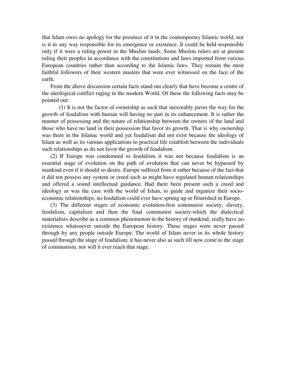that Islam owes no apology for the presence of it in the contemporary Islamic world, nor is it in any way responsible for its emergence or existence. It could be held responsible only if it were a ruling power in the Muslim lands. Some Muslim rulers are at present ruling their peoples in accordance with the constitutions and laws imported from various European countries rather than according to the Islamic laws. They remain the most faithful followers of their western masters that were ever witnessed on the face of the earth.

From the above discussion certain facts stand out clearly that have become a centre of the ideological conflict raging in the modern World. Of these the following facts may be pointed out:

 (1) It is not the factor of ownership as such that inexorably paves the way for the growth of feudalism with human will having no part in its enhancement. It is rather the manner of possessing and the nature of relationship between the owners of the land and those who have no land in their possession that favor its growth. That is why ownership was there in the Islamic world and yet feudalism did not exist because the ideology of Islam as well as its various applications to practical life establish between the individuals such relationships as do not favor the growth of feudalism.

(2) If Europe was condemned to feudalism it was not because feudalism is an essential stage of evolution on the path of evolution that can never be bypassed by mankind even if it should so desire. Europe suffered from it rather because of the fact that it did not possess any system or creed such as might have regulated human relationships and offered a sound intellectual guidance. Had there been present such a creed and ideology as was the case with the world of Islam, to guide and organize their socioeconomic relationships, no feudalism could ever have sprung up or flourished in Europe.

(3) The different stages of economic evolution-first communist society, slavery, feudalism, capitalism and then the final communist society-which the dialectical materialists describe as a common phenomenon in the history of mankind, really have no existence whatsoever outside the European history. These stages were never passed through by any people outside Europe. The world of Islam never in its whole history passed through the stage of feudalism; it has never also as such till now come to the stage of communism, nor will it ever reach that stage.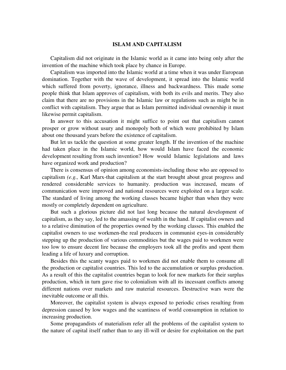# **ISLAM AND CAPITALISM**

Capitalism did not originate in the Islamic world as it came into being only after the invention of the machine which took place by chance in Europe.

Capitalism was imported into the Islamic world at a time when it was under European domination. Together with the wave of development, it spread into the Islamic world which suffered from poverty, ignorance, illness and backwardness. This made some people think that Islam approves of capitalism, with both its evils and merits. They also claim that there are no provisions in the Islamic law or regulations such as might be in conflict with capitalism. They argue that as Islam permitted individual ownership it must likewise permit capitalism.

In answer to this accusation it might suffice to point out that capitalism cannot prosper or grow without usury and monopoly both of which were prohibited by Islam about one thousand years before the existence of capitalism.

But let us tackle the question at some greater length. If the invention of the machine had taken place in the Islamic world, how would Islam have faced the economic development resulting from such invention? How would Islamic legislations and laws have organized work and production?

There is consensus of opinion among economists-including those who are opposed to capitalism *(e.g.,* Karl Marx-that capitalism at the start brought about great progress and rendered considerable services to humanity. production was increased, means of communication were improved and national resources were exploited on a larger scale. The standard of living among the working classes became higher than when they were mostly or completely dependent on agriculture.

But such a glorious picture did not last long because the natural development of capitalism, as they say, led to the amassing of wealth in the hand. If capitalist owners and to a relative diminution of the properties owned by the working classes. This enabled the capitalist owners to use workmen-the real producers in communist eyes-in considerably stepping up the production of various commodities but the wages paid to workmen were too low to ensure decent lire because the employers took all the profits and spent them leading a life of luxury and corruption.

Besides this the scanty wages paid to workmen did not enable them to consume all the production or capitalist countries. This led to the accumulation or surplus production. As a result of this the capitalist countries began to look for new markets for their surplus production, which in turn gave rise to colonialism with all its incessant conflicts among different nations over markets and raw material resources. Destructive wars were the inevitable outcome or all this.

Moreover, the capitalist system is always exposed to periodic crises resulting from depression caused by low wages and the scantiness of world consumption in relation to increasing production.

Some propagandists of materialism refer all the problems of the capitalist system to the nature of capital itself rather than to any ill-will or desire for exploitation on the part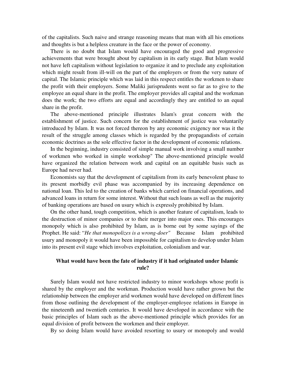of the capitalists. Such naive and strange reasoning means that man with all his emotions and thoughts is but a helpless creature in the face or the power of economy.

There is no doubt that Islam would have encouraged the good and progressive achievements that were brought about by capitalism in its early stage. But Islam would not have left capitalism without legislation to organize it and to preclude any exploitation which might result from ill-will on the part of the employers or from the very nature of capital. The Islamic principle which was laid in this respect entitles the workmen to share the profit with their employers. Some Maliki jurisprudents went so far as to give to the employee an equal share in the profit. The employer provides all capital and the workman does the work; the two efforts are equal and accordingly they are entitled to an equal share in the profit.

The above-mentioned principle illustrates Islam's great concern with the establishment of justice. Such concern for the establishment of justice was voluntarily introduced by Islam. It was not forced thereon by any economic exigency nor was it the result of the struggle among classes which is regarded by the propagandists of certain economic doctrines as the sole effective factor in the development of economic relations.

In the beginning, industry consisted of simple manual work involving a small number of workmen who worked in simple workshop" The above-mentioned principle would have organized the relation between work and capital on an equitable basis such as Europe had never had.

Economists say that the development of capitalism from its early benevolent phase to its present morbidly evil phase was accompanied by its increasing dependence on national loan. This led to the creation of banks which carried on financial operations, and advanced loans in return for some interest. Without that such loans as well as the majority of banking operations are based on usury which is expressly prohibited by Islam.

On the other hand, tough competition, which is another feature of capitalism, leads to the destruction of minor companies or to their merger into major ones. This encourages monopoly which is also prohibited by Islam, as is borne out by some sayings of the Prophet. He said: "*He that monopolizes is a wrong-doer*" Because Islam prohibited usury and monopoly it would have been impossible for capitalism to develop under Islam into its present evil stage which involves exploitation, colonialism and war.

# **What would have been the fate of industry if it had originated under Islamic rule?**

Surely Islam would not have restricted industry to minor workshops whose profit is shared by the employer and the workman. Production would have rather grown but the relationship between the employer arid workmen would have developed on different lines from those outlining the development of the employer-employee relations in Europe in the nineteenth and twentieth centuries. It would have developed in accordance with the basic principles of Islam such as the above-mentioned principle which provides for an equal division of profit between the workmen and their employer.

By so doing Islam would have avoided resorting to usury or monopoly and would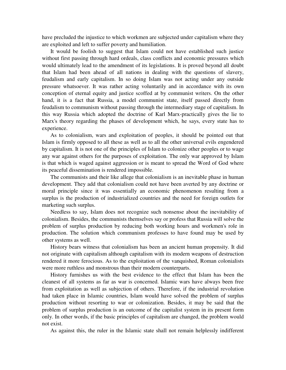have precluded the injustice to which workmen are subjected under capitalism where they are exploited and left to suffer poverty and humiliation.

It would be foolish to suggest that Islam could not have established such justice without first passing through hard ordeals, class conflicts and economic pressures which would ultimately lead to the amendment of its legislations. It is proved beyond all doubt that Islam had been ahead of all nations in dealing with the questions of slavery, feudalism and early capitalism. In so doing Islam was not acting under any outside pressure whatsoever. It was rather acting voluntarily and in accordance with its own conception of eternal equity and justice scoffed at by communist writers. On the other hand, it is a fact that Russia, a model communist state, itself passed directly from feudalism to communism without passing through the intermediary stage of capitalism. In this way Russia which adopted the doctrine of Karl Marx-practically gives the lie to Marx's theory regarding the phases of development which, he says, every state has to experience.

As to colonialism, wars and exploitation of peoples, it should be pointed out that Islam is firmly opposed to all these as well as to all the other universal evils engendered by capitalism. It is not one of the principles of Islam to colonize other peoples or to wage any war against others for the purposes of exploitation. The only war approved by Islam is that which is waged against aggression or is meant to spread the Word of God where its peaceful dissemination is rendered impossible.

The communists and their like allege that colonialism is an inevitable phase in human development. They add that colonialism could not have been averted by any doctrine or moral principle since it was essentially an economic phenomenon resulting from a surplus is the production of industrialized countries and the need for foreign outlets for marketing such surplus.

Needless to say, Islam does not recognize such nonsense about the inevitability of colonialism. Besides, the communists themselves say or profess that Russia will solve the problem of surplus production by reducing both working hours and workmen's role in production. The solution which communism professes to have found may be used by other systems as well.

History bears witness that colonialism has been an ancient human propensity. It did not originate with capitalism although capitalism with its modern weapons of destruction rendered it more ferocious. As to the exploitation of the vanquished, Roman colonialists were more ruthless and monstrous than their modern counterparts.

History furnishes us with the best evidence to the effect that Islam has been the cleanest of all systems as far as war is concerned. Islamic wars have always been free from exploitation as well as subjection of others. Therefore, if the industrial revolution had taken place in Islamic countries, Islam would have solved the problem of surplus production without resorting to war or colonization. Besides, it may be said that the problem of surplus production is an outcome of the capitalist system in its present form only. In other words, if the basic principles of capitalism are changed, the problem would not exist.

As against this, the ruler in the Islamic state shall not remain helplessly indifferent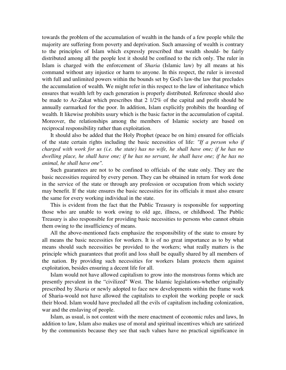towards the problem of the accumulation of wealth in the hands of a few people while the majority are suffering from poverty and deprivation. Such amassing of wealth is contrary to the principles of Islam which expressly prescribed that wealth should- be fairly distributed among all the people lest it should be confined to the rich only. The ruler in Islam is charged with the enforcement of *Sharia* (Islamic law) by all means at his command without any injustice or harm to anyone. In this respect, the ruler is invested with full and unlimited powers within the bounds set by God's law-the law that precludes the accumulation of wealth. We might refer in this respect to the law of inheritance which ensures that wealth left by each generation is properly distributed. Reference should also be made to Az-Zakat which prescribes that 2 1/2% of the capital and profit should be annually earmarked for the poor. In addition, Islam explicitly prohibits the hoarding of wealth. It likewise prohibits usury which is the basic factor in the accumulation of capital. Moreover, the relationships among the members of Islamic society are based on reciprocal responsibility rather than exploitation.

It should also be added that the Holy Prophet (peace be on him) ensured for officials of the state certain rights including the basic necessities of life: *"If a person who if charged with work for us (i.e. the state) has no wife, he shall have one; if he has no dwelling place, he shall have one; if he has no servant, he shall have one; if he has no animal, he shall have one".* 

Such guarantees are not to be confined to officials of the state only. They are the basic necessities required by every person. They can be obtained in return for work done in the service of the state or through any profession or occupation from which society may benefit. If the state ensures the basic necessities for its officials it must also ensure the same for every working individual in the state.

This is evident from the fact that the Public Treasury is responsible for supporting those who are unable to work owing to old age, illness, or childhood. The Public Treasury is also responsible for providing basic necessities to persons who cannot obtain them owing to the insufficiency of means.

All the above-mentioned facts emphasize the responsibility of the state to ensure by all means the basic necessities for workers. It is of no great importance as to by what means should such necessities be provided to the workers; what really matters is the principle which guarantees that profit and loss shall be equally shared by all members of the nation. By providing such necessities for workers Islam protects them against exploitation, besides ensuring a decent life for all.

Islam would not have allowed capitalism to grow into the monstrous forms which are presently prevalent in the "civilized" West. The Islamic legislations-whether originally prescribed by *Sharia* or newly adopted to face new developments within the frame work of Sharia-would not have allowed the capitalists to exploit the working people or suck their blood. Islam would have precluded all the evils of capitalism including colonization, war and the enslaving of people.

Islam, as usual, is not content with the mere enactment of economic rules and laws, In addition to law, Islam also makes use of moral and spiritual incentives which are satirized by the communists because they see that such values have no practical significance in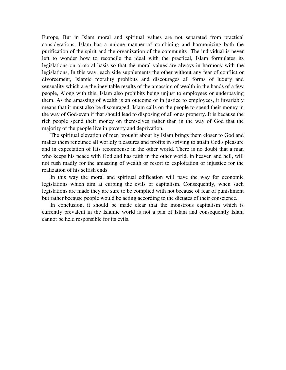Europe, But in Islam moral and spiritual values are not separated from practical considerations, Islam has a unique manner of combining and harmonizing both the purification of the spirit and the organization of the community. The individual is never left to wonder how to reconcile the ideal with the practical, Islam formulates its legislations on a moral basis so that the moral values are always in harmony with the legislations, In this way, each side supplements the other without any fear of conflict or divorcement, Islamic morality prohibits and discourages all forms of luxury and sensuality which are the inevitable results of the amassing of wealth in the hands of a few people, Along with this, Islam also prohibits being unjust to employees or underpaying them. As the amassing of wealth is an outcome of in justice to employees, it invariably means that it must also be discouraged. Islam calls on the people to spend their money in the way of God-even if that should lead to disposing of all ones property. It is because the rich people spend their money on themselves rather than in the way of God that the majority of the people live in poverty and deprivation.

The spiritual elevation of men brought about by Islam brings them closer to God and makes them renounce all worldly pleasures and profits in striving to attain God's pleasure and in expectation of His recompense in the other world. There is no doubt that a man who keeps his peace with God and has faith in the other world, in heaven and hell, will not rush madly for the amassing of wealth or resort to exploitation or injustice for the realization of his selfish ends.

In this way the moral and spiritual edification will pave the way for economic legislations which aim at curbing the evils of capitalism. Consequently, when such legislations are made they are sure to be complied with not because of fear of punishment but rather because people would be acting according to the dictates of their conscience.

In conclusion, it should be made clear that the monstrous capitalism which is currently prevalent in the Islamic world is not a pan of Islam and consequently Islam cannot be held responsible for its evils.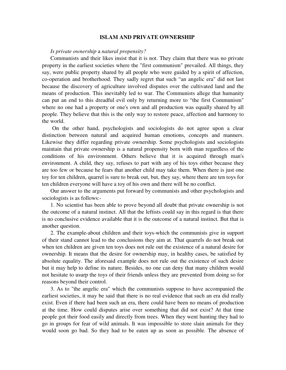# **ISLAM AND PRIVATE OWNERSHIP**

## *Is private ownership* a *natural propensity?*

Communists and their likes insist that it is not. They claim that there was no private property in the earliest societies where the "first communism" prevailed. All things, they say, were public property shared by all people who were guided by a spirit of affection, co-operation and brotherhood. They sadly regret that such "an angelic era" did not last because the discovery of agriculture involved disputes over the cultivated land and the means of production. This inevitably led to war. The Communists allege that humanity can put an end to this dreadful evil only by returning more to "the first Communism" where no one had a property or one's own and all production was equally shared by all people. They believe that this is the only way to restore peace, affection and harmony to the world.

 On the other hand, psychologists and sociologists do not agree upon a clear distinction between natural and acquired human emotions, concepts and manners. Likewise they differ regarding private ownership. Some psychologists and sociologists maintain that private ownership is a natural propensity born with man regardless of the conditions of his environment. Others believe that it is acquired through man's environment. A child, they say, refuses to part with any of his toys either because they are too few or because he fears that another child may take them. When there is just one toy for ten children, quarrel is sure to break out, but, they say, where there are ten toys for ten children everyone will have a toy of his own and there will be no conflict.

Our answer to the arguments put forward by communists and other psychologists and sociologists is as follows:-

1. No scientist has been able to prove beyond all doubt that private ownership is not the outcome of a natural instinct. All that the leftists could say in this regard is that there is no conclusive evidence available that it is the outcome of a natural instinct. But that is another question.

2. The example-about children and their toys-which the communists give in support of their stand cannot lead to the conclusions they aim at. That quarrels do not break out when ten children are given ten toys does not rule out the existence of a natural desire for ownership. It means that the desire for ownership may, in healthy cases, be satisfied by absolute equality. The aforesaid example does not rule out the existence of such desire but it may help to define its nature. Besides, no one can deny that many children would not hesitate to usurp the toys of their friends unless they are prevented from doing so for reasons beyond their control.

3. As to "the angelic era" which the communists suppose to have accompanied the earliest societies, it may be said that there is no real evidence that such an era did really exist. Even if there had been such an era, there could have been no means of production at the time. How could disputes arise over something that did not exist? At that time people got their food easily and directly from trees. When they went hunting they had to go in groups for fear of wild animals. It was impossible to store slain animals for they would soon go bad. So they had to be eaten up as soon as possible. The absence of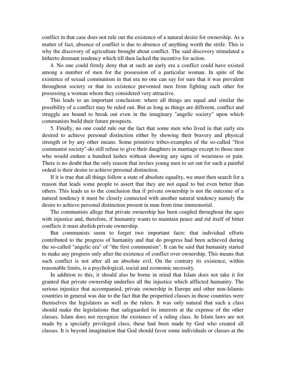conflict in that case does not rule out the existence of a natural desire for ownership. As a matter of fact, absence of conflict is due to absence of anything worth the strife. This is why the discovery of agriculture brought about conflict. The said discovery stimulated a hitherto dormant tendency which till then lacked the incentive for action.

4. No one could firmly deny that at such an early era a conflict could have existed among a number of men for the possession of a particular woman. In spite of the existence of sexual communism in that era no one can say for sure that it was prevalent throughout society or that its existence prevented men from fighting each other for possessing a woman whom they considered very attractive.

This leads to an important conclusion: where all things are equal and similar the possibility of a conflict may be ruled out. But as long as things are different, conflict and struggle are bound to break out even in the imaginary "angelic society" upon which communists build their future prospects.

5*.* Finally, no one could rule out the fact that some men who lived in that early era desired to achieve personal distinction either by showing their bravery and physical strength or by any other means. Some primitive tribes-examples of the so-called "first communist society"-do still refuse to give their daughters in marriage except to those men who would endure a hundred lashes without showing any signs of weariness or pain. There is no doubt that the only reason that invites young men to set out for such a painful ordeal is their desire to achieve personal distinction.

If it is true that all things follow a state of absolute equality, we must then search for a reason that leads some people to assert that they are not equal to but even better than others. This leads us to the conclusion that if private ownership is not the outcome of a natural tendency it must be closely connected with another natural tendency namely the desire to achieve personal distinction present in man from time immemorial.

The communists allege that private ownership has been coupled throughout the ages with injustice and, therefore, if humanity wants to maintain peace and rid itself of bitter conflicts it must abolish private ownership.

But communists seem to forget two important facts: that individual efforts contributed to the progress of humanity and that do progress had been achieved during the so-called "angelic era" of "the first communism". It can be said that humanity started to make any progress only after the existence of conflict over ownership. This means that such conflict is not after all an absolute evil. On the contrary its existence, within reasonable limits, is a psychological, social and economic necessity.

In addition to this, it should also be borne in mind that Islam does not take it for granted that private ownership underlies all the injustice which afflicted humanity. The serious injustice that accompanied, private ownership in Europe and other non-Islamic countries in general was due to the fact that the propertied classes in those countries were themselves the legislators as well as the rulers. It was only natural that such a class should make the legislations that safeguarded its interests at the expense of the other classes. Islam does not recognize the existence of a ruling class. In Islam laws are not made by a specially privileged class; these had been made by God who created all classes. It is beyond imagination that God should favor some individuals or classes at the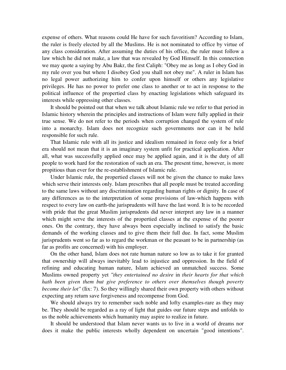expense of others. What reasons could He have for such favoritism? According to Islam, the ruler is freely elected by all the Muslims. He is not nominated to office by virtue of any class consideration. After assuming the duties of his office, the ruler must follow a law which he did not make, a law that was revealed by God Himself. In this connection we may quote a saying by Abu Bakr, the first Caliph: "Obey me as long as I obey God in my rule over you but where I disobey God you shall not obey me". A ruler in Islam has no legal power authorizing him to confer upon himself or others any legislative privileges. He has no power to prefer one class to another or to act in response to the political influence of the propertied class by enacting legislations which safeguard its interests while oppressing other classes.

It should be pointed out that when we talk about Islamic rule we refer to that period in Islamic history wherein the principles and instructions of Islam were fully applied in their true sense. We do not refer to the periods when corruption changed the system of rule into a monarchy. Islam does not recognize such governments nor can it be held responsible for such rule.

That Islamic rule with all its justice and idealism remained in force only for a brief era should not mean that it is an imaginary system unfit for practical application. After all, what was successfully applied once may be applied again, and it is the duty of all people to work hard for the restoration of such an era. The present time, however, is more propitious than ever for the re-establishment of Islamic rule.

Under Islamic rule, the propertied classes will not be given the chance to make laws which serve their interests only. Islam prescribes that all people must be treated according to the same laws without any discrimination regarding human rights or dignity. In case of any differences as to the interpretation of some provisions of law-which happens with respect to every law on earth-the jurisprudents will have the last word. It is to be recorded with pride that the great Muslim jurisprudents did never interpret any law in a manner which might serve the interests of the propertied classes at the expense of the poorer ones. On the contrary, they have always been especially inclined to satisfy the basic demands of the working classes and to give them their full due. In fact, some Muslim jurisprudents went so far as to regard the workman or the peasant to be in partnership (as far as profits are concerned) with his employer.

On the other hand, Islam does not rate human nature so low as to take it for granted that ownership will always inevitably lead to injustice and oppression. In the field of refining and educating human nature, Islam achieved an unmatched success. Some Muslims owned property yet *"they entertained no desire* in *their hearts for that which hath been given them but give preference to others over themselves though poverty become their lot"* (Iix: 7). So they willingly shared their own property with others without expecting any return save forgiveness and recompense from God.

We should always try to remember such noble and lofty examples-rare as they may be. They should be regarded as a ray of light that guides our future steps and unfolds to us the noble achievements which humanity may aspire to realize in future.

It should be understood that Islam never wants us to live in a world of dreams nor does it make the public interests wholly dependent on uncertain "good intentions".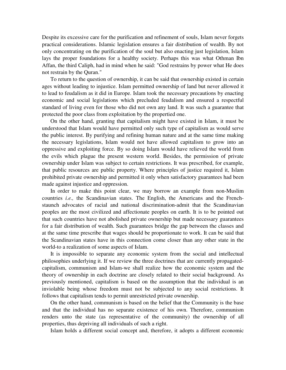Despite its excessive care for the purification and refinement of souls, Islam never forgets practical considerations. Islamic legislation ensures a fair distribution of wealth. By not only concentrating on the purification of the soul but also enacting just legislation, Islam lays the proper foundations for a healthy society. Perhaps this was what Othman Ibn Affan, the third Caliph, had in mind when he said: "God restrains by power what He does not restrain by the Quran."

To return to the question of ownership, it can be said that ownership existed in certain ages without leading to injustice. Islam permitted ownership of land but never allowed it to lead to feudalism as it did in Europe. Islam took the necessary precautions by enacting economic and social legislations which precluded feudalism and ensured a respectful standard of living even for those who did not own any land. It was such a guarantee that protected the poor class from exploitation by the propertied one.

On the other hand, granting that capitalism might have existed in Islam, it must be understood that Islam would have permitted only such type of capitalism as would serve the public interest. By purifying and refining human nature and at the same time making the necessary legislations, Islam would not have allowed capitalism to grow into an oppressive and exploiting force. By so doing Islam would have relieved the world from the evils which plague the present western world. Besides, the permission of private ownership under Islam was subject to certain restrictions. It was prescribed, for example, that public resources are public property. Where principles of justice required it, Islam prohibited private ownership and permitted it only when satisfactory guarantees had been made against injustice and oppression.

In order to make this point clear, we may borrow an example from non-Muslim countries *i.e.,* the Scandinavian states. The English, the Americans and the Frenchstaunch advocates of racial and national discrimination-admit that the Scandinavian peoples are the most civilized and affectionate peoples on earth. It is to be pointed out that such countries have not abolished private ownership but made necessary guarantees for a fair distribution of wealth. Such guarantees bridge the gap between the classes and at the same time prescribe that wages should be proportionate to work. It can be said that the Scandinavian states have in this connection come closer than any other state in the world-to a realization of some aspects of Islam.

It is impossible to separate any economic system from the social and intellectual philosophies underlying it. If we review the three doctrines that are currently propagatedcapitalism, communism and Islam-we shall realize how the economic system and the theory of ownership in each doctrine are closely related to their social background. As previously mentioned, capitalism is based on the assumption that the individual is an inviolable being whose freedom must not be subjected to any social restrictions. It follows that capitalism tends to permit unrestricted private ownership.

On the other hand, communism is based on the belief that the Community is the base and that the individual has no separate existence of his own. Therefore, communism renders unto the state (as representative of the community) the ownership of all properties, thus depriving all individuals of such a right.

Islam holds a different social concept and, therefore, it adopts a different economic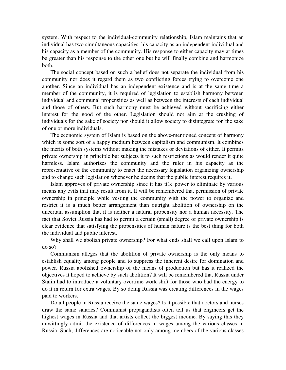system. With respect to the individual-community relationship, Islam maintains that an individual has two simultaneous capacities: his capacity as an independent individual and his capacity as a member of the community. His response to either capacity may at times be greater than his response to the other one but he will finally combine and harmonize both.

The social concept based on such a belief does not separate the individual from his community nor does it regard them as two conflicting forces trying to overcome one another. Since an individual has an independent existence and is at the same time a member of the community, it is required of legislation to establish harmony between individual and communal propensities as well as between the interests of each individual and those of others. But such harmony must be achieved without sacrificing either interest for the good of the other. Legislation should not aim at the crushing of individuals for the sake of society nor should it allow society to disintegrate for 'the sake of one or more individuals.

The economic system of Islam is based on the above-mentioned concept of harmony which is some sort of a happy medium between capitalism and communism. It combines the merits of both systems without making the mistakes or deviations of either. It permits private ownership in principle but subjects it to such restrictions as would render it quite harmless. Islam authorizes the community and the ruler in his capacity as the representative of the community to enact the necessary legislation organizing ownership and to change such legislation whenever he deems that the public interest requires it.

Islam approves of private ownership since it has ti1e power to eliminate by various means any evils that may result from it. It will be remembered that permission of private ownership in principle while vesting the community with the power to organize and restrict it is a much better arrangement than outright abolition of ownership on the uncertain assumption that it is neither a natural propensity nor a human necessity. The fact that Soviet Russia has had to permit a certain (small) degree of private ownership is clear evidence that satisfying the propensities of human nature is the best thing for both the individual and public interest.

Why shall we abolish private ownership? For what ends shall we call upon Islam to do so?

Communism alleges that the abolition of private ownership is the only means to establish equality among people and to suppress the inherent desire for domination and power. Russia abolished ownership of the means of production but has it realized the objectives it hoped to achieve by such abolition? It will be remembered that Russia under Stalin had to introduce a voluntary overtime work shift for those who had the energy to do it in return for extra wages. By so doing Russia was creating differences in the wages paid to workers.

Do all people in Russia receive the same wages? Is it possible that doctors and nurses draw the same salaries? Communist propagandists often tell us that engineers get the highest wages in Russia and that artists collect the biggest income. By saying this they unwittingly admit the existence of differences in wages among the various classes in Russia. Such, differences are noticeable not only among members of the various classes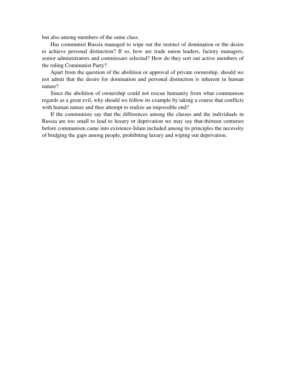but also among members of the same class.

 Has communist Russia managed to wipe out the instinct of domination or the desire to achieve personal distinction? If so, how are trade union leaders, factory managers, senior administrators and commissars selected? How do they sort out active members of the ruling Communist Party?

Apart from the question of the abolition or approval of private ownership, should we not admit that the desire for domination and personal distinction is inherent in human nature?

Since the abolition of ownership could not rescue humanity from what communism regards as a great evil, why should we follow its example by taking a course that conflicts with human nature and thus attempt to realize an impossible end?

If the communists say that the differences among the classes and the individuals in Russia are too small to lead to luxury or deprivation we may say that-thirteen centuries before communism came into existence-Islam included among its principles the necessity of bridging the gaps among people, prohibiting luxury and wiping out deprivation.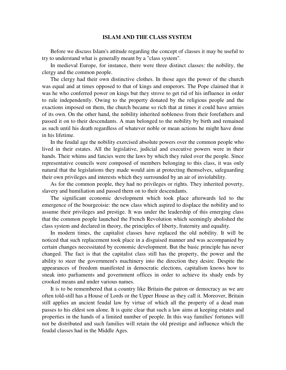#### **ISLAM AND THE CLASS SYSTEM**

Before we discuss Islam's attitude regarding the concept of classes it may be useful to try to understand what is generally meant by a "class system".

In medieval Europe, for instance, there were three distinct classes: the nobility, the clergy and the common people.

The clergy had their own distinctive clothes. In those ages the power of the church was equal and at times opposed to that of kings and emperors. The Pope claimed that it was he who conferred power on kings but they strove to get rid of his influence in order to rule independently. Owing to the property donated by the religious people and the exactions imposed on them, the church became so rich that at times it could have armies of its own. On the other hand, the nobility inherited nobleness from their forefathers and passed it on to their descendants. A man belonged to the nobility by birth and remained as such until his death regardless of whatever noble or mean actions he might have done in his lifetime.

In the feudal age the nobility exercised absolute powers over the common people who lived in their estates. All the legislative, judicial and executive powers were in their hands. Their whims and fancies were the laws by which they ruled over the people. Since representative councils were composed of members belonging to this class, it was only natural that the legislations they made would aim at protecting themselves, safeguarding their own privileges and interests which they surrounded by an air of inviolability.

As for the common people, they had no privileges or rights. They inherited poverty, slavery and humiliation and passed them on to their descendants.

The significant economic development which took place afterwards led to the emergence of the bourgeoisie: the new class which aspired to displace the nobility and to assume their privileges and prestige. It was under the leadership of this emerging class that the common people launched the French Revolution which seemingly abolished the class system and declared in theory, the principles of liberty, fraternity and equality.

In modern times, the capitalist classes have replaced the old nobility. It will be noticed that such replacement took place in a disguised manner and was accompanied by certain changes necessitated by economic development. But the basic principle has never changed. The fact is that the capitalist class still has the property, the power and the ability to steer the government's machinery into the direction they desire. Despite the appearances of freedom manifested in democratic elections, capitalism knows how to sneak into parliaments and government offices in order to achieve its shady ends by crooked means and under various names.

It is to be remembered that a country like Britain-the patron or democracy as we are often told-still has a House of Lords or the Upper House as they call it. Moreover, Britain still applies an ancient feudal law by virtue of which all the property of a dead man passes to his eldest son alone. It is quite clear that such a law aims at keeping estates and properties in the hands of a limited number of people. In this way families' fortunes will not be distributed and such families will retain the old prestige and influence which the feudal classes had in the Middle Ages.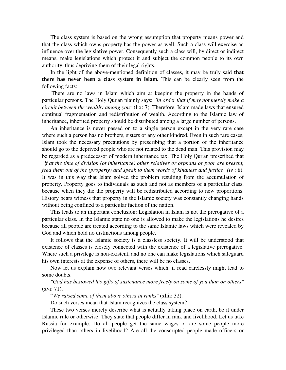The class system is based on the wrong assumption that property means power and that the class which owns property has the power as well. Such a class will exercise an influence over the legislative power. Consequently such a class will, by direct or indirect means, make legislations which protect it and subject the common people to its own authority, thus depriving them of their legal rights.

In the light of the above-mentioned definition of classes, it may be truly said **that there has never been a class system in Islam.** This can be clearly seen from the following facts:

 There are no laws in Islam which aim at keeping the property in the hands of particular persons. The Holy Qur'an plainly says: *''In order that if may not merely make a circuit between the wealthy among you"* (Iix: 7). Therefore, Islam made laws that ensured continual fragmentation and redistribution of wealth. According to the Islamic law of inheritance, inherited property should be distributed among a large number of persons.

An inheritance is never passed on to a single person except in the very rare case where such a person has no brothers, sisters or any other kindred. Even in such rare cases, Islam took the necessary precautions by prescribing that a portion of the inheritance should go to the deprived people who are not related to the dead man. This provision may be regarded as a predecessor of modern inheritance tax. The Holy Qur'an prescribed that *"if at the time of division (of inheritance) other relatives or orphans or poor are present, feed them out of the (property) and speak to them words of kindness and justice" (iv : 8).* It was in this way that Islam solved the problem resulting from the accumulation of property. Property goes to individuals as such and not as members of a particular class, because when they die the property will be redistributed according to new proportions. History bears witness that property in the Islamic society was constantly changing hands without being confined to a particular faction of the nation.

This leads to an important conclusion: Legislation in Islam is not the prerogative of a particular class. In the Islamic state no one is allowed to make the legislations he desires because all people are treated according to the same Islamic laws which were revealed by God and which hold no distinctions among people.

It follows that the Islamic society is a classless society. It will be understood that existence of classes is closely connected with the existence of a legislative prerogative. Where such a privilege is non-existent, and no one can make legislations which safeguard his own interests at the expense of others, there will be no classes.

Now let us explain how two relevant verses which, if read carelessly might lead to some doubts.

*"God has bestowed his gifts of sustenance more free/y on some of you than on others"*  (xvi: 71).

"*We raised some of them above others in ranks"* (xliii: 32).

Do such verses mean that Islam recognizes the class system?

These two verses merely describe what is actually taking place on earth, be it under Islamic rule or otherwise. They state that people differ in rank and livelihood. Let us take Russia for example. Do all people get the same wages or are some people more privileged than others in livelihood? Are all the conscripted people made officers or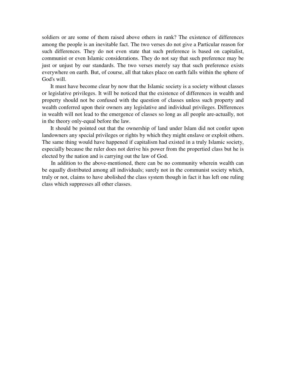soldiers or are some of them raised above others in rank? The existence of differences among the people is an inevitable fact. The two verses do not give a Particular reason for such differences. They do not even state that such preference is based on capitalist, communist or even Islamic considerations. They do not say that such preference may be just or unjust by our standards. The two verses merely say that such preference exists everywhere on earth. But, of course, all that takes place on earth falls within the sphere of God's will.

It must have become clear by now that the Islamic society is a society without classes or legislative privileges. It will be noticed that the existence of differences in wealth and property should not be confused with the question of classes unless such property and wealth conferred upon their owners any legislative and individual privileges. Differences in wealth will not lead to the emergence of classes so long as all people are-actually, not in the theory only-equal before the law.

It should be pointed out that the ownership of land under Islam did not confer upon landowners any special privileges or rights by which they might enslave or exploit others. The same thing would have happened if capitalism had existed in a truly Islamic society, especially because the ruler does not derive his power from the propertied class but he is elected by the nation and is carrying out the law of God.

 In addition to the above-mentioned, there can be no community wherein wealth can be equally distributed among all individuals; surely not in the communist society which, truly or not, claims to have abolished the class system though in fact it has left one ruling class which suppresses all other classes.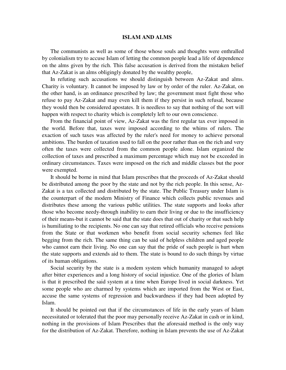#### **ISLAM AND ALMS**

The communists as well as some of those whose souls and thoughts were enthralled by colonialism try to accuse Islam of letting the common people lead a life of dependence on the alms given by the rich. This false accusation is derived from the mistaken belief that Az-Zakat is an alms obligingly donated by the wealthy people,

In refuting such accusations we should distinguish between Az-Zakat and alms. Charity is voluntary. It cannot be imposed by law or by order of the ruler. Az-Zakat, on the other hand, is an ordinance prescribed by law; the government must fight those who refuse to pay Az-Zakat and may even kill them if they persist in such refusal, because they would then be considered apostates. It is needless to say that nothing of the sort will happen with respect to charity which is completely left to our own conscience.

From the financial point of view, Az-Zakat was the first regular tax ever imposed in the world. Before that, taxes were imposed according to the whims of rulers. The exaction of such taxes was affected by the ruler's need for money to achieve personal ambitions. The burden of taxation used to fall on the poor rather than on the rich and very often the taxes were collected from the common people alone. Islam organized the collection of taxes and prescribed a maximum percentage which may not be exceeded in ordinary circumstances. Taxes were imposed on the rich and middle classes but the poor were exempted.

It should be borne in mind that Islam prescribes that the proceeds of Az-Zakat should be distributed among the poor by the state and not by the rich people. In this sense, Az-Zakat is a tax collected and distributed by the state. The Public Treasury under Islam is the counterpart of the modern Ministry of Finance which collects public revenues and distributes these among the various public utilities. The state supports and looks after those who become needy-through inability to earn their living or due to the insufficiency of their means-but it cannot be said that the state does that out of charity or that such help is humiliating to the recipients. No one can say that retired officials who receive pensions from the State or that workmen who benefit from social security schemes feel like begging from the rich. The same thing can be said of helpless children and aged people who cannot earn their living. No one can say that the pride of such people is hurt when the state supports and extends aid to them. The state is bound to do such things by virtue of its human obligations.

Social security by the state is a modem system which humanity managed to adopt after bitter experiences and a long history of social injustice. One of the glories of Islam is that it prescribed the said system at a time when Europe lived in social darkness. Yet some people who are charmed by systems which are imported from the West or East, accuse the same systems of regression and backwardness if they had been adopted by Islam.

It should be pointed out that if the circumstances of life in the early years of Islam necessitated or tolerated that the poor may personally receive Az-Zakat in cash or in kind, nothing in the provisions of Islam Prescribes that the aforesaid method is the only way for the distribution of Az-Zakat. Therefore, nothing in Islam prevents the use of Az-Zakat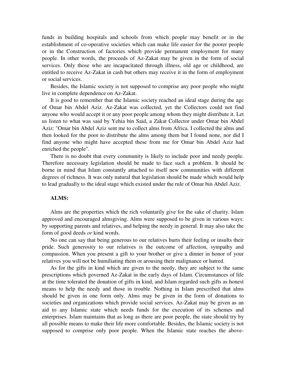funds in building hospitals and schools from which people may benefit or in the establishment of co-operative societies which can make life easier for the poorer people or in the Construction of factories which provide permanent employment for many people. In other words, the proceeds of Az-Zakat may be given in the form of social services. Only those who are incapacitated through illness, old age or childhood, are entitled to receive Az-Zakat in cash but others may receive it in the form of employment or social services.

Besides, the Islamic society is not supposed to comprise any poor people who might live in complete dependence on Az-Zakat.

It is good to remember that the Islamic society reached an ideal stage during the age of Omar bin Abdel Aziz. Az-Zakat was collected, yet the Collectors could not find anyone who would accept it or any poor people among whom they might distribute it. Let us listen to what was said by Yehia bin Said, a Zakat Collector under Omar bin Abdel Aziz: "Omar bin Abdel Aziz sent me to collect alms from Africa. I collected the alms and then looked for the poor to distribute the alms among them but I found none, nor did I find anyone who might have accepted these from me for Omar bin Abdel Aziz had enriched the people".

There is no doubt that every community is likely to include poor and needy people. Therefore necessary legislation should be made to face such a problem. It should be borne in mind that Islam constantly attached to itself new communities with different degrees of richness. It was only natural that legislation should be made which would help to lead gradually to the ideal stage which existed under the rule of Omar bin Abdel Aziz.

# **ALMS:**

Alms are the properties which the rich voluntarily give for the sake of charity. Islam approved and encouraged almsgiving. Alms were supposed to be given in various ways: by supporting parents and relatives, and helping the needy in general. It may also take the form of good deeds *or* kind words.

No one can say that being generous to our relatives hurts their feeling or insults their pride. Such generosity to our relatives is the outcome of affection, sympathy and compassion. When you present a gift to your brother or give a dinner in honor of your relatives you will not be humiliating them or arousing their malignance or hatred.

As for the gifts in kind which are given to the needy, they are subject to the same prescriptions which governed Az-Zakat in the early days of Islam. Circumstances of life at the time tolerated the donation of gifts in kind, and Islam regarded such gifts as honest means to help the needy and those in trouble. Nothing in Islam prescribed that alms should be given in one form only. Alms may be given in the form of donations to societies and organizations which provide social services. Az-Zakat may be given as an aid to any Islamic state which needs funds for the execution of its schemes and enterprises. Islam maintains that as long as there are poor people, the state should try by all possible means to make their life more comfortable. Besides, the Islamic society is not supposed to comprise only poor people. When the Islamic state reaches the above-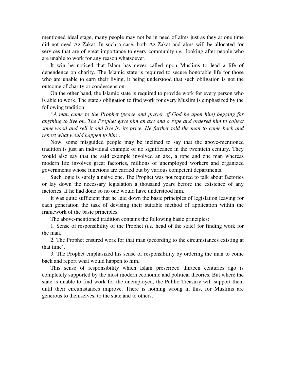mentioned ideal stage, many people may not be in need of alms just as they at one time did not need Az-Zakat. In such a case, both Az-Zakat and alms will be allocated for services that are of great importance to every community *i.e.,* looking after people who are unable to work for any reason whatsoever.

It win be noticed that Islam has never called upon Muslims to lead a life of dependence on charity. The Islamic state is required to secure honorable life for those who are unable to earn their living, it being understood that such obligation is not the outcome of charity or condescension.

On the other hand, the Islamic state is required to provide work for every person who is able to work. The state's obligation to find work for every Muslim is emphasized by the following tradition:

*"A man came to the Prophet (peace and prayer of God be upon him) begging for anything to live on. The Prophet gave him an axe and a rope and ordered him to collect some wood and sell it and live by its price. He further told the man to come back and report what would happen to him".* 

Now, some misguided people may be inclined to say that the above-mentioned tradition is just an individual example of no significance in the twentieth century. They would also say that the said example involved an axe, a rope and one man whereas modern life involves great factories, millions of unemployed workers and organized governments whose functions are carried out by various competent departments.

Such logic is surely a naive one. The Prophet was not required to talk about factories or lay down the necessary legislation a thousand years before the existence of any factories. If he had done so no one would have understood him.

It was quite sufficient that he laid down the basic principles of legislation leaving for each generation the task of devising their suitable method of application within the framework of the basic principles.

The above-mentioned tradition contains the following basic principles:

1. Sense of responsibility of the Prophet *(i.e.* head of the state) for finding work for the man.

2. The Prophet ensured work for that man (according to the circumstances existing at that time).

3. The Prophet emphasized his sense of responsibility by ordering the man to come back and report what would happen to him.

This sense of responsibility which Islam prescribed thirteen centuries ago is completely supported by the most modern economic and political theories. But where the state is unable to find work for the unemployed, the Public Treasury will support them until their circumstances improve. There is nothing wrong in this, for Muslims are generous to themselves, to the state and to others.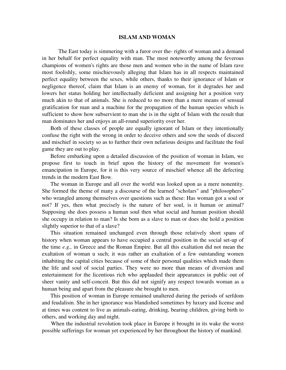## **ISLAM AND WOMAN**

 The East today is simmering with a furor over the- rights of woman and a demand in her behalf for perfect equality with man. The most noteworthy among the feverous champions of women's rights are those men and women who in the name of Islam rave most foolishly, some mischievously alleging that Islam has in all respects maintained perfect equality between the sexes, while others, thanks to their ignorance of Islam or negligence thereof, claim that Islam is an enemy of woman, for it degrades her and lowers her status holding her intellectually deficient and assigning her a position very much akin to that of animals. She is reduced to no more than a mere means of sensual gratification for man and a machine for the propagation of the human species which is sufficient to show how subservient to man she is in the sight of Islam with the result that man dominates her and enjoys an all-round superiority over her.

Both of these classes of people are equally ignorant of Islam or they intentionally confuse the right with the wrong in order to deceive others and sow the seeds of discord and mischief in society so as to further their own nefarious designs and facilitate the foul game they are out to play.

Before embarking upon a detailed discussion of the position of woman in Islam, we propose first to touch in brief upon the history of the movement for women's emancipation in Europe, for it is this very source of mischief whence all the defecting trends in the modern East Bow.

The woman in Europe and all over the world was looked upon as a mere nonentity. She formed the theme of many a discourse of the learned "scholars" and "philosophers" who wrangled among themselves over questions such as these: Has woman got a soul or not? If yes, then what precisely is the nature of her soul, is it human or animal? Supposing she does possess a human soul then what social and human position should she occupy in relation to man? Is she born as a slave to man or does she hold a position slightly superior to that of a slave?

This situation remained unchanged even through those relatively short spans of history when woman appears to have occupied a central position in the social set-up of the time *e.g.,* in Greece and the Roman Empire. But all this exaltation did not mean the exaltation of woman u such; it was rather an exaltation of a few outstanding women inhabiting the capital cities because of some of their personal qualities which made them the life and soul of social parties. They were no more than means of diversion and entertainment for the licentious rich who applauded their appearances in public out of sheer vanity and self-conceit. But this did not signify any respect towards woman as a human being and apart from the pleasure she brought to men.

This position of woman in Europe remained unaltered during the periods of serfdom and feudalism. She in her ignorance was blandished sometimes by luxury and license and at times was content to live as animals-eating, drinking, bearing children, giving birth to others, and working day and night.

 When the industrial revolution took place in Europe it brought in its wake the worst possible sufferings for woman yet experienced by her throughout the history of mankind.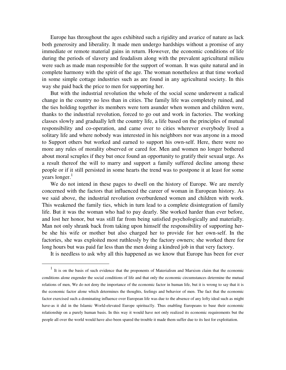Europe has throughout the ages exhibited such a rigidity and avarice of nature as lack both generosity and liberality. It made men undergo hardships without a promise of any immediate or remote material gains in return. However, the economic conditions of life during the periods of slavery and feudalism along with the prevalent agricultural milieu were such as made man responsible for the support of woman. It was quite natural and in complete harmony with the spirit of the age. The woman nonetheless at that time worked in some simple cottage industries such as are found in any agricultural society. In this way she paid back the price to men for supporting her.

But with the industrial revolution the whole of the social scene underwent a radical change in the country no less than in cities. The family life was completely ruined, and the ties holding together its members were torn asunder when women and children were, thanks to the industrial revolution, forced to go out and work in factories. The working classes slowly and gradually left the country life, a life based on the principles of mutual responsibility and co-operation, and came over to cities wherever everybody lived a solitary life and where nobody was interested in his neighbors nor was anyone in a mood to Support others but worked and earned to support his own-self. Here, there were no more any rules of morality observed or cared for. Men and women no longer bothered about moral scruples if they but once found an opportunity to gratify their sexual urge. As a result thereof the will to marry and support a family suffered decline among these people or if it still persisted in some hearts the trend was to postpone it at least for some years longer.

We do not intend in these pages to dwell on the history of Europe. We are merely concerned with the factors that influenced the career of woman in European history. As we said above, the industrial revolution overburdened women and children with work. This weakened the family ties, which in turn lead to a complete disintegration of family life. But it was the woman who had to pay dearly. She worked harder than ever before, and lost her honor, but was still far from being satisfied psychologically and materially. Man not only shrank back from taking upon himself the responsibility of supporting herbe she his wife or mother but also charged her to provide for her own-self. In the factories, she was exploited most ruthlessly by the factory owners; she worked there for long hours but was paid far less than the men doing a kindred job in that very factory.

It is needless to ask why all this happened as we know that Europe has been for ever

 $\overline{a}$ 

<sup>&</sup>lt;sup>1</sup> It is on the basis of such evidence that the proponents of Materialism and Marxism claim that the economic conditions alone engender the social conditions of life and that only the economic circumstances determine the mutual relations of men, We do not deny the importance of the economic factor in human life, but it is wrong to say that it is the economic factor alone which determines the thoughts, feelings and behavior of men. The fact that the economic factor exercised such a dominating influence over European life was due to the absence of any lofty ideal such as might have-as it did in the Islamic World-elevated Europe spiritua1ly. Thus enabling Europeans to base their economic relationship on a purely human basis. In this way it would have not only realized its economic requirements but the people all over the world would have also been spared the trouble it made them suffer due to its lust for exploitation.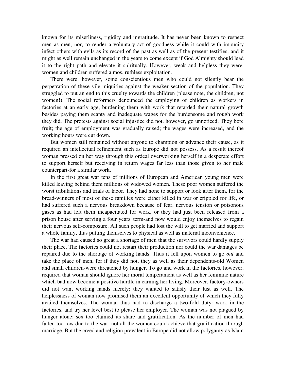known for its miserliness, rigidity and ingratitude. It has never been known to respect men as men, nor, to render a voluntary act of goodness while it could with impunity infect others with evils as its record of the past as well as of the present testifies; and it might as well remain unchanged in the years to come except if God Almighty should lead it to the right path and elevate it spiritually. However, weak and helpless they were, women and children suffered a mos. ruthless exploitation.

There were, however, some conscientious men who could not silently bear the perpetration of these vile iniquities against the weaker section of the population. They struggled to put an end to this cruelty towards the children (please note, the children, not women!). The social reformers denounced the employing of children as workers in factories at an early age, burdening them with work that retarded their natural growth besides paying them scanty and inadequate wages for the burdensome and rough work they did. The protests against social injustice did not, however, go unnoticed. They bore fruit; the age of employment was gradually raised; the wages were increased, and the working hours were cut down.

But women still remained without anyone to champion or advance their cause, as it required an intellectual refinement such as Europe did not possess. As a result thereof woman pressed on her way through this ordeal overworking herself in a desperate effort to support herself but receiving in return wages far less than those given to her male counterpart-for a similar work.

In the first great war tens of millions of European and American young men were killed leaving behind them millions of widowed women. These poor women suffered the worst tribulations and trials of labor. They had none to support or look after them, for the bread-winners of most of these families were either killed in war or crippled for life, or had suffered such a nervous breakdown because of fear, nervous tension or poisonous gases as had left them incapacitated for work, or they had just been released from a prison house after serving a four years' term-and now would enjoy themselves to regain their nervous self-composure. All such people had lost the will to get married and support a whole family, thus putting themselves to physical as well as material inconvenience.

The war had caused so great a shortage of men that the survivors could hardly supply their place. The factories could not restart their production nor could the war damages be repaired due to the shortage of working hands. Thus it fell upon women to go *out* and take the place of men, for if they did not, they as well as their dependents-old Women and small children-were threatened by hunger. To go and work in the factories, however, required that woman should ignore her moral temperament as well as her feminine nature which bad now become a positive hurdle in earning her living. Moreover, factory-owners did not want working hands merely; they wanted to satisfy their lust as well. The helplessness of woman now promised them an excellent opportunity of which they fully availed themselves. The woman thus had to discharge a two-fold duty: work in the factories, and try her level best to please her employer. The woman was not plagued by hunger alone; sex too claimed its share and gratification. As the number of men had fallen too low due to the war, not all the women could achieve that gratification through marriage. But the creed and religion prevalent in Europe did not allow polygamy-as Islam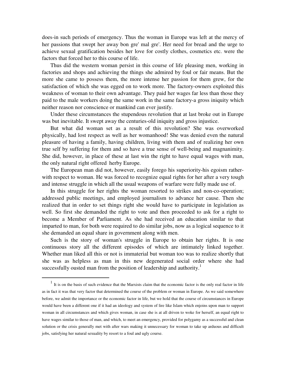does-in such periods of emergency. Thus the woman in Europe was left at the mercy of her passions that swept her away bon gre' mal gre'. Her need for bread and the urge to achieve sexual gratification besides her love for costly clothes, cosmetics etc. were the factors that forced her to this course of life.

Thus did the western woman persist in this course of life pleasing men, working in factories and shops and achieving the things she admired by foul or fair means. But the more she came to possess them, the more intense her passion for them grew, for the satisfaction of which she was egged on to work more. The factory-owners exploited this weakness of woman to their own advantage. They paid her wages far less than those they paid to the male workers doing the same work in the same factory-a gross iniquity which neither reason nor conscience or mankind can ever justify.

Under these circumstances the stupendous revolution that at last broke out in Europe was but inevitable. It swept away the centuries-old iniquity and gross injustice.

But what did woman set as a result of this revolution? She was overworked physically, had lost respect as well as her womanhood! She was denied even the natural pleasure of having a family, having children, living with them and of realizing her own true self by suffering for them and so have a true sense of well-being and magnanimity. She did, however, in place of these at last win the right to have equal wages with man, the only natural right offered herby Europe.

The European man did not, however, easily forego his superiority-his egoism ratherwith respect to woman. He was forced to recognize equal rights for her after a very tough and intense struggle in which all the usual weapons of warfare were fully made use of.

In this struggle for her rights the woman resorted to strikes and non-co-operation; addressed public meetings, and employed journalism to advance her cause. Then she realized that in order to set things right she would have to participate in legislation as well. So first she demanded the right to vote and then proceeded to ask for a right to become a Member of Parliament. As she had received an education similar to that imparted to man, for both were required to do similar jobs, now as a logical sequence to it she demanded an equal share in government along with men.

Such is the story of woman's struggle in Europe to obtain her rights. It is one continuous story all the different episodes of which are intimately linked together. Whether man liked all this or not is immaterial but woman too was to realize shortly that she was as helpless as man in this new degenerated social order where she had successfully ousted man from the position of leadership and authority.<sup>1</sup>

 $\overline{a}$ 

<sup>&</sup>lt;sup>1</sup> It is on the basis of such evidence that the Marxists claim that the economic factor is the only real factor in life as in fact it was that very factor that determined the course of the problem or woman in Europe. As we said somewhere before, we admit the importance or the economic factor in life, but we hold that the course of circumstances in Europe would have been a different one if it had an ideology and system of lire like Islam which enjoins upon man to support woman in all circumstances and which gives woman, in case she is at all driven to woke for herself, an equal right to have wages similar to those of man, and which, to meet an emergency, provided for polygamy as a successful and clean solution or the crisis generally met with after wars making it unnecessary for woman to take up arduous and difficult jobs, satisfying her natural sexuality by resort to a foul and ugly course.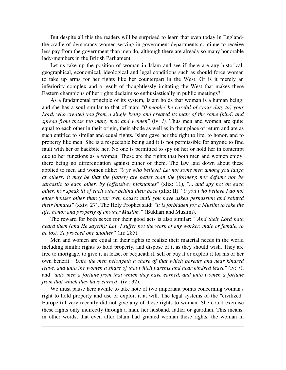But despite all this the readers will be surprised to learn that even today in Englandthe cradle of democracy-women serving in government departments continue to receive less pay from the government than men do, although there are already so many honorable lady-members in the British Parliament.

Let us take up the position of woman in Islam and see if there are any historical, geographical, economical, ideological and legal conditions such as should force woman to take up arms for her rights like her counterpart in the West. Or is it merely an inferiority complex and a result of thoughtlessly imitating the West that makes these Eastern champions of her rights declaim so enthusiastically in public meetings?

As a fundamental principle of its system, Islam holds that woman is a human being; and she has a soul similar to that of man: *"0 people! be careful of (your duty to) your Lord, who created you from a single being and created its mate of the same (kind) and spread from these too many men and women"* (iv: *I).* Thus men and women are quite equal to each other in their origin, their abode as well as in their place of return and are as such entitled to similar and equal rights. Islam gave her the right to life, to honor, and to property like men. She is a respectable being and it is not permissible for anyone to find fault with her or backbite her. No one is permitted to spy on her or hold her in contempt due to her functions as a woman. These are the rights that both men and women enjoy, there being no differentiation against either of them. The law laid down about these applied to men and women alike: *"0 ye who believe! Let not some men among you laugh at others: it may be that the (latter) are better than the (former)*: *nor defame nor be sarcastic to each other, by (offensive) nicknames"* (xlix: 11), "... *and spy not on each other, nor speak ill of each other behind their back* (xlix: II). "*0 you who believe I do not enter houses other than your own houses until you have asked permission and saluted their inmates"* (xxiv: 27). The Holy Prophet said: *"It is forbidden for a Muslim to take the life, honor and property of another Muslim."* (Bukhari and Muslim).

The reward for both sexes for their good acts is also similar: " *And their Lord hath heard them (and He sayeth): Low I suffer not the work of any worker, male or female, to be lost. Ye proceed one another"* (iii: 285).

Men and women are equal in their rights to realize their material needs in the world including similar rights to hold property, and dispose of it as they should wish. They are free to mortgage, to give it in lease, or bequeath it, sell or buy it or exploit it for his or her own benefit: *"Unto the men belongeth a share of that which parents and near kindred leave, and unto the women a share of that which parents and near kindred leave"* (iv: 7), and *"unto men a fortune from that which they have earned, and unto women a fortune from that which they have earned"* (iv : 32).

We must pause here awhile to take note of two important points concerning woman's right to hold property and use or exploit it at will. The legal systems of the "civilized" Europe till very recently did not give any of these rights to woman. She could exercise these rights only indirectly through a man, her husband, father or guardian. This means, in other words, that even after Islam had granted woman these rights, the woman in

 $\overline{a}$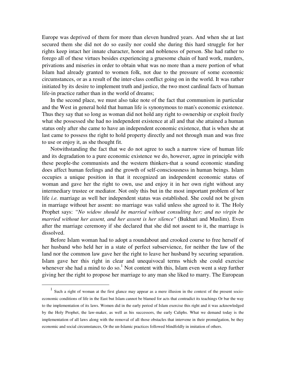Europe was deprived of them for more than eleven hundred years. And when she at last secured them she did not do so easily nor could she during this hard struggle for her rights keep intact her innate character, honor and nobleness of person. She had rather to forego all of these virtues besides experiencing a gruesome chain of hard work, murders, privations and miseries in order to obtain what was no more than a mere portion of what Islam had already granted to women folk, not due to the pressure of some economic circumstances, or as a result of the inter-class conflict going on in the world. It was rather initiated by its desire to implement truth and justice, the two most cardinal facts of human life-in practice rather than in the world of dreams;

In the second place, we must also take note of the fact that communism in particular and the West in general hold that human life is synonymous to man's economic existence. Thus they say that so long as woman did not hold any right to ownership or exploit freely what she possessed she had no independent existence at all and that she attained a human status only after she came to have an independent economic existence, that is when she at last came to possess the right to hold property directly and not through man and was free to use or enjoy it, as she thought fit.

Notwithstanding the fact that we do not agree to such a narrow view of human life and its degradation to a pure economic existence we do, however, agree in principle with these people-the communists and the western thinkers-that a sound economic standing does affect human feelings and the growth of self-consciousness in human beings. Islam occupies a unique position in that it recognized an independent economic status of woman and gave her the right to own, use and enjoy it in her own right without any intermediary trustee or mediator. Not only this but in the most important problem of her life *i.e.* marriage as well her independent status was established. She could not be given in marriage without her assent: no marriage was valid unless she agreed to it*.* The Holy Prophet says: *"No widow should be married without consulting her; and no virgin be married without her assent, and her assent is her silence"* (Bukhari and Muslim). Even after the marriage ceremony if she declared that she did not assent to it, the marriage is dissolved.

Before Islam woman had to adopt a roundabout and crooked course to free herself of her husband who held her in a state of perfect subservience, for neither the law of the land nor the common law gave her the right to leave her husband by securing separation. Islam gave her this right in clear and unequivocal terms which she could exercise whenever she had a mind to do so.<sup>1</sup> Not content with this, Islam even went a step further giving her the right to propose her marriage to any man she liked to marry. The European

 $\overline{a}$ 

<sup>&</sup>lt;sup>1</sup> Such a right of woman at the first glance may appear as a mere illusion in the context of the present socioeconomic conditions of life in the East but Islam cannot be blamed for acts that contradict its teachings Or bar the way to the implementation of its laws. Women did in the early period of Islam exercise this right and it was acknowledged by the Holy Prophet, the law-maker, as well as his successors, the early Caliphs. What we demand today is the implementation of all laws along with the removal of all those obstacles that intervene in their promulgation, be they economic and social circumstances, Or the un-Islamic practices followed blindfoldly in imitation of others.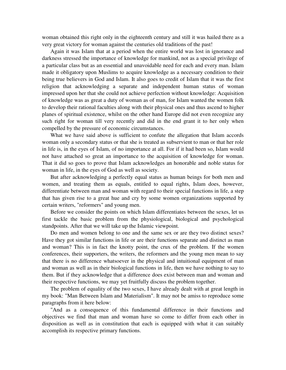woman obtained this right only in the eighteenth century and still it was hailed there as a very great victory for woman against the centuries old traditions of the past!

Again it was Islam that at a period when the entire world was lost in ignorance and darkness stressed the importance of knowledge for mankind, not as a special privilege of a particular class but as an essential and unavoidable need for each and every man. Islam made it obligatory upon Muslims to acquire knowledge as a necessary condition to their being true believers in God and Islam. It also goes to credit of Islam that it was the first religion that acknowledging a separate and independent human status of woman impressed upon her that she could not achieve perfection without knowledge: Acquisition of knowledge was as great a duty of woman as of man, for Islam wanted the women folk to develop their rational faculties along with their physical ones and thus ascend to higher planes of spiritual existence, whilst on the other hand Europe did not even recognize any such right for woman till very recently and did in the end grant it to her only when compelled by the pressure of economic circumstances.

What we have said above is sufficient to confute the allegation that Islam accords woman only a secondary status or that she is treated as subservient to man or that her role in life is, in the eyes of Islam, of no importance at all. For if it had been so, Islam would not have attached so great an importance to the acquisition of knowledge for woman. That it did so goes to prove that Islam acknowledges an honorable and noble status for woman in life, in the eyes of God as well as society.

But after acknowledging a perfectly equal status as human beings for both men and women, and treating them as equals, entitled to equal rights, Islam does, however, differentiate between man and woman with regard to their special functions in life, a step that has given rise to a great hue and cry by some women organizations supported by certain writers, "reformers" and young men.

Before we consider the points on which Islam differentiates between the sexes, let us first tackle the basic problem from the physiological, biological and psychological standpoints. After that we will take up the Islamic viewpoint.

Do men and women belong to one and the same sex or are they two distinct sexes? Have they got similar functions in life or are their functions separate and distinct as man and woman? This is in fact the knotty point, the crux of the problem. If the women conferences, their supporters, the writers, the reformers and the young men mean to say that there is no difference whatsoever in the physical and intuitional equipment of man and woman as well as in their biological functions in life, then we have nothing to say to them. But if they acknowledge that a difference does exist between man and woman and their respective functions, we may yet fruitfully discuss the problem together.

The problem of equality of the two sexes, I have already dealt with at great length in my book: "Man Between Islam and Materialism". It may not be amiss to reproduce some paragraphs from it here below:

"And as a consequence of this fundamental difference in their functions and objectives we find that man and woman have so come to differ from each other in disposition as well as in constitution that each is equipped with what it can suitably accomplish its respective primary functions.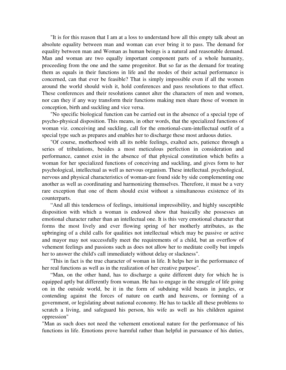"It is for this reason that I am at a loss to understand how all this empty talk about an absolute equality between man and woman can ever bring it to pass. The demand for equality between man and Woman as human beings is a natural and reasonable demand. Man and woman are two equally important component parts of a whole humanity, proceeding from the one and the same progenitor. But so far as the demand for treating them as equals in their functions in life and the modes of their actual performance is concerned, can that ever be feasible? That is simply impossible even if all the women around the world should wish it, hold conferences and pass resolutions to that effect. These conferences and their resolutions cannot alter the characters of men and women, nor can they if any way transform their functions making men share those of women in conception, birth and suckling and vice versa.

"No specific biological function can be carried out in the absence of a special type of psycho-physical disposition. This means, in other words, that the specialized functions of woman viz. conceiving and suckling, call for the emotional-cum-intellectual outfit of a special type such as prepares and enables her to discharge these most arduous duties.

"Of course, motherhood with all its noble feelings, exalted acts, patience through a series of tribulations, besides a most meticulous perfection in consideration and performance, cannot exist in the absence of that physical constitution which befits a woman for her specialized functions of conceiving and suckling, and gives form to her psychological, intellectual as well as nervous organism. These intellectual. psychological, nervous and physical characteristics of woman-are found side by side complementing one another as well as coordinating and harmonizing themselves. Therefore, it must be a very rare exception that one of them should exist without a simultaneous existence of its counterparts.

"And all this tenderness of feelings, intuitional impressibility, and highly susceptible disposition with which a woman is endowed show that basically she possesses an emotional character rather than an intellectual one. It is this very emotional character that forms the most lively and ever flowing spring of her motherly attributes, as the upbringing of a child calls for qualities not intellectual which may be passive or active and mayor may not successfully meet the requirements of a child, but an overflow of vehement feelings and passions such as does not allow her to meditate coolly but impels her to answer the child's call immediately without delay or slackness".

"This in fact is the true character of woman in life. It helps her in the performance of her real functions as well as in the realization of her creative purpose".

"Man, on the other hand, has to discharge a quite different duty for which he is equipped aptly but differently from woman. He has to engage in the struggle of life going on in the outside world, be it in the form of subduing wild beasts in jungles, or contending against the forces of nature on earth and heavens, or forming of a government, or legislating about national economy. He has to tackle all these problems to scratch a living, and safeguard his person, his wife as well as his children against oppression"

"Man as such does not need the vehement emotional nature for the performance of his functions in life. Emotions prove harmful rather than helpful in pursuance of his duties,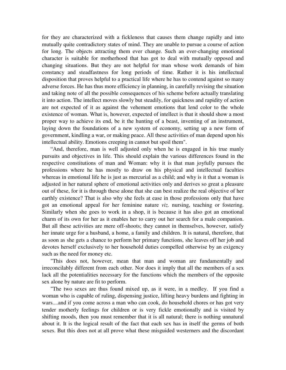for they are characterized with a fickleness that causes them change rapidly and into mutually quite contradictory states of mind. They are unable to pursue a course of action for long. The objects attracting them ever change. Such an ever-changing emotional character is suitable for motherhood that has got to deal with mutually opposed and changing situations. But they are not helpful for man whose work demands of him constancy and steadfastness for long periods of time. Rather it is his intellectual disposition that proves helpful to a practical life where he has to contend against so many adverse forces. He has thus more efficiency in planning, in carefully revising the situation and taking note of all the possible consequences of his scheme before actually translating it into action. The intellect moves slowly but steadily, for quickness and rapidity of action are not expected of it as against the vehement emotions that lend color to the whole existence of woman. What is, however, expected of intellect is that it should show a most proper way to achieve its end, be it the hunting of a beast, inventing of an instrument, laying down the foundations of a new system of economy, setting up a new form of government, kindling a war, or making peace. All these activities of man depend upon his intellectual ability. Emotions creeping in cannot but spoil them".

"And, therefore, man is well adjusted only when he is engaged in his true manly pursuits and objectives in life. This should explain the various differences found in the respective constitutions of man and Woman: why it is that man joyfully pursues the professions where he has mostly to draw on his physical and intellectual faculties whereas in emotional life he is just as mercurial as a child; and why is it that a woman is adjusted in her natural sphere of emotional activities only and derives so great a pleasure out of these, for it is through these alone that she can best realize the real objective of her earthly existence? That is also why she feels at ease in those professions only that have got an emotional appeal for her feminine nature *viz.* nursing, teaching or fostering. Similarly when she goes to work in a shop, it is because it has also got an emotional charm of its own for her as it enables her to carry out her search for a male companion. But all these activities are mere off-shoots; they cannot in themselves, however, satisfy her innate urge for a husband, a home, a family and children. It is natural, therefore, that as soon as she gets a chance to perform her primary functions, she leaves off her job and devotes herself exclusively to her household duties compelled otherwise by an exigency such as the need for money etc.

"This does not, however, mean that man and woman are fundamentally and irreconcilably different from each other. Nor does it imply that all the members of a sex lack all the potentialities necessary for the functions which the members of the opposite sex alone by nature are fit to perform.

"The two sexes are thus found mixed up, as it were, in a medley. If you find a woman who is capable of ruling, dispensing justice, lifting heavy burdens and fighting in wars....and if you come across a man who can cook, do household chores or has got very tender motherly feelings for children or is very fickle emotionally and is visited by shifting moods, then you must remember that it is all natural; there is nothing unnatural about it. It is the logical result of the fact that each sex has in itself the germs of both sexes. But this does not at all prove what these misguided westerners and the discordant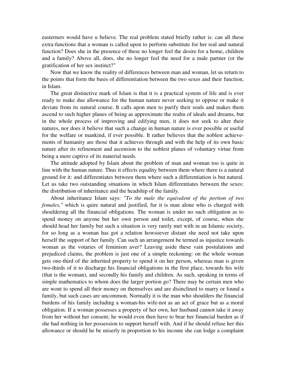easterners would have u believe. The real problem stated briefly rather is: can all these extra-functions that a woman is called upon to perform substitute for her real and natural function? Does she in the presence of these no longer feel the desire for a home, children and a family? Above all, does, she no longer feel the need for a male partner (or the gratification of her sex instinct?"

Now that we know the reality of differences between man and woman, let us return to the points that form the basis of differentiation between the two sexes and their function, in Islam.

The great distinctive mark of Islam is that it is a practical system of life and is ever ready to make due allowance for the human nature never seeking to oppose or make it deviate from its natural course. It calls upon men to purify their souls and makes them ascend to such higher planes of being as approximate the realm of ideals and dreams, but in the whole process of improving and edifying men, it does not seek to alter their natures, nor does it believe that such a change in human nature is ever possible or useful for the welfare or mankind, if ever possible. It rather believes that the noblest achievements of humanity are those that it achieves through and with the help of its own basic nature after its refinement and ascension to the noblest planes of voluntary virtue from being a mere captive of its material needs.

The attitude adopted by Islam about the problem of man and woman too is quite in line with the human nature. Thus it effects equality between them where there is a natural ground for it: and differentiates between them where such a differentiation is but natural. Let us take two outstanding situations in which Islam differentiates between the sexes: the distribution of inheritance and the headship of the family.

About inheritance Islam says: *"To the male the equivalent of the portion of two females,"* which is quire natural and justified, fur it is man alone who is charged with shouldering all the financial obligations. The woman is under no such obligation as to spend money on anyone but her own person and toilet, except, of course, when she should head her family but such a situation is very rarely met with in an Islamic society, for so long as a woman has got a relation howsoever distant she need not take upon herself the support of her family. Can such an arrangement be termed as injustice towards woman as the votaries of feminism aver? Leaving aside these vain postulations and prejudiced claims, the problem is just one of a simple reckoning: on the whole woman gets one-third of the inherited property to spend it on her person, whereas man is given two-thirds of it to discharge his financial obligations in the first place, towards his wife (that is the woman), and secondly his family and children. As such, speaking in terms of simple mathematics to whom does the larger portion go? There may be certain men who are wont to spend all their money on themselves and are disinclined to marry or found a family, but such cases are uncommon. Normally it is the man who shoulders the financial burdens of his family including a woman-his wife-not as an act of grace but as a moral obligation. If a woman possesses a property of her own, her husband cannot take it away from her without her consent; he would even then have to bear her financial burden as if she had nothing in her possession to support herself with. And if he should refuse her this allowance or should he be miserly in proportion to his income she can lodge a complaint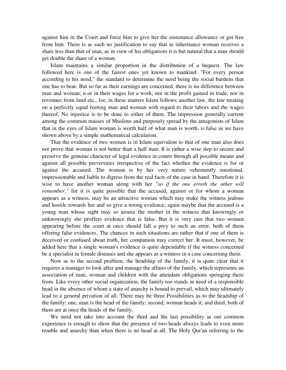against him in the Court and force him to give her the sustenance allowance or get free from him. There is as such no justification to say that in inheritance woman receives a share less than that of man, as in view of his obligations it is but natural that a man should get double the share of a woman.

Islam maintains a similar proportion in the distribution of a bequest. The law followed here is one of the fairest ones yet known to mankind: "For every person according to his need," the standard to determine the need being the social burdens that one has to bear. But so far as their earnings are concerned, there is no difference between man and woman; n or in their wages for a work, nor in the profit gained in trade, nor in revenues from land etc., for, in these matters Islam follows another law, the law treating on a perfectly equal footing man and woman with regard to their labors and the wages thereof. No injustice is to be done to either of them. The impression generally current among the common masses of Muslims and purposely spread by the antagonists of Islam that in the eyes of Islam woman is worth half of what man is worth, is false as we have shown above by a simple mathematical calculation.

That the evidence of two women is in Islam equivalent to that of one man also does not prove that woman is not better than a half man. It is rather a wise step to secure and preserve the genuine character of legal evidence in courts through all possible means and against all possible perversities irrespective of the fact whether the evidence is for or against the accused. The woman is by her very nature vehemently emotional, impressionable and liable to digress from the real facts of the case in hand. Therefore it is wise to have another woman along with her *"so if the one erreth the other will remember,*" for it is quite possible that the accused, against or for whom a woman appears as a witness, may be an attractive woman which may make the witness jealous and hostile towards her and so give a wrong evidence; again maybe that the accused is a young man whose sight may so arouse the mother in the witness that knowingly or unknowingly she proffers evidence that is false. But it is very rare that two women appearing before the court at once should fall a prey to such an error, both of them offering false evidences. The chances in such situations are rather that if one of them is deceived or confused about truth, her companion may correct her. It must, however, be added here that a single woman's evidence is quite dependable if the witness concerned be a specialist in female diseases and she appears as a witness in a case concerning these.

Now as to the second problem, the headship of the family, it is quite clear that it requires a manager to look after and manage the affairs of the family, which represents an association of man, woman and children with the attendant obligations springing there from. Like every other social organization, the family too stands in need of a responsible head in the absence of whom a state of anarchy is bound to prevail, which may ultimately lead to a general privation of all. There may be three Possibilities as to the headship of the family: one, man is the head of the family; second, woman heads it; and third, both of them are at once the heads of the family.

We need not take into account the third and the last possibility as our common experience is enough to show that the presence of two heads always leads to even more trouble and anarchy than when there is no head at all. The Holy Qur'an referring to the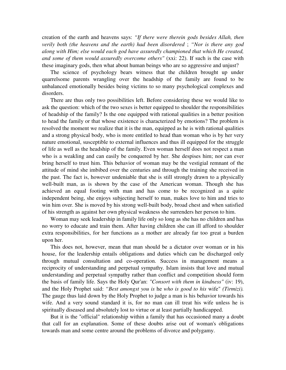creation of the earth and heavens says: *"If there were therein gods besides Allah, then verily both (the heavens and the earth) had been disordered* ; *"Nor is there any god along with Him; else would each god have assuredly championed that which He created, and some of them would assuredly overcome others"* (xxi: 22). If such is the case with these imaginary gods, then what about human beings who are so aggressive and unjust?

The science of psychology bears witness that the children brought up under quarrelsome parents wrangling over the headship of the family are found to be unbalanced emotionally besides being victims to so many psychological complexes and disorders.

There are thus only two possibilities left. Before considering these we would like to ask the question: which of the two sexes is better equipped to shoulder the responsibilities of headship of the family? Is the one equipped with rational qualities in a better position to head the family or that whose existence is characterized by emotions? The problem is resolved the moment we realize that it is the man, equipped as he is with rational qualities and a strong physical body, who is more entitled to head than woman who is by her very nature emotional, susceptible to external influences and thus ill equipped for the struggle of life as well as the headship of the family. Even woman herself does not respect a man who is a weakling and can easily be conquered by her. She despises him; nor can ever bring herself to trust him. This behavior of woman may be the vestigial remnant of the attitude of mind she imbibed over the centuries and through the training she received in the past. The fact is, however undeniable that she is still strongly drawn to a physically well-built man, as is shown by the case of the American woman. Though she has achieved an equal footing with man and has come to be recognized as a quite independent being, she enjoys subjecting herself to man, makes love to him and tries to win him over. She is moved by his strong well-built body, broad chest and when satisfied of his strength as against her own physical weakness she surrenders her person to him.

Woman may seek leadership in family life only so long as she has no children and has no worry to educate and train them. After having children she can ill afford to shoulder extra responsibilities, for her functions as a mother are already far too great a burden upon her.

This does not, however, mean that man should be a dictator over woman or in his house, for the leadership entails obligations and duties which can be discharged only through mutual consultation and co-operation. Success in management means a reciprocity of understanding and perpetual sympathy. Islam insists that love and mutual understanding and perpetual sympathy rather than conflict and competition should form the basis of family life. Says the Holy Qur'an: *"Consort with them in kindness"* (iv: 19), and the Holy Prophet said: *"Best amongst you is* he *who is good to his* wife" *(Tirmizi).*  The gauge thus laid down by the Holy Prophet to judge a man is his behavior towards his wife. And a very sound standard it is, for no man can ill treat his wife unless he is spiritually diseased and absolutely lost to virtue or at least partially handicapped.

But it is the "official" relationship within a family that has occasioned many a doubt that call for an explanation. Some of these doubts arise out of woman's obligations towards man and some centre around the problems of divorce and polygamy.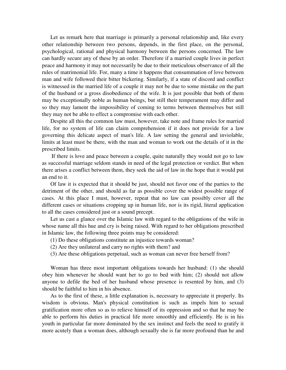Let us remark here that marriage is primarily a personal relationship and, like every other relationship between two persons, depends, in the first place, on the personal, psychological, rational and physical harmony between the persons concerned. The law can hardly secure any of these by an order. Therefore if a married couple lives in perfect peace and harmony it may not necessarily be due to their meticulous observance of all the rules of matrimonial life. For, many a time it happens that consummation of love between man and wife followed their bitter bickering. Similarly, if a state of discord and conflict is witnessed in the married life of a couple it may not be due to some mistake on the part of the husband or a gross disobedience of the wife. It is just possible that both of them may be exceptionally noble as human beings, but still their temperament may differ and so they may lament the impossibility of coming to terms between themselves but still they may not be able to effect a compromise with each other.

Despite all this the common law must, however, take note and frame rules for married life, for no system of life can claim comprehension if it does not provide for a law governing this delicate aspect of man's life. A law setting the general and inviolable, limits at least must be there, with the man and woman to work out the details of it in the prescribed limits.

 If there is love and peace between a couple, quite naturally they would not go to law as successful marriage seldom stands in need of the legal protection or verdict. But when there arises a conflict between them, they seek the aid of law in the hope that it would put an end to it.

Of law it is expected that it should be just, should not favor one of the parties to the detriment of the other, and should as far as possible cover the widest possible range of cases. At this place I must, however, repeat that no law can possibly cover all the different cases or situations cropping up in human life, nor is its rigid, literal application to all the cases considered just or a sound precept.

Let us cast a glance over the Islamic law with regard to the obligations of the wife in whose name all this hue and cry is being raised. With regard to her obligations prescribed in Islamic law, the following three points may be considered:

- (1) Do these obligations constitute an injustice towards woman?
- (2) Are they unilateral and carry no rights with them? and
- (3) Are these obligations perpetual, such as woman can never free herself from?

Woman has three most important obligations towards her husband: (1) she should obey him whenever he should want her to go to bed with him; (2) should not allow anyone to defile the bed of her husband whose presence is resented by him, and (3) should be faithful to him in his absence.

As to the first of these, a little explanation is, necessary to appreciate it properly. Its wisdom is obvious. Man's physical constitution is such as impels him to sexual gratification more often so as to relieve himself of its oppression and so that he may be able to perform his duties in practical life more smoothly and efficiently. He is in his youth in particular far more dominated by the sex instinct and feels the need to gratify it more acutely than a woman does, although sexually she is far more profound than he and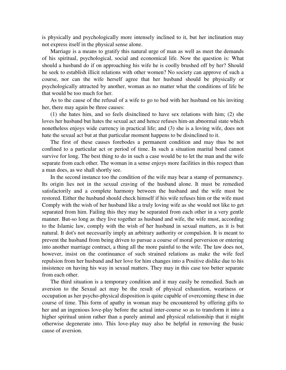is physically and psychologically more intensely inclined to it, but her inclination may not express itself in the physical sense alone.

Marriage is a means to gratify this natural urge of man as well as meet the demands of his spiritual, psychological, social and economical life. Now the question is: What should a husband do if on approaching his wife he is coolly brushed off by her? Should he seek to establish illicit relations with other women? No society can approve of such a course, nor can the wife herself agree that her husband should be physically or psychologically attracted by another, woman as no matter what the conditions of life be that would be too much for her.

As to the cause of the refusal of a wife to go to bed with her husband on his inviting her, there may again be three causes:

(1) she hates him, and so feels disinclined to have sex relations with him; (2) she loves her husband but hates the sexual act and hence refuses him-an abnormal state which nonetheless enjoys wide currency in practical life; and (3) she is a loving wife, does not hate the sexual act but at that particular moment happens to be disinclined to it.

The first of these causes forebodes a permanent condition and may thus be not confined to a particular act or period of time. In such a situation marital bond cannot survive for long. The best thing to do in such a case would be to let the man and the wife separate from each other. The woman in a sense enjoys more facilities in this respect than a man does, as we shall shortly see.

In the second instance too the condition of the wife may bear a stamp of permanency. Its origin lies not in the sexual craving of the husband alone. It must be remedied satisfactorily and a complete harmony between the husband and the wife must be restored. Either the husband should check himself if his wife refuses him or the wife must Comply with the wish of her husband like a truly loving wife as she would not like to get separated from him. Failing this they may be separated from each other in a very gentle manner. But-so long as they live together as husband and wife, the wife must, according to the Islamic law, comply with the wish of her husband in sexual matters, as it is but natural. It dot's not necessarily imply an arbitrary authority or compulsion. It is meant to prevent the husband from being driven to pursue a course of moral perversion or entering into another marriage contract, a thing all the more painful to the wife. The law does not, however, insist on the continuance of such strained relations as make the wife feel repulsion from her husband and her love for him changes into a Positive dislike due to his insistence on having his way in sexual matters. They may in this case too better separate from each other.

The third situation is a temporary condition and it may easily be remedied. Such an aversion to the Sexual act may be the result of physical exhaustion, weariness or occupation as her psycho-physical disposition is quite capable of overcoming these in due course of time. This form of apathy in woman may be encountered by offering gifts to her and an ingenious love-play before the actual inter-course so as to transform it into a higher spiritual union rather than a purely animal and physical relationship that it might otherwise degenerate into. This love-play may also be helpful in removing the basic cause of aversion.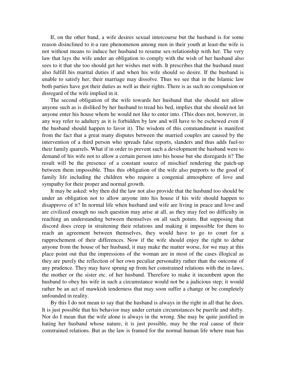If, on the other band, a wife desires sexual intercourse but the husband is for some reason disinclined to it-a rare phenomenon among men in their youth at least-the wife is not without means to induce her husband to resume sex-relationship with her. The very law that lays the wife under an obligation to comply with the wish of her husband also sees to it that she too should get her wishes met with. It prescribes that the husband must also fulfill his marital duties if and when his wife should so desire. If the husband is unable to satisfy her, their marriage may dissolve. Thus we see that in the Islamic law both parties have got their duties as well as their rights. There is as such no compulsion or disregard of the wife implied in it.

The second obligation of the wife towards her husband that she should not allow anyone such as is disliked by her husband to tread his bed, implies that she should not let anyone enter his house whom he would not like to enter into. (This does not, however, in any way refer to adultery as it is forbidden by law and will have to be eschewed even if the husband should happen to favor it). The wisdom of this commandment is manifest from the fact that a great many disputes between the married couples are caused by the intervention of a third person who spreads false reports, slanders and thus adds fuel-to their family quarrels. What if in order to prevent such a development the husband were to demand of his wife not to allow a certain person into his house but she disregards it? The result will be the presence of a constant source of mischief rendering the patch-up between them impossible. Thus this obligation of the wife also purports to the good of family life including the children who require a congenial atmosphere of love and sympathy for their proper and normal growth.

It may be asked: why then did the law not also provide that the husband too should be under an obligation not to allow anyone into his house if his wife should happen to disapprove of it? In normal life when husband and wife are living in peace and love and are civilized enough no such question may arise at all, as they may feel no difficulty in reaching an understanding between themselves on all such points. But supposing that discord does creep in straitening their relations and making it impossible for them to reach an agreement between themselves, they would have to go to court for a rapprochement of their differences. Now if the wife should enjoy the right to debar anyone from the house of her husband, it may make the matter worse, for we may at this place point out that the impressions of the woman are in most of the cases illogical as they are purely the reflection of her own peculiar personality rather than the outcome of any prudence. They may have sprung up from her constrained relations with the in-laws, the mother or the sister etc. of her husband. Therefore to make it incumbent upon the husband to obey his wife in such a circumstance would not be a judicious step; it would rather be an act of mawkish tenderness that may soon suffer a change or be completely unfounded in reality.

By this I do not mean to say that the husband is always in the right in all that he does. It is just possible that his behavior may under certain circumstances be puerile and shifty. Nor do I mean that the wife alone is always in the wrong. She may be quite justified in hating her husband whose nature, it is just possible, may be the real cause of their constrained relations. But as the law is framed for the normal human life where man has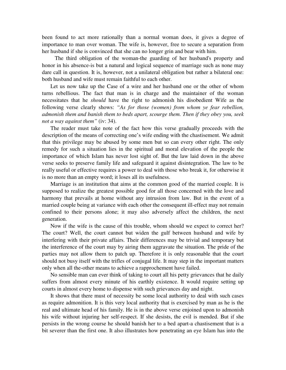been found to act more rationally than a normal woman does, it gives a degree of importance to man over woman. The wife is, however, free to secure a separation from her husband if she is convinced that she can no longer grin and bear with him.

 The third obligation of the woman-the guarding of her husband's property and honor in his absence-is but a natural and logical sequence of marriage such as none may dare call in question. It is, however, not a unilateral obligation but rather a bilateral one: both husband and wife must remain faithful to each other.

Let us now take up the Case of a wire and her husband one or the other of whom turns rebellious. The fact that man is in charge and the maintainer of the woman necessitates that he *should* have the right to admonish his disobedient Wife as the following verse clearly shows: *"As for those (women) from whom ye fear rebellion, admonish them and banish them to beds apart, scourge them. Then if they obey you, seek not a way against them"* (iv: 34).

The reader must take note of the fact how this verse gradually proceeds with the description of the means of correcting one's wife ending with the chastisement. We admit that this privilege may be abused by some men but so can every other right. The only remedy for such a situation lies in the spiritual and moral elevation of the people the importance of which Islam has never lost sight of. But the law laid down in the above verse seeks to preserve family life and safeguard it against disintegration. The law to be really useful or effective requires a power to deal with those who break it, for otherwise it is no more than an empty word; it loses all its usefulness.

Marriage is an institution that aims at the common good of the married couple. It is supposed to realize the greatest possible good for all those concerned with the love and harmony that prevails at home without any intrusion from law. But in the event of a married couple being at variance with each other the consequent ill-effect may not remain confined to their persons alone; it may also adversely affect the children, the next generation.

Now if the wife is the cause of this trouble, whom should we expect to correct her? The court? Well, the court cannot but widen the gulf between husband and wife by interfering with their private affairs. Their differences may be trivial and temporary but the interference of the court may by airing them aggravate the situation. The pride of the parties may not allow them to patch up. Therefore it is only reasonable that the court should not busy itself with the trifles of conjugal life. It may step in the important matters only when all the-other means to achieve a rapprochement have failed.

No sensible man can ever think of taking to court all his petty grievances that he daily suffers from almost every minute of his earthly existence. It would require setting up courts in almost every home to dispense with such grievances day and night.

It shows that there must of necessity be some local authority to deal with such cases as require admonition. It is this very local authority that is exercised by man as he is the real and ultimate head of his family. He is in the above verse enjoined upon to admonish his wife without injuring her self-respect. If she desists, the evil is mended. But if she persists in the wrong course he should banish her to a bed apart-a chastisement that is a bit severer than the first one. It also illustrates how penetrating an eye Islam has into the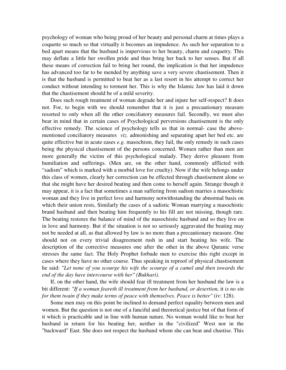psychology of woman who being proud of her beauty and personal charm at times plays a coquette so much so that virtually it becomes an impudence. As such her separation to a bed apart means that the husband is impervious to her beauty, charm and coquetry. This may deflate a little her swollen pride and thus bring her back to her senses. But if all these means of correction fail to bring her round, the implication is that her impudence has advanced too far to be mended by anything save a very severe chastisement. Then it is that the husband is permitted to beat her as a last resort in his attempt to correct her conduct without intending to torment her. This is why the Islamic Jaw has laid it down that the chastisement should be of a mild severity.

Does such rough treatment of woman degrade her and injure her self-respect? It does not. For, to begin with we should remember that it is just a precautionary measure resorted to only when all the other conciliatory measures fail. Secondly, we must also bear in mind that in certain cases of Psychological perversions chastisement is the only effective remedy. The science of psychology tells us that in normal- case the abovementioned conciliatory measures *viz.* admonishing and separating apart her bed etc. are quite effective but in acute eases *e.g.* masochism, they fail, the only remedy in such cases being the physical chastisement of the persons concerned. Women rather than men are more generally the victim of this psychological malady. They derive pleasure from humiliation and sufferings. (Men are, on the other hand, commonly afflicted with "sadism" which is marked with a morbid love for cruelty). Now if the wife belongs under this class of women, clearly her correction can be effected through chastisement alone so that she might have her desired beating and then come to herself again. Strange though it may appear, it is a fact that sometimes a man suffering from sadism marries a masochistic woman and they live in perfect love and harmony notwithstanding the abnormal basis on which their union rests, Similarly the cases of a sadistic Woman marrying a masochistic brand husband and then beating him frequently to his fill are not missing, though rare. The beating restores the balance of mind of the masochistic husband and so they live on in love and harmony. But if the situation is not so seriously aggravated the beating may not be needed at all, as that allowed by law is no more than a precautionary measure. One should not on every trivial disagreement rush in and start beating his wife. The description of the corrective measures one after the other in the above Quranic verse stresses the same fact. The Holy Prophet forbade men to exercise this right except in cases where they have no other course. Thus speaking in reproof of physical chastisement he said: *"Let none of you scourge his wife the scourge of a camel and then towards the end of the day have intercourse with her" (Bukhari).* 

If, on the other hand, the wife should fear ill treatment from her husband the law is a bit different: "If a woman feareth ill treatment from her husband, or desertion, it is no sin *for them twain if they make terms of peace with themselves. Peace is better" (iv: 128).* 

Some men may on this point be inclined to demand perfect equality between men and women. But the question is not one of a fanciful and theoretical justice but of that form of it which is practicable and in line with human nature. No woman would like to beat her husband in return for his beating her, neither in the "civilized" West nor in the "backward" East. She does not respect the husband whom she can beat and chastise. This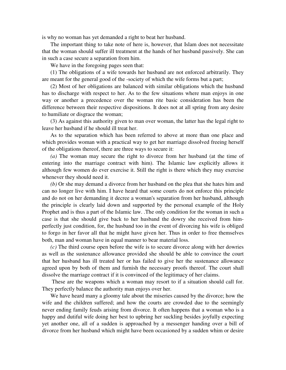is why no woman has yet demanded a right to beat her husband.

The important thing to take note of here is, however, that Islam does not necessitate that the woman should suffer ill treatment at the hands of her husband passively. She can in such a case secure a separation from him.

We have in the foregoing pages seen that:

(1) The obligations of a wife towards her husband are not enforced arbitrarily. They are meant for the general good of the -society of which the wife forms but a part;

(2) Most of her obligations are balanced with similar obligations which the husband has to discharge with respect to her. As to the few situations where man enjoys in one way or another a precedence over the woman rite basic consideration has been the difference between their respective dispositions. It does not at all spring from any desire to humiliate or disgrace the woman;

(3) As against this authority given to man over woman, the latter has the legal right to leave her husband if he should ill treat her.

As to the separation which has been referred to above at more than one place and which provides woman with a practical way to get her marriage dissolved freeing herself of the obligations thereof, there are three ways to secure it:

*(a)* The woman may secure the right to divorce from her husband (at the time of entering into the marriage contract with him). The Islamic law explicitly allows it although few women do ever exercise it. Still the right is there which they may exercise whenever they should need it.

*(b)* Or she may demand a divorce from her husband on the plea that she hates him and can no longer live with him. I have heard that some courts do not enforce this principle and do not on her demanding it decree a woman's separation from her husband, although the principle is clearly laid down and supported by the personal example of the Holy Prophet and is thus a part of the Islamic law. .The only condition for the woman in such a case is that she should give back to her husband the dowry she received from himperfectly just condition, for, the husband too in the event of divorcing his wife is obliged to forgo in her favor all that he might have given her. Thus in order to free themselves both, man and woman have in equal manner to bear material loss.

*(c)* The third course open before the wife is to secure divorce along with her dowries as well as the sustenance allowance provided she should be able to convince the court that her husband has ill treated her or has failed to give her the sustenance allowance agreed upon by both of them and furnish the necessary proofs thereof. The court shall dissolve the marriage contract if it is convinced of the legitimacy of her claims.

 These are the weapons which a woman may resort to if a situation should call for. They perfectly balance the authority man enjoys over her.

We have heard many a gloomy tale about the miseries caused by the divorce; how the wife and the children suffered; and how the courts are crowded due to the seemingly never ending family feuds arising from divorce. It often happens that a woman who is a happy and dutiful wife doing her best to upbring her suckling besides joyfully expecting yet another one, all of a sudden is approached by a messenger handing over a bill of divorce from her husband which might have been occasioned by a sudden whim or desire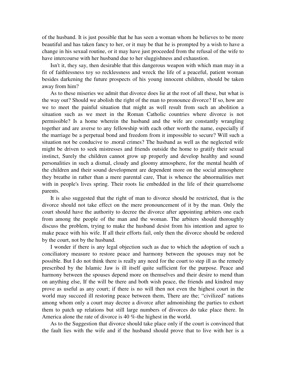of the husband. It is just possible that he has seen a woman whom he believes to be more beautiful and has taken fancy to her, or it may be that he is prompted by a wish to have a change in his sexual routine, or it may have just proceeded from the refusal of the wife to have intercourse with her husband due to her sluggishness and exhaustion.

Isn't it, they say, then desirable that this dangerous weapon with which man may in a fit of faithlessness toy so recklessness and wreck the life of a peaceful, patient woman besides darkening the future prospects of his young innocent children, should be taken away from him?

As to these miseries we admit that divorce does lie at the root of all these, but what is the way out? Should we abolish the right of the man to pronounce divorce? If so, how are we to meet the painful situation that might as well result from such an abolition a situation such as we meet in the Roman Catholic countries where divorce is not permissible? Is a home wherein the husband and the wife are constantly wrangling together and are averse to any fellowship with each other worth the name, especially if the marriage be a perpetual bond and freedom from it impossible to secure? Will such a situation not be conducive to .moral crimes? The husband as well as the neglected wife might be driven to seek mistresses and friends outside the home to gratify their sexual instinct, Surely the children cannot grow up properly and develop healthy and sound personalities in such a dismal, cloudy and gloomy atmosphere, for the mental health of the children and their sound development are dependent more on the social atmosphere they breathe in rather than a mere parental care, That is whence the abnormalities met with in people's lives spring. Their roots lie embedded in the life of their quarrelsome parents.

It is also suggested that the right of man to divorce should be restricted, that is the divorce should not take effect on the mere pronouncement of it by the man. Only the court should have the authority to decree the divorce after appointing arbiters one each from among the people of the man and the woman. The arbiters should thoroughly discuss the problem, trying to make the husband desist from his intention and agree to make peace with his wife. If all their efforts fail, only then the divorce should be ordered by the court, not by the husband.

I wonder if there is any legal objection such as due to which the adoption of such a conciliatory measure to restore peace and harmony between the spouses may not be possible. But I do not think there is really any need for the court to step ill as the remedy prescribed by the Islamic Jaw is ill itself quite sufficient for the purpose. Peace and harmony between the spouses depend more on themselves and their desire to mend than on anything else, If the will be there and both wish peace, the friends and kindred may prove as useful as any court; if there is no will then not even the highest court in the world may succeed ill restoring peace between them, There are the; "civilized" nations among whom only a court may decree a divorce after admonishing the parties to exhort them to patch up relations but still large numbers of divorces do take place there. In America alone the rate of divorce is 40 %-the highest in the world.

As to the Suggestion that divorce should take place only if the court is convinced that the fault lies with the wife and if the husband should prove that to live with her is a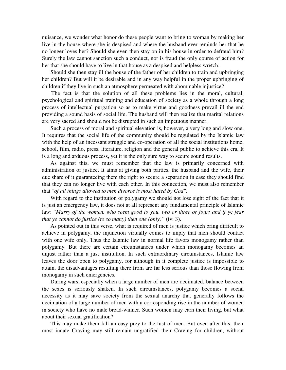nuisance, we wonder what honor do these people want to bring to woman by making her live in the house where she is despised and where the husband ever reminds her that he no longer loves her? Should she even then stay on in his house in order to defraud him? Surely the law cannot sanction such a conduct, nor is fraud the only course of action for her that she should have to live in that house as a despised and helpless wretch.

Should she then stay ill the house of the father of her children to train and upbringing her children? But will it be desirable and in any way helpful in the proper upbringing of children if they live in such an atmosphere permeated with abominable injustice?

 The fact is that the solution of all these problems lies in the moral, cultural, psychological and spiritual training and education of society as a whole through a long process of intellectual purgation so as to make virtue and goodness prevail ill the end providing a sound basis of social life. The husband will then realize that marital relations are very sacred and should not be disrupted in such an impetuous manner.

Such a process of moral and spiritual elevation is, however, a very long and slow one, It requires that the social life of the community should be regulated by the Islamic law with the help of an incessant struggle and co-operation of all the social institutions home, school, film, radio, press, literature, religion and the general public to achieve this era, It is a long and arduous process, yet it is the only sure way to secure sound results.

As against this, we must remember that the law is primarily concerned with administration of justice. It aims at giving both parties, the husband and the wife, their due share of it guaranteeing them the right to secure a separation in case they should find that they can no longer live with each other. In this connection, we must also remember that *"of all things allowed to men divorce is most hated by God".* 

With regard to the institution of polygamy we should not lose sight of the fact that it is just an emergency law, it does not at all represent any fundamental principle of Islamic law: "Marry of the women, who seem good to you, two or three or four: and if ye fear *that ye cannot do justice (to so many) then one (only)"* (iv: 3).

As pointed out in this verse, what is required of men is justice which bring difficult to achieve in polygamy, the injunction virtually comes to imply that men should contact with one wife only, Thus the Islamic law in normal life favors monogamy rather than polygamy. But there are certain circumstances under which monogamy becomes an unjust rather than a just institution. In such extraordinary circumstances, Islamic law leaves the door open to polygamy, for although in it complete justice is impossible to attain, the disadvantages resulting there from are far less serious than those flowing from monogamy in such emergencies.

During wars, especially when a large number of men are decimated, balance between the sexes is seriously shaken. In such circumstances, polygamy becomes a social necessity as it may save society from the sexual anarchy that generally follows the decimation of a large number of men with a corresponding rise in the number of women in society who have no male bread-winner. Such women may earn their living, but what about their sexual gratification?

This may make them fall an easy prey to the lust of men. But even after this, their most innate Craving may still remain ungratified their Craving for children, without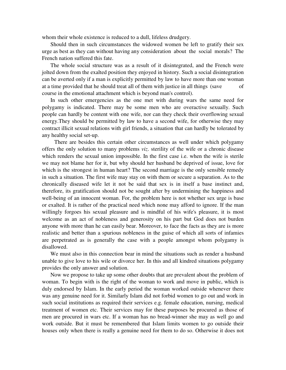whom their whole existence is reduced to a dull, lifeless drudgery.

Should then in such circumstances the widowed women be left to gratify their sex urge as best as they can without having any consideration about the social morals? The French nation suffered this fate.

The whole social structure was as a result of it disintegrated, and the French were jolted down from the exalted position they enjoyed in history. Such a social disintegration can be averted only if a man is explicitly permitted by law to have more than one woman at a time provided that he should treat all of them with justice in all things (save of course in the emotional attachment which is beyond man's control).

In such other emergencies as the one met with during wars the same need for polygamy is indicated. There may be some men who are overactive sexually. Such people can hardly be content with one wife, nor can they check their overflowing sexual energy.They should be permitted by law to have a second wife, for otherwise they may contract illicit sexual relations with girl friends, a situation that can hardly be tolerated by any healthy social set-up.

 There are besides this certain other circumstances as well under which polygamy offers the only solution to many problems *viz*. sterility of the wife or a chronic disease which renders the sexual union impossible. In the first case i.e. when the wife is sterile we may not blame her for it, but why should her husband be deprived of issue, love for which is the strongest in human heart? The second marriage is the only sensible remedy in such a situation. The first wife may stay on with them or secure a separation. As to the chronically diseased wife let it not be said that sex is in itself a base instinct and, therefore, its gratification should not be sought after by undermining the happiness and well-being of an innocent woman. For, the problem here is not whether sex urge is base or exalted. It is rather of the practical need which none may afford to ignore. If the man willingly forgoes his sexual pleasure and is mindful of his wife's pleasure, it is most welcome as an act of nobleness and generosity on his part but God does not burden anyone with more than he can easily bear. Moreover, to face the facts as they are is more realistic and better than a spurious nobleness in the guise of which all sorts of infamies are perpetrated as is generally the case with a people amongst whom polygamy is disallowed.

We must also in this connection bear in mind the situations such as render a husband unable to give love to his wile or divorce her. In this and all kindred situations polygamy provides the only answer and solution.

Now we propose to take up some other doubts that are prevalent about the problem of woman. To begin with is the right of the woman to work and move in public, which is duly endorsed by Islam. In the early period the woman worked outside whenever there was any genuine need for it. Similarly Islam did not forbid women to go out and work in such social institutions as required their services e.g. female education, nursing, medical treatment of women etc. Their services may for these purposes be procured as those of men are procured in wars etc. If a woman has no bread-winner she may as well go and work outside. But it must be remembered that Islam limits women to go outside their houses only when there is really a genuine need for them to do so. Otherwise it does not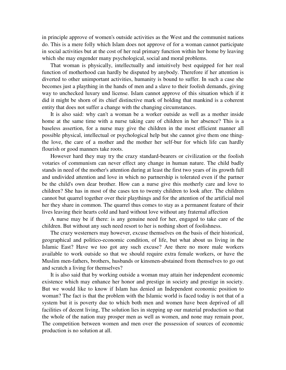in principle approve of women's outside activities as the West and the communist nations do. This is a mere folly which Islam does not approve of for a woman cannot participate in social activities but at the cost of her real primary function within her home by leaving which she may engender many psychological, social and moral problems.

That woman is physically, intellectually and intuitively best equipped for her real function of motherhood can hardly be disputed by anybody. Therefore if her attention is diverted to other unimportant activities, humanity is bound to suffer. In such a case she becomes just a plaything in the hands of men and a slave to their foolish demands, giving way to unchecked luxury und license. Islam cannot approve of this situation which if it did it might be shorn of its chief distinctive mark of holding that mankind is a coherent entity that does not suffer a change with the changing circumstances.

It is also said: why can't a woman be a worker outside as well as a mother inside home at the same time with a nurse taking care of children in her absence? This is a baseless assertion, for a nurse may give the children in the most efficient manner all possible physical, intellectual or psychological help but she cannot give them one thingthe love, the care of a mother and the mother her self-bur for which life can hardly flourish or good manners take roots.

However hard they may try the crazy standard-bearers or civilization or the foolish votaries of communism can never effect any change in human nature. The child badly stands in need of the mother's attention during at least the first two years of its growth full and undivided attention and love in which no partnership is tolerated even if the partner be the child's own dear brother. How can a nurse give this motherly care and love to children? She has in most of the cases ten to twenty children to look after. The children cannot but quarrel together over their playthings and for the attention of the artificial mol her they share in common. The quarrel thus comes to stay as a permanent feature of their lives leaving their hearts cold and hard without love without any fraternal affection

A nurse may be if there: is any genuine need for her, engaged to take care of the children. But without any such need resort to her is nothing short of foolishness.

The crazy westerners may however, excuse themselves on the basis of their historical, geographical and politico-economic condition, of life, but what about us living in the Islamic East? Have we too got any such excuse? Are there no more male workers available to work outside so that we should require extra female workers, or have the Muslim men-fathers, brothers, husbands or kinsmen-abstained from themselves to go out and scratch a living for themselves?

It is also said that by working outside a woman may attain her independent economic existence which may enhance her honor and prestige in society and prestige in society. But we would like to know if Islam has denied an Independent economic position to woman? The fact is that the problem with the Islamic world is faced today is not that of a system but it is poverty due to which both men and women have been deprived of all facilities of decent living, The solution lies in stepping up our material production so that the whole of the nation may prosper men as well as women, and none may remain poor, The competition between women and men over the possession of sources of economic production is no solution at all.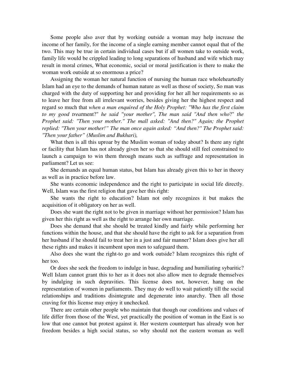Some people also aver that by working outside a woman may help increase the income of her family, for the income of a single earning member cannot equal that of the two. This may be true in certain individual cases but if all women take to outside work, family life would be crippled leading to long separations of husband and wife which may result in moral crimes, What economic, social or moral justification is there to make the woman work outside at so enormous a price?

Assigning the woman her natural function of nursing the human race wholeheartedly Islam had an eye to the demands of human nature as well as those of society, So man was charged with the duty of supporting her and providing for her all her requirements so as to leave her free from all irrelevant worries, besides giving her the highest respect and regard so much that *when a man enquired of the Holy Prophet: "Who has the first claim to my good treat*ment?" *he said "your mother", The man said "And then who*?" *the Prophet said: "Then your mother." The mall asked: "And then?" Again; the Prophet replied: "Then your mother!" The man once again asked: "And then?" The Prophet said: "Then your father" (Muslim and Bukhari),* 

What then is all this uproar by the Muslim woman of today about? Is there any right or facility that Islam has not already given her so that she should still feel constrained to launch a campaign to win them through means such as suffrage and representation in parliament? Let us see:

She demands an equal human status, but Islam has already given this to her in theory as well as in practice before law.

She wants economic independence and the right to participate in social life directly. Well, Islam was the first religion that gave her this right:

She wants the right to education? Islam not only recognizes it but makes the acquisition of it obligatory on her as well.

Does she want the right not to be given in marriage without her permission? Islam has given her this right as well as the right to arrange her own marriage.

Does she demand that she should be treated kindly and fairly while performing her functions within the house, and that she should have the right to ask for a separation from her husband if he should fail to treat her in a just and fair manner? Islam does give her all these rights and makes it incumbent upon men to safeguard them.

Also does she want the right-to go and work outside? Islam recognizes this right of her too.

Or does she seek the freedom to indulge in base, degrading and humiliating sybaritic? Well Islam cannot grant this to her as it does not also allow men to degrade themselves by indulging in such depravities. This license does not, however, hang on the representation of women in parliaments. They may do well to wait patiently till the social relationships and traditions disintegrate and degenerate into anarchy. Then all those craving for this license may enjoy it unchecked.

There are certain other people who maintain that though our conditions and values of life differ from those of the West, yet practically the position of woman in the East is so low that one cannot but protest against it*.* Her western counterpart has already won her freedom besides a high social status, so why should not the eastern woman as well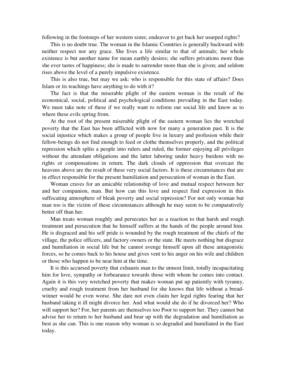following in the footsteps of her western sister, endeavor to get back her usurped rights?

This is no doubt true. The woman in the Islamic Countries is generally backward with neither respect nor any grace. She lives a life similar to that of animals; her whole existence is but another name for mean earthly desires; she suffers privations more than she ever tastes of happiness; she is made to surrender more than she is given; and seldom rises above the level of a purely impulsive existence.

This is also true, but may we ask: who is responsible for this state of affairs? Does Islam or its teachings have anything to do with it?

The fact is that the miserable plight of the eastern woman is the result of the economical, social, political and psychological conditions prevailing in the East today. We must take note of these if we really want to reform our social life and know as to where these evils spring from.

At the root of the present miserable plight of the eastern woman lies the wretched poverty that the East has been afflicted with now for many a generation past. It is the social injustice which makes a group of people live in luxury and profusion while their fellow-beings do not find enough to feed or clothe themselves properly, and the political repression which splits a people into rulers and ruled, the former enjoying all privileges without the attendant obligations and the latter laboring under heavy burdens with no rights or compensations in return. The dark clouds of oppression that overcast the heavens above are the result of these very social factors. It is these circumstances that are in effect responsible for the present humiliation and persecution of woman in the East.

Woman craves for an amicable relationship of love and mutual respect between her and her companion, man. But how can this love and respect find expression in this suffocating atmosphere of bleak poverty and social repression? For not only woman but man too is the victim of these circumstances although he may seem to be comparatively better off than her.

Man treats woman roughly and persecutes her as a reaction to that harsh and rough treatment and persecution that he himself suffers at the hands of the people around him. He is disgraced and his self pride is wounded by the rough treatment of the chiefs of the village, the police officers, and factory owners or the state. He meets nothing but disgrace and humiliation in social life but he cannot avenge himself upon all these antagonistic forces, so he comes back to his house and gives vent to his anger on his wife and children or those who happen to be near him at the time.

It is this accursed poverty that exhausts man to the utmost limit, totally incapacitating him for love, sympathy or forbearance towards those with whom he comes into contact. Again it is this very wretched poverty that makes woman put up patiently with tyranny, cruelty and rough treatment from her husband for she knows that life without a breadwinner would be even worse. She dare not even claim her legal rights fearing that her husband taking it ill might divorce her. And what would she do if he divorced her? Who will support her? For, her parents are themselves too Poor to support her. They cannot but advise her to return to her husband and bear up with the degradation and humiliation as best as she can. This is one reason why woman is so degraded and humiliated in the East today.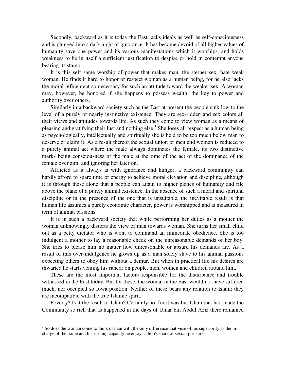Secondly, backward as it is today the East lacks ideals as well as self-consciousness and is plunged into a dark night of ignorance. It has become devoid of all higher values of humanity save one power and its various manifestations which it worships, and holds weakness to be in itself a sufficient justification to despise or hold in contempt anyone bearing its stamp.

It is this self same worship of power that makes man, the sterner sex, hate weak woman. He finds it hard to honor or respect woman as a human being, for he also lacks the moral refinement so necessary for such an attitude toward the weaker sex. A woman may, however, be honored if she happens to possess wealth, the key to power and authority over others.

Similarly in a backward society such as the East at present the people sink low to the level of a purely or nearly instinctive existence. They are sex-ridden and sex colors all their views and attitudes towards life. As such they come to view woman as a means of pleasing and gratifying their lust and nothing else.<sup>1</sup> She loses all respect as a human being as psychologically, intellectually and spiritually she is held to be too much below man to deserve or claim it. As a result thereof the sexual union of men and women is reduced to a purely animal act where the male always dominates the female, its two distinctive marks being consciousness of the male at the time of the act of the dominance of the female over aim, and ignoring her later on.

Afflicted as it always is with ignorance and hunger, a backward community can hardly afford to spare time or energy to achieve moral elevation and discipline, although it is through these alone that a people can attain to higher planes of humanity and rile above the plane of a purely animal existence. In the absence of such a moral and spiritual discipline or in the presence of the one that is unsuitable, the inevitable result is that human life assumes a purely economic character, power is worshipped and is measured in term of animal passions.

It is in such a backward society that while performing her duties as a mother the woman unknowingly distorts the view of man towards woman. She turns her small child out as a petty dictator who is wont to command an immediate obedience. She is too indulgent a mother to lay a reasonable check on the unreasonable demands of her boy. She tries to please him no matter how unreasonable or absurd his demands are. As a result of this over-indulgence he grows up as a man solely slave to his animal passions expecting others to obey him without a demur. But when in practical life his desires are thwarted he starts venting his rancor on people, men, women and children around him.

These are the most important factors responsible for the disturbance and trouble witnessed in the East today. But for these, the woman in the East would not have suffered much, nor occupied so Iowa position. Neither of these bears any relation to Islam; they are incompatible with the true Islamic spirit.

Poverty? Is it the result of Islam? Certainly no, for it was but Islam that had made the Community so rich that as happened in the days of Umar bin Abdul Aziz there remained

<sup>&</sup>lt;sup>1</sup> So does the woman come to think of man with the only difference that ~use of his superiority as the incharge of the home and his earning capacity he enjoys a lion's share of sexual pleasure.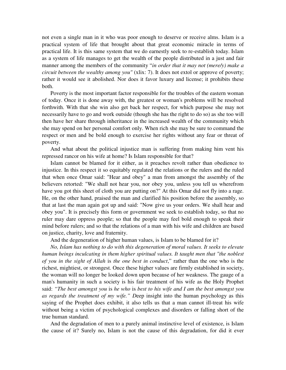not even a single man in it who was poor enough to deserve or receive alms. Islam is a practical system of life that brought about that great economic miracle in terms of practical life. It is this same system that we do earnestly seek to re-establish today. Islam as a system of life manages to get the wealth of the people distributed in a just and fair manner among the members of the community "*in order that it may not (mere/y) make a circuit between the wealthy among you"* (xlix: 7). It does not extol or approve of poverty; rather it would see it abolished. Nor does it favor luxury and license; it prohibits these both.

Poverty is the most important factor responsible for the troubles of the eastern woman of today. Once it is done away with, the greatest or woman's problems will be resolved forthwith. With that she win also get back her respect, for which purpose she may not necessarily have to go and work outside (though she has the right to do so) as she too will then have her share through inheritance in the increased wealth of the community which she may spend on her personal comfort only. When rich she may be sure to command the respect or men and be bold enough to exercise her rights without any fear or threat of poverty.

And what about the political injustice man is suffering from making him vent his repressed rancor on his wife at home? Is Islam responsible for that?

Islam cannot be blamed for it either, as it preaches revolt rather than obedience to injustice. In this respect it so equitably regulated the relations or the rulers and the ruled that when once Omar said: "Hear and obey" a man from amongst the assembly of the believers retorted: "We shall not hear you, nor obey you, unless you tell us wherefrom have you got this sheet of cloth you are putting on?" At this Omar did not fly into a rage. He, on the other hand, praised the man and clarified his position before the assembly, so that at last the man again got up and said: "Now give us your orders. We shall hear and obey you". It is precisely this form or government we seek to establish today, so that no ruler may dare oppress people; so that the people may feel bold enough to speak their mind before rulers; and so that the relations of a man with his wife and children are based on justice, charity, love and fraternity.

And the degeneration of higher human values, is Islam to be blamed for it?

*No, Islam has nothing to do with this degeneration of moral values. It seeks to elevate human beings inculcating in them higher spiritual values. It taught men that "the noblest of you in the sight of Allah* is *the one best in conduct*," rather than the one who is the richest, mightiest, or strongest. Once these higher values are firmly established in society, the woman will no longer be looked down upon because of her weakness. The gauge of a man's humanity in such a society is his fair treatment of his wife as the Holy Prophet said: *"The best amongst you* is *he who* is *best to his wife and I am the best amongst you as regards the treatment of my wife." D*eep insight into the human psychology as this saying of the Prophet does exhibit, it also tells us that a man cannot ill-treat his wife without being a victim of psychological complexes and disorders or falling short of the true human standard.

And the degradation of men to a purely animal instinctive level of existence, is Islam the cause of it? Surely no, Islam is not the cause of this degradation, for did it ever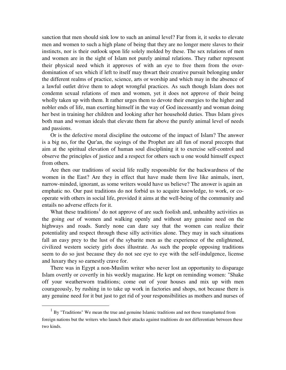sanction that men should sink low to such an animal level? Far from it, it seeks to elevate men and women to such a high plane of being that they are no longer mere slaves to their instincts, nor is their outlook upon life solely molded by these. The sex relations of men and women are in the sight of Islam not purely animal relations. They rather represent their physical need which it approves of with an eye to free them from the overdomination of sex which if left to itself may thwart their creative pursuit belonging under the different realms of practice, science, arts or worship and which may in the absence of a lawful outlet drive them to adopt wrongful practices. As such though Islam does not condemn sexual relations of men and women, yet it does not approve of their being wholly taken up with them. It rather urges them to devote their energies to the higher and nobler ends of life, man exerting himself in the way of God incessantly and woman doing her best in training her children and looking after her household duties. Thus Islam gives both man and woman ideals that elevate them far above the purely animal level of needs and passions.

Or is the defective moral discipline the outcome of the impact of Islam? The answer is a big no, for the Qur'an, the sayings of the Prophet are all fun of moral precepts that aim at the spiritual elevation of human soul disciplining it to exercise self-control and observe the principles of justice and a respect for others such u one would himself expect from others.

Are then our traditions of social life really responsible for the backwardness of the women in the East? Are they in effect that have made them live like animals, inert, narrow-minded, ignorant, as some writers would have us believe? The answer is again an emphatic no. Our past traditions do not forbid us to acquire knowledge, to work, or cooperate with others in social life, provided it aims at the well-being of the community and entails no adverse effects for it.

What these traditions<sup>1</sup> do not approve of are such foolish and, unhealthy activities as the going *out* of women and walking openly and without any genuine need on the highways and roads. Surely none can dare say that the women can realize their potentiality and respect through these silly activities alone. They may in such situations fall an easy prey to the lust of the sybarite men as the experience of the enlightened, civilized western society girls does illustrate. As such the people opposing traditions seem to do so just because they do not see eye to eye with the self-indulgence, license and luxury they so earnestly crave for.

There was in Egypt a non-Muslim writer who never lost an opportunity to disparage Islam overtly or covertly in his weekly magazine. He kept on reminding women: "Shake off your weatherworn traditions; come out of your houses and mix up with men courageously, by rushing in to take up work in factories and shops, not because there is any genuine need for it but just to get rid of your responsibilities as mothers and nurses of

 $\overline{a}$ 

<sup>&</sup>lt;sup>1</sup> By "Traditions" We mean the true and genuine Islamic traditions and not those transplanted from foreign nations but the writers who launch their attacks against traditions do not differentiate between these two kinds.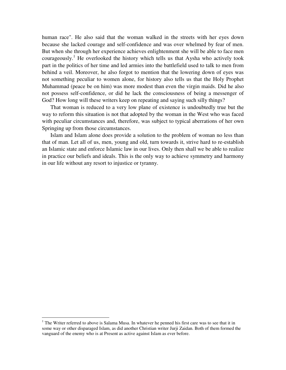human race". He also said that the woman walked in the streets with her eyes down because she lacked courage and self-confidence and was over whelmed by fear of men. But when she through her experience achieves enlightenment she will be able to face men courageously.<sup>1</sup> He overlooked the history which tells us that Aysha who actively took part in the politics of her time and led armies into the battlefield used to talk to men from behind a veil. Moreover, he also forgot to mention that the lowering down of eyes was not something peculiar to women alone, for history also tells us that the Holy Prophet Muhammad (peace be on him) was more modest than even the virgin maids. Did he also not possess self-confidence, or did he lack the consciousness of being a messenger of God? How long will these writers keep on repeating and saying such silly things?

That woman is reduced to a very low plane of existence is undoubtedly true but the way to reform this situation is not that adopted by the woman in the West who was faced with peculiar circumstances and, therefore, was subject to typical aberrations of her own Springing up from those circumstances.

Islam and Islam alone does provide a solution to the problem of woman no less than that of man. Let all of us, men, young and old, turn towards it, strive hard to re-establish an Islamic state and enforce Islamic law in our lives. Only then shall we be able to realize in practice our beliefs and ideals. This is the only way to achieve symmetry and harmony in our life without any resort to injustice or tyranny.

 $\overline{a}$ 

<sup>&</sup>lt;sup>1</sup> The Writer referred to above is Salama Musa. In whatever he penned his first care was to see that it in some way or other disparaged Islam, as did another Christian writer Jurji Zaidan. Both of them formed the vanguard of the enemy who is at Present as active against Islam as ever before.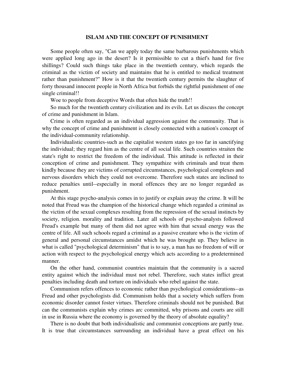### **ISLAM AND THE CONCEPT OF PUNISHMENT**

Some people often say, "Can we apply today the same barbarous punishments which were applied long ago in the desert? Is it permissible to cut a thief's hand for five shillings? Could such things take place in the twentieth century, which regards the criminal as the victim of society and maintains that he is entitled to medical treatment rather than punishment?" How is it that the twentieth century permits the slaughter of forty thousand innocent people in North Africa but forbids the rightful punishment of one single criminal!!

Woe to people from deceptive Words that often hide the truth!!

So much for the twentieth century civilization and its evils. Let us discuss the concept of crime and punishment in Islam.

Crime is often regarded as an individual aggression against the community. That is why the concept of crime and punishment is closely connected with a nation's concept of the individual-community relationship.

Individualistic countries-such as the capitalist western states go too far in sanctifying the individual; they regard him as the centre of all social life. Such countries straiten the state's right to restrict the freedom of the individual. This attitude is reflected in their conception of crime and punishment. They sympathize with criminals and treat them kindly because they are victims of corrupted circumstances, psychological complexes and nervous disorders which they could not overcome. Therefore such states are inclined to reduce penalties until--especially in moral offences they are no longer regarded as punishment.

At this stage psycho-analysis comes in to justify or explain away the crime. It will be noted that Freud was the champion of the historical change which regarded a criminal as the victim of the sexual complexes resulting from the repression of the sexual instincts by society, religion. morality and tradition. Later all schools of psycho-analysts followed Freud's example but many of them did not agree with him that sexual energy was the centre of life. All such schools regard a criminal as a passive creature who is the victim of general and personal circumstances amidst which he was brought up. They believe in what is called "psychological determinism" that is to say, a man has no freedom of will or action with respect to the psychological energy which acts according to a predetermined manner.

On the other hand, communist countries maintain that the community is a sacred entity against which the individual must not rebel. Therefore, such states inflict great penalties including death and torture on individuals who rebel against the state.

Communism refers offences to economic rather than psychological considerations--as Freud and other psychologists did. Communism holds that a society which suffers from economic disorder cannot foster virtues. Therefore criminals should not be punished. But can the communists explain why crimes arc committed, why prisons and courts are still in use in Russia where the economy is governed by the theory of absolute equality?

There is no doubt that both individualistic and communist conceptions are partly true. It is true that circumstances surrounding an individual have a great effect on his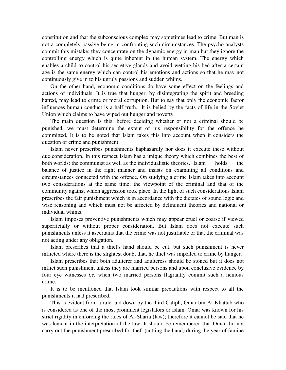constitution and that the subconscious complex may sometimes lead to crime. But man is not a completely passive being in confronting such circumstances. The psycho-analysts commit this mistake: they concentrate on the dynamic energy in man but they ignore the controlling energy which is quite inherent in the human system. The energy which enables a child to control his secretive glands and avoid wetting his bed after a certain age is the same energy which can control his emotions and actions so that he may not continuously give in to his unruly passions and sudden whims.

On the other hand, economic conditions do have some effect on the feelings and actions of individuals. It is true that hunger, by disintegrating the spirit and breeding hatred, may lead to crime or moral corruption. But to say that only the economic factor influences human conduct is a half truth. It is belied by the facts of life in the Soviet Union which claims to have wiped out hunger and poverty.

The main question is this: before deciding whether or not a criminal should be punished, we must determine the extent of his responsibility for the offence he committed. It is to be noted that Islam takes this into account when it considers the question of crime and punishment.

Islam never prescribes punishments haphazardly nor does it execute these without due consideration. In this respect Islam has a unique theory which combines the best of both worlds: the communist as well as the individualistic theories. Islam holds the balance of justice in the right manner and insists on examining all conditions and circumstances connected with the offence. On studying a crime Islam takes into account two considerations at the same time; the viewpoint of the criminal and that of the community against which aggression took place. In the light of such considerations Islam prescribes the fair punishment which is in accordance with the dictates of sound logic and wise reasoning and which must not be affected by delinquent theories and national or individual whims.

Islam imposes preventive punishments which may appear cruel or coarse if viewed superficially or without proper consideration. But Islam does not execute such punishments unless it ascertains that the crime was not justifiable or that the criminal was not acting under any obligation.

Islam prescribes that a thief's hand should be cut, but such punishment is never inflicted where there is the slightest doubt that, he thief was impelled to crime by hunger.

Islam prescribes that both adulterer and adulteress should be stoned but it does not inflict such punishment unless they are married persons and upon conclusive evidence by four eye witnesses *i.e.* when two married persons flagrantly commit such a heinous crime.

It is to be mentioned that Islam took similar precautions with respect to all the punishments it had prescribed.

This is evident from a rule laid down by the third Caliph, Omar bin Al-Khattab who is considered as one of the most prominent legislators or Islam. Omar was known for his strict rigidity in enforcing the rules of Al-Sharia (law); therefore it cannot be said that he was lenient in the interpretation of the law. It should be remembered that Omar did not carry out the punishment prescribed for theft (cutting the hand) during the year of famine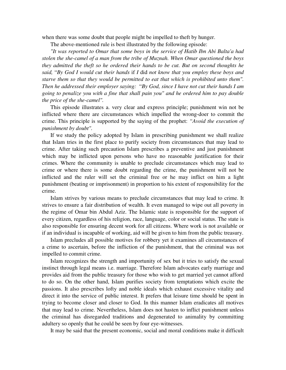when there was some doubt that people might be impelled to theft by hunger.

The above-mentioned rule is best illustrated by the following episode:

*"It was reported to Omar that some boys in the service of Hatib Ibn Abi Balta'a had stolen the she-camel of a man from the tribe of Muznah. When Omar questioned the boys they admitted the theft so he ordered their hands to be cut. But on second thoughts he said,* "*By God I would cut their hands* if *I* did *not know that you employ these boys and starve them so that they would be permitted to eat that which is prohibited unto them". Then he addressed their employer saying:* "*By God, since I have not cut their hands I am going to penalize you with a fine that shall pain you" and he ordered him to pay double the price of the she-camel".* 

This episode illustrates a. very clear and express principle; punishment win not be inflicted where there are circumstances which impelled the wrong-doer to commit the crime. This principle is supported by the saying of the prophet: *"Avoid the execution of punishment by doubt".* 

If we study the policy adopted by Islam in prescribing punishment we shall realize that Islam tries in the first place to purify society from circumstances that may lead to crime. After taking such precaution Islam prescribes a preventive and just punishment which may be inflicted upon persons who have no reasonable justification for their crimes. Where the community is unable to preclude circumstances which may lead to crime or where there is some doubt regarding the crime, the punishment will not be inflicted and the ruler will set the criminal free or he may inflict on him a light punishment (beating or imprisonment) in proportion to his extent of responsibility for the crime.

Islam strives by various means to preclude circumstances that may lead to crime. It strives to ensure a fair distribution of wealth. It even managed to wipe out all poverty in the regime of Omar bin Abdul Aziz. The Islamic state is responsible for the support of every citizen, regardless of his religion, race, language, color or social status. The state is also responsible for ensuring decent work for all citizens. Where work is not available or if an individual is incapable of working, aid will be given to him from the public treasury.

Islam precludes all possible motives for robbery yet it examines all circumstances of a crime to ascertain, before the infliction of the punishment, that the criminal was not impelled to commit crime.

Islam recognizes the strength and importunity of sex but it tries to satisfy the sexual instinct through legal means i.e. marriage. Therefore Islam advocates early marriage and provides aid from the public treasury for those who wish to get married yet cannot afford to do so. On the other hand, Islam purifies society from temptations which excite the passions. It also prescribes lofty and noble ideals which exhaust excessive vitality and direct it into the service of public interest. It prefers that leisure time should be spent in trying to become closer and closer to God. In this manner Islam eradicates all motives that may lead to crime. Nevertheless, Islam does not hasten to inflict punishment unless the criminal has disregarded traditions and degenerated to animality by committing adultery so openly that he could be seen by four eye-witnesses.

It may be said that the present economic, social and moral conditions make it difficult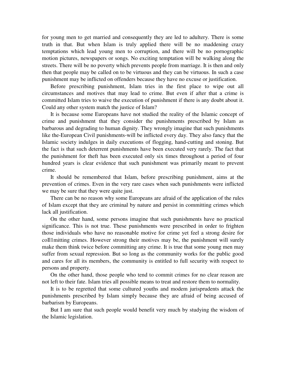for young men to get married and consequently they are led to adultery. There is some truth in that. But when Islam is truly applied there will be no maddening crazy temptations which lead young men to corruption, and there will be no pornographic motion pictures, newspapers or songs. No exciting temptation will be walking along the streets. There will be no poverty which prevents people from marriage. It is then and only then that people may be called on to be virtuous and they can be virtuous. In such a case punishment may be inflicted on offenders because they have no excuse or justification.

Before prescribing punishment, Islam tries in the first place to wipe out all circumstances and motives that may lead to crime. But even if after that a crime is committed Islam tries to waive the execution of punishment if there is any doubt about it. Could any other system match the justice of Islam?

It is because some Europeans have not studied the reality of the Islamic concept of crime and punishment that they consider the punishments prescribed by Islam as barbarous and degrading to human dignity. They wrongly imagine that such punishments like the-European Civil punishments-will be inflicted every day. They also fancy that the Islamic society indulges in daily executions of flogging, hand-cutting and stoning. But the fact is that such deterrent punishments have been executed very rarely. The fact that the punishment for theft has been executed only six times throughout a period of four hundred years is clear evidence that such punishment was primarily meant to prevent crime.

It should be remembered that Islam, before prescribing punishment, aims at the prevention of crimes. Even in the very rare cases when such punishments were inflicted we may be sure that they were quite just.

There can be no reason why some Europeans are afraid of the application of the rules of Islam except that they are criminal by nature and persist in committing crimes which lack all justification.

On the other hand, some persons imagine that such punishments have no practical significance. This is not true. These punishments were prescribed in order to frighten those individuals who have no reasonable motive for crime yet feel a strong desire for coIl1mitting crimes. However strong their motives may be, the punishment will surely make them think twice before committing any crime. It is true that some young men may suffer from sexual repression. But so long as the community works for the public good and cares for all its members, the community is entitled to full security with respect to persons and property.

On the other hand, those people who tend to commit crimes for no clear reason are not left to their fate. Islam tries all possible means to treat and restore them to normality.

It is to be regretted that some cultured youths and modem jurisprudents attack the punishments prescribed by Islam simply because they are afraid of being accused of barbarism by Europeans.

But I am sure that such people would benefit very much by studying the wisdom of the Islamic legislation.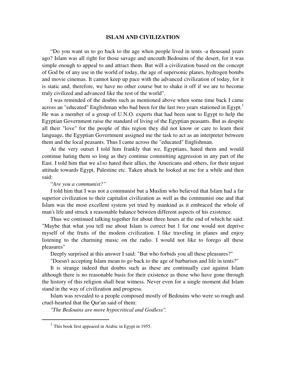# **ISLAM AND CIVILIZATION**

"Do you want us to go back to the age when people lived in tents -a thousand years ago? Islam was all right for those savage and uncouth Bedouins of the desert, for it was simple enough to appeal to and attract them. But will a civilization based on the concept of God be of any use in the world of today, the age of supersonic planes, hydrogen bombs and movie cinemas. It cannot keep up pace with the advanced civilization of today, for it is static and, therefore, we have no other course but to shake it off if we are to become truly civilized and advanced like the rest of the world".

I was reminded of the doubts such as mentioned above when some time back I came across an "educated" Englishman who bad been for the last two years stationed in Egypt.<sup>1</sup> He was a member of a group of U.N.O. experts that had been sent to Egypt to help the Egyptian Government raise the standard of living of the Egyptian peasants. But as despite all their "love" for the people of this region they did not know or care to learn their language, the Egyptian Government assigned me the task to act as an interpreter between them and the local peasants. Thus I came across the "educated" Englishman.

At the very outset I told him frankly that we, Egyptians, hated them and would continue hating them so long as they continue committing aggression in any part of the East. I told him that we a1so hated their allies, the Americans and others, for their unjust attitude towards Egypt, Palestine etc. Taken aback he looked at me for a while and then said:

## "*Are you a communist?"*

I told him that I was not a communist but a Muslim who believed that Islam had a far superior civilization to their capitalist civilization as well as the communist one and that Islam was the most excellent system yet tried by mankind as it embraced the whole of man's life and struck a reasonable balance between different aspects of his existence.

Thus we continued talking together for about three hours at the end of which he said: "Maybe that what you tell me about Islam is correct but 1 for one would not deprive myself of the fruits of the modem civilization. I like traveling in planes and enjoy listening to the charming music on the radio. I would not like to forego all these pleasures"

Deeply surprised at this answer I said: "But who forbids you all these pleasures?"

"Doesn't accepting Islam mean to go back to the age of barbarism and life in tents?"

It is strange indeed that doubts such as these are continually cast against Islam although there is no reasonable basis for their existence as those who have gone through the history of this religion shall bear witness. Never even for a single moment did Islam stand in the way of civilization and progress.

Islam was revealed to a people composed mostly of Bedouins who were so rough and cruel-hearted that the Qur'an said of them:

*"The Bedouins are more hypocritical and Godless".* 

 $\overline{a}$ 

<sup>&</sup>lt;sup>1</sup> This book first appeared in Arabic in Egypt in 1955.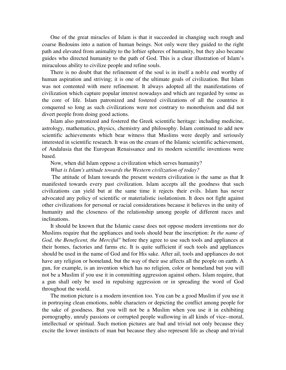One of the great miracles of Islam is that it succeeded in changing such rough and coarse Bedouins into a nation of human beings. Not only were they guided to the right path and elevated from animality to the loftier spheres of humanity, but they also became guides who directed humanity to the path of God. This is a clear illustration of Islam's miraculous ability to civilize people and refine souls.

There is no doubt that the refinement of the soul is in itself a nob1e end worthy of human aspiration and striving; it is one of the ultimate goals of civilization. But Islam was not contented with mere refinement. It always adopted all the manifestations of civilization which capture popular interest nowadays and which are regarded by some as the core of life. Islam patronized and fostered civilizations of all the countries it conquered so long as such civilizations were not contrary to monotheism and did not divert people from doing good actions.

Islam also patronized and fostered the Greek scientific heritage: including medicine, astrology, mathematics, physics, chemistry and philosophy. Islam continued to add new scientific achievements which bear witness that Muslims were deeply and seriously interested in scientific research. It was on the cream of the Islamic scientific achievement, of Andalusia that the European Renaissance and its modern scientific inventions were based.

Now, when did Islam oppose a civilization which serves humanity?

*What is Islam's attitude towards the Western civilization of today?* 

The attitude of Islam towards the present western civilization is the same as that It manifested towards every past civilization. Islam accepts all the goodness that such civilizations can yield but at the same time it rejects their evils. Islam has never advocated any policy of scientific or materialistic isolationism. It does not fight against other civilizations for personal or racial considerations because it believes in the unity of humanity and the closeness of the relationship among people of different races and inclinations.

It should be known that the Islamic cause does not oppose modern inventions nor do Muslims require that the appliances and tools should bear the inscription: *In the name of God, the Beneficent, the Merciful"* before they agree to use such tools and appliances at their homes, factories and farms etc. It is quite sufficient if such tools and appliances should be used in the name of God and for His sake. After ail, tools and appliances do not have any religion or homeland, but the way of their use affects all the people on earth. A gun, for example, is an invention which has no religion, color or homeland but you will not be a Muslim if you use it in committing aggression against others. Islam require, that a gun shall only be used in repulsing aggression or in spreading the word of God throughout the world.

The motion picture is a modern invention too. You can be a good Muslim if you use it in portraying clean emotions, noble characters or depicting the conflict among people for the sake of goodness. But you will not be a Muslim when you use it in exhibiting pornography, unruly passions or corrupted people wallowing in all kinds of vice--moral, intellectual or spiritual. Such motion pictures are bad and trivial not only because they excite the lower instincts of man but because they also represent life as cheap and trivial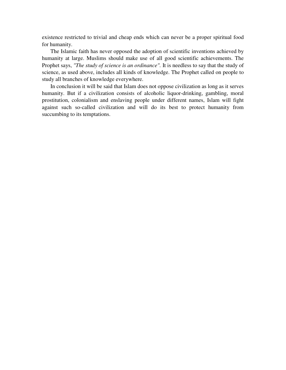existence restricted to trivial and cheap ends which can never be a proper spiritual food for humanity.

The Islamic faith has never opposed the adoption of scientific inventions achieved by humanity at large. Muslims should make use of all good scientific achievements. The Prophet says, *"The study of science is an ordinance".* It is needless to say that the study of science, as used above, includes all kinds of knowledge. The Prophet called on people to study all branches of knowledge everywhere.

In conclusion it will be said that Islam does not oppose civilization as long as it serves humanity. But if a civilization consists of alcoholic liquor-drinking, gambling, moral prostitution, colonialism and enslaving people under different names, Islam will fight against such so-called civilization and will do its best to protect humanity from succumbing to its temptations.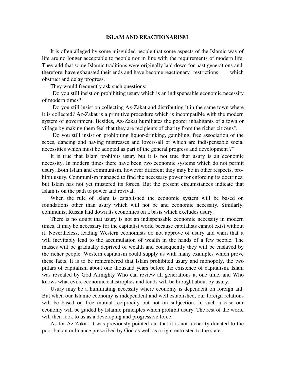#### **ISLAM AND REACTIONARISM**

It is often alleged by some misguided people that some aspects of the Islamic way of life are no longer acceptable to people nor in line with the requirements of modern life. They add that some Islamic traditions were originally laid down for past generations and, therefore, have exhausted their ends and have become reactionary restrictions which obstruct and delay progress.

They would frequently ask such questions:

"Do you still insist on prohibiting usury which is an indispensable economic necessity of modern times?"

"Do you still insist on collecting Az-Zakat and distributing it in the same town where it is collected? Az-Zakat is a primitive procedure which is incompatible with the modern system of government, Besides, Az-Zakat humiliates the poorer inhabitants of a town or village by making them feel that they are recipients of charity from the richer citizens".

"Do you still insist on prohibiting liquor-drinking, gambling, free association of the sexes, dancing and having mistresses and lovers-all of which are indispensable social necessities which must be adopted as part of the general progress and development ?"

It is true that Islam prohibits usury but it is not true that usury is an economic necessity. In modern times there have been two economic systems which do not permit usury. Both Islam and communism, however different they may be in other respects, prohibit usury. Communism managed to find the necessary power for enforcing its doctrines, but Islam has not yet mustered its forces. But the present circumstances indicate that Islam is on the path to power and revival.

When the rule of Islam is established the economic system will be based on foundations other than usury which will not be and economic necessity. Similarly, communist Russia laid down its economics on a basis which excludes usury.

There is no doubt that usury is not an indispensable economic necessity in modern times. It may be necessary for the capitalist world because capitalists cannot exist without it. Nevertheless, leading Western economists do not approve of usury and warn that it will inevitably lead to the accumulation of wealth in the hands of a few people. The masses will be gradually deprived of wealth and consequently they will be enslaved by the richer people. Western capitalism could supply us with many examples which prove these facts. It is to be remembered that Islam prohibited usury and monopoly, the two pillars of capitalism about one thousand years before the existence of capitalism. Islam was revealed by God Almighty Who can review all generations at one time, and Who knows what evils, economic catastrophes and feuds will be brought about by usury.

Usury may be a humiliating necessity where economy is dependent on foreign aid. But when our Islamic economy is independent and well established, our foreign relations will be based on free mutual reciprocity but not on subjection. In such a case our economy will be guided by Islamic principles which prohibit usury. The rest of the world will then look to us as a developing and progressive force.

As for Az-Zakat, it was previously pointed out that it is not a charity donated to the poor but an ordinance prescribed by God as well as a right entrusted to the state.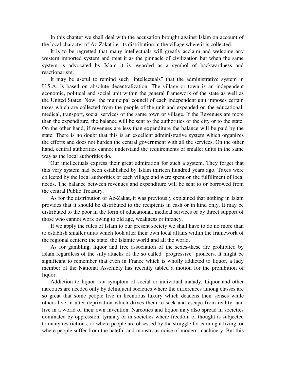In this chapter we shall deal with the accusation brought against Islam on account of the local character of Az-Zakat i.e. its distribution in the village where it is collected.

It is to be regretted that many intellectuals will greatly acclaim and welcome any western imported system and treat it as the pinnacle of civilization but when the same system is advocated by Islam it is regarded as a symbol of backwardness and reactionarism.

It may be useful to remind such "intellectuals" that the administrative system in U.S.A. is based on absolute decentralization. The village or town is an independent economic, political and social unit within the general framework of the state as well as the United States. Now, the municipal council of each independent unit imposes certain taxes which are collected from the people of the unit and expended on the educational. medical, transport, social services of the same town or village. If the Revenues are more than the expenditure, the balance will be sent to the authorities of the city or to the state. On the other hand, if revenues are less than expenditure the balance will be paid by the state. There is no doubt that this is an excellent administrative system which organizes the efforts and does not burden the central government with all the services. On the other hand, central authorities cannot understand the requirements of smaller units in the same way as the local authorities do.

Our intellectuals express their great admiration for such a system. They forget that this very system had been established by Islam thirteen hundred years ago. Taxes were collected by the local authorities of each village and were spent on the fulfillment of local needs. The balance between revenues and expenditure will be sent to or borrowed from the central Public Treasury.

As for the distribution of Az-Zakat, it was previously explained that nothing in Islam provides that it should be distributed to the recipients in cash or in kind only. It may be distributed to the poor in the form of educational, medical services or by direct support of those who cannot work owing to old age, weakness or infancy.

 If we apply the rules of Islam to our present society we shall have to do no more than to establish smaller units which look after their own local affairs within the framework of the regional centers: the state, the Islamic world and all the world.

As for gambling, liquor and free association of the sexes-these are prohibited by Islam regardless of the silly attacks of the so called "progressive" pioneers. It might be significant to remember that even in France which is wholly addicted to liquor, a lady member of the National Assembly has recently tabled a motion for the prohibition of liquor.

Addiction to liquor is a symptom of social or individual malady. Liquor and other narcotics are needed only by delinquent societies where the differences among classes are so great that some people live in licentious luxury which deadens their senses while others live in utter deprivation which drives them to seek and escape from reality, and live in a world of their own invention. Narcotics and liquor may also spread in societies dominated by oppression, tyranny or in societies where freedom of thought is subjected to many restrictions, or where people are obsessed by the struggle for earning a living, or where people suffer from the hateful and monstrous noise of modern machinery. But this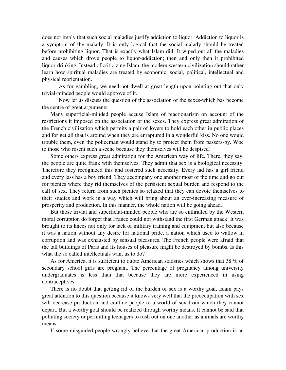does not imply that such social maladies justify addiction to liquor. Addiction to liquor is a symptom of the malady. It is only logical that the social malady should be treated before prohibiting liquor. That is exactly what Islam did. It wiped out all the maladies and causes which drove people to liquor-addiction; then and only then it prohibited liquor-drinking. Instead of criticizing Islam, the modern western civilization should rather learn how spiritual maladies are treated by economic, social, political, intellectual and physical reorientation.

 As for gambling, we need not dwell at great length upon pointing out that only trivial-minded people would approve of it.

 Now let us discuss the question of the association of the sexes-which bas become the centre of great arguments.

Many superficial-minded people accuse Islam of reactionarism on account of the restrictions it imposed on the association of the sexes. They express great admiration of the French civilization which permits a pair of lovers to hold each other in public places and for get all that is around when they are enraptured in a wonderful kiss. No one would trouble them, even the policeman would stand by to protect them from passers-by. Woe to those who resent such a scene because they themselves will be despised!

Some others express great admiration for the American way of life. There, they say, the people are quite frank with themselves. They admit that sex is a biological necessity. Therefore they recognized this and fostered such necessity. Every lad has a girl friend and every lass has a boy friend. They accompany one another most of the time and go out for picnics where they rid themselves of the persistent sexual burden and respond to the call of sex. They return from such picnics so relaxed that they can devote themselves to their studies and work in a way which will bring about an ever-increasing measure of prosperity and production. In this manner, the whole nation will be going ahead.

But those trivial and superficial-minded people who are so enthralled by the Western moral corruption do forget that France could not withstand the first German attack. It was brought to its knees not only for lack of military training and equipment but also because it was a nation without any desire for national pride, a nation which used to wallow in corruption and was exhausted by sensual pleasures. The French people were afraid that the tall buildings of Paris and its houses of pleasure might be destroyed by bombs. Is this what the so called intellectuals want us to do?

As for America, it is sufficient to quote American statistics which shows that 38 % of secondary school girls are pregnant. The percentage of pregnancy among university undergraduates is less than that because they are more experienced in using contraceptives.

There is no doubt that getting rid of the burden of sex is a worthy goal, Islam pays great attention to this question because it knows very well that the preoccupation with sex will decrease production and confine people to a world of sex from which they cannot depart, But a worthy goal should be realized through worthy means, It cannot be said that polluting society or permitting teenagers to rush out on one another as animals are worthy means.

If some misguided people wrongly believe that the great American production is an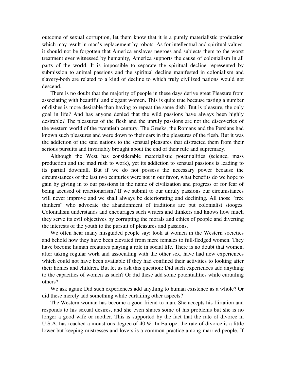outcome of sexual corruption, let them know that it is a purely materialistic production which may result in man's replacement by robots. As for intellectual and spiritual values, it should not be forgotten that America enslaves negroes and subjects them to the worst treatment ever witnessed by humanity, America supports the cause of colonialism in all parts of the world. It is impossible to separate the spiritual decline represented by submission to animal passions and the spiritual decline manifested in colonialism and slavery-both are related to a kind of decline to which truly civilized nations would not descend.

There is no doubt that the majority of people in these days derive great Pleasure from associating with beautiful and elegant women. This is quite true because tasting a number of dishes is more desirable than having to repeat the same dish! But is pleasure, the only goal in life? And has anyone denied that the wild passions have always been highly desirable? The pleasures of the flesh and the unruly passions are not the discoveries of the western world of the twentieth century. The Greeks, the Romans and the Persians had known such pleasures and were down to their ears in the pleasures of the flesh. But it was the addiction of the said nations to the sensual pleasures that distracted them from their serious pursuits and invariably brought about the end of their rule and supremacy.

Although the West has considerable materialistic potentialities (science, mass production and the mad rush to work), yet its addiction to sensual passions is leading to its partial downfall. But if we do not possess the necessary power because the circumstances of the last two centuries were not in our favor, what benefits do we hope to gain by giving in to our passions in the name of civilization and progress or for fear of being accused of reactionarism? If we submit to our unruly passions our circumstances will never improve and we shall always be deteriorating and declining. All those "free thinkers" who advocate the abandonment of traditions are but colonialist stooges. Colonialism understands and encourages such writers and thinkers and knows how much they serve its evil objectives by corrupting the morals and ethics of people and diverting the interests of the youth to the pursuit of pleasures and passions.

We often hear many misguided people say: look at women in the Western societies and behold how they have been elevated from mere females to full-fledged women. They have become human creatures playing a role in social life. There is no doubt that women, after taking regular work and associating with the other sex, have had new experiences which could not have been available if they had confined their activities to looking after their homes and children. But let us ask this question: Did such experiences add anything to the capacities of women as such? Or did these add some potentialities while curtailing others?

We ask again: Did such experiences add anything to human existence as a whole? Or did these merely add something while curtailing other aspects?

The Western woman has become a good friend to man. She accepts his flirtation and responds to his sexual desires, and she even shares some of his problems but she is no longer a good wife or mother. This is supported by the fact that the rate of divorce in U.S.A. has reached a monstrous degree of 40 %. In Europe, the rate of divorce is a little lower but keeping mistresses and lovers is a common practice among married people. If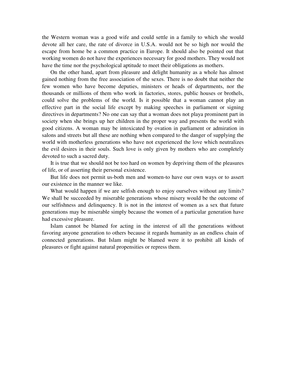the Western woman was a good wife and could settle in a family to which she would devote all her care, the rate of divorce in U.S.A. would not be so high nor would the escape from home be a common practice in Europe. It should also be pointed out that working women do not have the experiences necessary for good mothers. They would not have the time nor the psychological aptitude to meet their obligations as mothers.

On the other hand, apart from pleasure and delight humanity as a whole has almost gained nothing from the free association of the sexes. There is no doubt that neither the few women who have become deputies, ministers or heads of departments, nor the thousands or millions of them who work in factories, stores, public houses or brothels, could solve the problems of the world. Is it possible that a woman cannot play an effective part in the social life except by making speeches in parliament or signing directives in departments? No one can say that a woman does not playa prominent part in society when she brings up her children in the proper way and presents the world with good citizens. A woman may be intoxicated by ovation in parliament or admiration in salons and streets but all these are nothing when compared to the danger of supplying the world with motherless generations who have not experienced the love which neutralizes the evil desires in their souls. Such love is only given by mothers who are completely devoted to such a sacred duty.

It is true that we should not be too hard on women by depriving them of the pleasures of life, or of asserting their personal existence.

But life does not permit us-both men and women-to have our own ways or to assert our existence in the manner we like.

What would happen if we are selfish enough to enjoy ourselves without any limits? We shall be succeeded by miserable generations whose misery would be the outcome of our selfishness and delinquency. It is not in the interest of women as a sex that future generations may be miserable simply because the women of a particular generation have had excessive pleasure.

Islam cannot be blamed for acting in the interest of all the generations without favoring anyone generation to others because it regards humanity as an endless chain of connected generations. But Islam might be blamed were it to prohibit all kinds of pleasures or fight against natural propensities or repress them.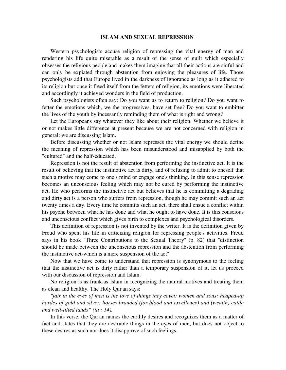#### **ISLAM AND SEXUAL REPRESSION**

Western psychologists accuse religion of repressing the vital energy of man and rendering his life quite miserable as a result of the sense of guilt which especially obsesses the religious people and makes them imagine that all their actions are sinful and can only be expiated through abstention from enjoying the pleasures of life. Those psychologists add that Europe lived in the darkness of ignorance as long as it adhered to its religion but once it freed itself from the fetters of religion, its emotions were liberated and accordingly it achieved wonders in the field of production.

Such psychologists often say: Do you want us to return to religion? Do you want to fetter the emotions which, we the progressives, have set free? Do you want to embitter the lives of the youth by incessantly reminding them of what is right and wrong?

Let the Europeans say whatever they like about their religion. Whether we believe it or not makes little difference at present because we are not concerned with religion in general: we are discussing Islam.

Before discussing whether or not Islam represses the vital energy we should define the meaning of repression which has been misunderstood and misapplied by both the "cultured" and the half-educated.

Repression is not the result of abstention from performing the instinctive act. It is the result of believing that the instinctive act is dirty, and of refusing to admit to oneself that such a motive may come to one's mind or engage one's thinking. In this sense repression becomes an unconscious feeling which may not be cured by performing the instinctive act. He who performs the instinctive act but believes that he is committing a degrading and dirty act is a person who suffers from repression, though he may commit such an act twenty times a day. Every time he commits such an act, there shall ensue a conflict within his psyche between what he has done and what he ought to have done. It is this conscious and unconscious conflict which gives birth to complexes and psychological disorders.

This definition of repression is not invented by the writer. It is the definition given by Freud who spent his life in criticizing religion for repressing people's activities. Freud says in his book "Three Contributions to the Sexual Theory" (p. 82) that "distinction should be made between the unconscious repression and the abstention from performing the instinctive act-which is a mere suspension of the act"

Now that we have come to understand that repression is synonymous to the feeling that the instinctive act is dirty rather than a temporary suspension of it, let us proceed with our discussion of repression and Islam.

No religion is as frank as Islam in recognizing the natural motives and treating them as clean and healthy. The Holy Qur'an says:

*"fair in the eyes of men is the love of things they covet: women and sons; heaped-up hordes of gold and silver, horses branded (for blood and excellence) and (wealth) cattle and well-tilled lands" (iii : 14).* 

In this verse, the Qur'an names the earthly desires and recognizes them as a matter of fact and states that they are desirable things in the eyes of men, but does not object to these desires as such nor does it disapprove of such feelings.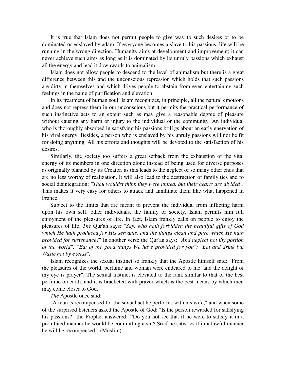It is true that Islam does not permit people to give way to such desires or to be dominated or enslaved by adam. If everyone becomes a slave to his passions, life will be running in the wrong direction. Humanity aims at development and improvement; it can never achieve such aims as long as it is dominated by its unruly passions which exhaust all the energy and lead it downwards to animalism.

Islam does not allow people to descend to the level of animalism but there is a great difference between this and the unconscious repression which holds that such passions are dirty in themselves and which drives people to abstain from even entertaining such feelings in the name of purification and elevation.

In its treatment of human soul, Islam recognizes, in principle, all the natural emotions and does not repress them in our unconscious but it permits the practical performance of such instinctive acts to an extent such as may give a reasonable degree of pleasure without causing any harm or injury to the individual or the community. An individual who is thoroughly absorbed in satisfying his passions bril1gs about an early enervation of his viral energy. Besides, a person who is enslaved by his unruly passions will not be fit for doing anything. All his efforts and thoughts will be devoted to the satisfaction of his desires.

Similarly, the society too suffers a great setback from the exhaustion of the vital energy of its members in one direction alone instead of being used for diverse purposes as originally planned by its Creator, as this leads to the neglect of so many other ends that are no less worthy of realization. It will also lead to the destruction of family ties and to social disintegration: *"Thou wouldst think they were united, but their hearts are divided".*  This makes it very easy for others to attack and annihilate them like what happened in France.

Subject to the limits that are meant to prevent the individual from inflicting harm upon his own self, other individuals, the family or society, Islam permits him full enjoyment of the pleasures of life. In fact, Islam frankly calls on people to enjoy the pleasures of life. *The* Qur'an says: *"Say, who hath forbidden the beautiful gifts of God which He hath produced for His servants, and the things clean and pure which He hath provided for sustenance*?" In another verse the Qur'an says: *"And neglect not thy portion of the world"; "Eat of the good things We have provided for you"; "Eat and drink but Waste not by excess".* 

Islam recognizes the sexual instinct so frankly that the Apostle himself said: "From the pleasures of the world, perfume and woman were endeared to me; and the delight of my eye is prayer". The sexual instinct is elevated to the rank similar to that of the best perfume on earth, and it is bracketed with prayer which is the best means by which men may come closer to God.

## *The* Apostle once said:

"A man is recompensed for the sexual act he performs with his wife," and when some of the surprised listeners asked the Apostle of God: "Is the person rewarded for satisfying his passions?" the Prophet answered: "'Do you not see that if he were to satisfy it in a prohibited manner he would be committing a sin? So if he satisfies it in a lawful manner he will be recompensed." (Muslim)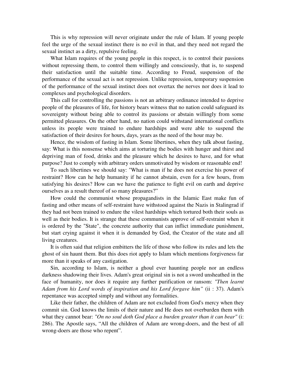This is why repression will never originate under the rule of Islam. If young people feel the urge of the sexual instinct there is no evil in that, and they need not regard the sexual instinct as a dirty, repulsive feeling.

What Islam requires of the young people in this respect, is to control their passions without repressing them, to control them willingly and consciously, that is, to suspend their satisfaction until the suitable time. According to Freud, suspension of the performance of the sexual act is not repression. Unlike repression, temporary suspension of the performance of the sexual instinct does not overtax the nerves nor does it lead to complexes and psychological disorders.

This call for controlling the passions is not an arbitrary ordinance intended to deprive people of the pleasures of life, for history bears witness that no nation could safeguard its sovereignty without being able to control its passions or abstain willingly from some permitted pleasures. On the other hand, no nation could withstand international conflicts unless its people were trained to endure hardships and were able to suspend the satisfaction of their desires for hours, days, years as the need of the hour may be.

Hence, the wisdom of fasting in Islam. Some libertines, when they talk about fasting, say: What is this nonsense which aims at torturing the bodies with hunger and thirst and depriving man of food, drinks and the pleasure which he desires to have, and for what purpose? Just to comply with arbitrary orders unmotivated by wisdom or reasonable end!

To such libertines we should say: "What is man if he does not exercise his power of restraint? How can he help humanity if he cannot abstain, even for a few hours, from satisfying his desires? How can we have the patience to fight evil on earth and deprive ourselves as a result thereof of so many pleasures?"

How could the communist whose propagandists in the Islamic East make fun of fasting and other means of self-restraint have withstood against the Nazis in Stalingrad if they had not been trained to endure the vilest hardships which tortured both their souls as well as their bodies. It is strange that these communists approve of self-restraint when it is ordered by the "State", the concrete authority that can inflict immediate punishment, but start crying against it when it is demanded by God, the Creator of the state and all living creatures.

It is often said that religion embitters the life of those who follow its rules and lets the ghost of sin haunt them. But this does riot apply to Islam which mentions forgiveness far more than it speaks of any castigation.

Sin, according to Islam, is neither a ghoul ever haunting people nor an endless darkness shadowing their lives. Adam's great original sin is not a sword unsheathed in the face of humanity, nor does it require any further purification or ransom: *"Then learnt Adam from his Lord words of inspiration and his Lord forgave him"* (ii : 37). Adam's repentance was accepted simply and without any formalities.

Like their father, the children of Adam are not excluded from God's mercy when they commit sin. God knows the limits of their nature and He does not overburden them with what they cannot bear: *"On no soul doth God place a burden greater than it can bear"* (i: 286). The Apostle says, "All the children of Adam are wrong-doers, and the best of all wrong-doers are those who repent".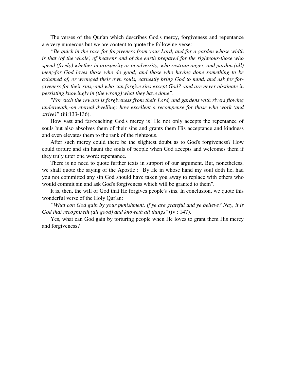The verses of the Qur'an which describes God's mercy, forgiveness and repentance are very numerous but we are content to quote the following verse:

*"Be quick in the race for forgiveness from your Lord, and for a garden whose width is that (of the whole) of heavens and of the earth prepared for the righteous-those who spend (freely) whether in prosperity or in adversity; who restrain anger, and pardon (all) men;-for God loves those who do good; and those who having done something to be ashamed of, or wronged their own souls, earnestly bring God to mind, and ask for forgiveness for their sins,-and who can forgive sins except God? -and are never obstinate in persisting knowingly in (the wrong) what they have done".* 

*"For such the reward is forgiveness from their Lord, and gardens with rivers flowing underneath,-on eternal dwelling: how excellent a recompense for those who work (and strive)"* (iii:133-136).

How vast and far-reaching God's mercy is! He not only accepts the repentance of souls but also absolves them of their sins and grants them His acceptance and kindness and even elevates them to the rank of the righteous.

After such mercy could there be the slightest doubt as to God's forgiveness? How could torture and sin haunt the souls of people when God accepts and welcomes them if they truly utter one word: repentance.

There is no need to quote further texts in support of our argument. But, nonetheless, we shall quote the saying of the Apostle : "By He in whose hand my soul doth lie, had you not committed any sin God should have taken you away to replace with others who would commit sin and ask God's forgiveness which will be granted to them".

It is, then, the will of God that He forgives people's sins. In conclusion, we quote this wonderful verse of the Holy Qur'an:

*"What con God gain by your punishment, if ye are grateful and ye believe? Nay, it is God that recognizeth (all good) and knoweth all things"* (iv : 147).

Yes, what can God gain by torturing people when He loves to grant them His mercy and forgiveness?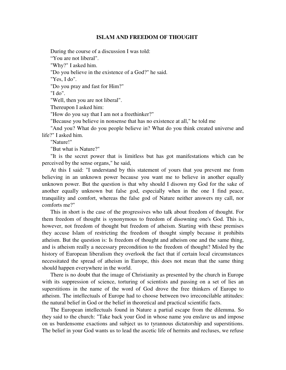## **ISLAM AND FREEDOM OF THOUGHT**

During the course of a discussion I was told: "You are not liberal". "Why?" I asked him. "Do you believe in the existence of a God?" he said. "Yes, I do". "Do you pray and fast for Him?" "I do". "Well, then you are not liberal". Thereupon I asked him:

"How do you say that I am not a freethinker?"

"Because you believe in nonsense that has no existence at all," he told me

"And you? What do you people believe in? What do you think created universe and life?" I asked him.

"Nature!"

"But what is Nature?"

"It is the secret power that is limitless but has got manifestations which can be perceived by the sense organs," he said,

At this I said: "I understand by this statement of yours that you prevent me from believing in an unknown power because you want me to believe in another equally unknown power. But the question is that why should I disown my God for the sake of another equally unknown but false god, especially when in the one I find peace, tranquility and comfort, whereas the false god of Nature neither answers my call, nor comforts me?"

This in short is the case of the progressives who talk about freedom of thought. For them freedom of thought is synonymous to freedom of disowning one's God. This is, however, not freedom of thought but freedom of atheism. Starting with these premises they accuse Islam of restricting the freedom of thought simply because it prohibits atheism. But the question is: Is freedom of thought and atheism one and the same thing, and is atheism really a necessary precondition to the freedom of thought? Misled by the history of European liberalism they overlook the fact that if certain local circumstances necessitated the spread of atheism in Europe, this does not mean that the same thing should happen everywhere in the world.

There is no doubt that the image of Christianity as presented by the church in Europe with its suppression of science, torturing of scientists and passing on a set of lies an superstitions in the name of the word of God drove the free thinkers of Europe to atheism. The intellectuals of Europe had to choose between two irreconcilable attitudes: the natural belief in God or the belief in theoretical and practical scientific facts.

The European intellectuals found in Nature a partial escape from the dilemma. So they said to the church: "Take back your God in whose name you enslave us and impose on us burdensome exactions and subject us to tyrannous dictatorship and superstitions. The belief in your God wants us to lead the ascetic life of hermits and recluses, we refuse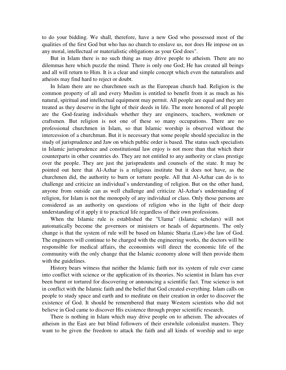to do your bidding. We shall, therefore, have a new God who possessed most of the qualities of the first God but who has no church to enslave us, nor does He impose on us any moral, intellectual or materialistic obligations as your God does".

But in Islam there is no such thing as may drive people to atheism. There are no dilemmas here which puzzle the mind. There is only one God; He has created all beings and all will return to Him. It is a clear and simple concept which even the naturalists and atheists may find hard to reject or doubt.

In Islam there are no churchmen such as the European church had. Religion is the common property of all and every Muslim is entitled to benefit from it as much as his natural, spiritual and intellectual equipment may permit. All people are equal and they are treated as they deserve in the light of their deeds in life. The more honored of all people are the God-fearing individuals whether they are engineers, teachers, workmen or craftsmen. But religion is not one of these so many occupations. There are no professional churchmen in Islam, so that Islamic worship is observed without the intercession of a churchman. But it is necessary that some people should specialize in the study of jurisprudence and Jaw on which public order is based. The status such specialists in Islamic jurisprudence and constitutional law enjoy is not more than that which their counterparts in other countries do. They are not entitled to any authority or class prestige over the people. They are just the jurisprudents and counsels of the state. It may be pointed out here that Al-Azhar is a religious institute but it does not have, as the churchmen did, the authority to burn or torture people. All that Al-Azhar can do is to challenge and criticize an individual's understanding of religion. But on the other hand, anyone from outside can as well challenge and criticize Al-Azhar's understanding of religion, for Islam is not the monopoly of any individual or class. Only those persons are considered as an authority on questions of religion who in the light of their deep understanding of it apply it to practical life regardless of their own professions.

When the Islamic rule is established the "Ulama" (Islamic scholars) will not automatically become the governors or ministers or heads of departments. The only change is that the system of rule will be based on Islamic Sharia (Law)-the law of God. The engineers will continue to be charged with the engineering works, the doctors will be responsible for medical affairs, the economists will direct the economic life of the community with the only change that the Islamic economy alone will then provide them with the guidelines.

History bears witness that neither the Islamic faith nor its system of rule ever came into conflict with science or the application of its theories. No scientist in Islam has ever been burnt or tortured for discovering or announcing a scientific fact. True science is not in conflict with the Islamic faith and the belief that God created everything. Islam calls on people to study space and earth and to meditate on their creation in order to discover the existence of God. It should be remembered that many Western scientists who did not believe in God came to discover His existence through proper scientific research.

There is nothing in Islam which may drive people on to atheism. The advocates of atheism in the East are but blind followers of their erstwhile colonialist masters. They want to be given the freedom to attack the faith and all kinds of worship and to urge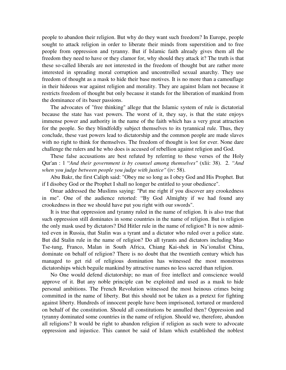people to abandon their religion. But why do they want such freedom? In Europe, people sought to attack religion in order to liberate their minds from superstition and to free people from oppression and tyranny. But if Islamic faith already gives them all the freedom they need to have or they clamor for, why should they attack it? The truth is that these so-called liberals are not interested in the freedom of thought but are rather more interested in spreading moral corruption and uncontrolled sexual anarchy. They use freedom of thought as a mask to hide their base motives. It is no more than a camouflage in their hideous war against religion and morality. They are against Islam not because it restricts freedom of thought but only because it stands for the liberation of mankind from the dominance of its baser passions.

The advocates of "free thinking" allege that the Islamic system of rule is dictatorial because the state has vast powers. The worst of it, they say, is that the state enjoys immense power and authority in the name of the faith which has a very great attraction for the people. So they blindfoldly subject themselves to its tyrannical rule. Thus, they conclude, these vast powers lead to dictatorship and the common people are made slaves with no right to think for themselves. The freedom of thought is lost for ever. None dare challenge the rulers and he who does is accused of rebellion against religion and God.

These false accusations are best refuted by referring to these verses of the Holy Qur'an : 1 "*And their government is by counsel among themselves"* (xlii: 38). 2. *"And when you judge between people you judge with justice"* (iv: 58).

Abu Bakr, the first Caliph said: "Obey me so long as I obey God and His Prophet. But if I disobey God or the Prophet I shall no longer be entitled to your obedience".

Omar addressed the Muslims saying: "Put me right if you discover any crookedness in me". One of the audience retorted: "By God Almighty if we had found any crookedness in thee we should have put you right with our swords".

It is true that oppression and tyranny ruled in the name of religion. It is also true that such oppression still dominates in some countries in the name of religion. But is religion the only mask used by dictators? Did Hitler rule in the name of religion? It is now admitted even in Russia, that Stalin was a tyrant and a dictator who ruled over a police state. But did Stalin rule in the name of religion? Do all tyrants and dictators including Mao Tse-tung, Franco, Malan in South Africa, Chiang Kai-shek in Na'ionalist China, dominate on behalf of religion? There is no doubt that the twentieth century which has managed to get rid of religious domination has witnessed the most monstrous dictatorships which beguile mankind by attractive names no less sacred than religion.

No One would defend dictatorship; no man of free intellect and conscience would approve of it. But any noble principle can be exploited and used as a mask to hide personal ambitions. The French Revolution witnessed the most heinous crimes being committed in the name of liberty. But this should not be taken as a pretext for fighting against liberty. Hundreds of innocent people have been imprisoned, tortured or murdered on behalf of the constitution. Should all constitutions be annulled then? Oppression and tyranny dominated some countries in the name of religion. Should we, therefore, abandon all religions? It would be right to abandon religion if religion as such were to advocate oppression and injustice. This cannot be said of Islam which established the noblest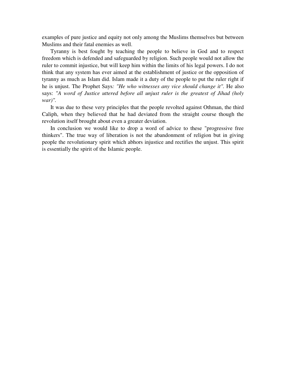examples of pure justice and equity not only among the Muslims themselves but between Muslims and their fatal enemies as well.

Tyranny is best fought by teaching the people to believe in God and to respect freedom which is defended and safeguarded by religion. Such people would not allow the ruler to commit injustice, but will keep him within the limits of his legal powers. I do not think that any system has ever aimed at the establishment of justice or the opposition of tyranny as much as Islam did. Islam made it a duty of the people to put the ruler right if he is unjust. The Prophet Says*: "He who witnesses any vice should change it".* He also says: *"A word of Justice uttered before all unjust ruler is the greatest of Jihad (holy war)".* 

It was due to these very principles that the people revolted against Othman, the third Caliph, when they believed that he had deviated from the straight course though the revolution itself brought about even a greater deviation.

In conclusion we would like to drop a word of advice to these "progressive free thinkers". The true way of liberation is not the abandonment of religion but in giving people the revolutionary spirit which abhors injustice and rectifies the unjust. This spirit is essentially the spirit of the Islamic people.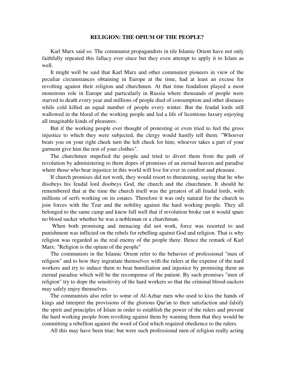## **RELIGION: THE OPIUM OF THE PEOPLE?**

Karl Marx said so. The communist propagandists in tile Islamic Orient have not only faithfully repeated this fallacy ever since but they even attempt to apply it to Islam as well.

It might well be said that Karl Marx and other communist pioneers in view of the peculiar circumstances obtaining in Europe at the time, had at least an excuse for revolting against their religion and churchmen. At that time feudalism played a most monstrous role in Europe and particularly in Russia where thousands of people were starved to death every year and millions of people died of consumption and other diseases while cold killed an equal number of people every winter. But the feudal lords still wallowed in the blood of the working people and led a life of licentious luxury enjoying all imaginable kinds of pleasures.

But if the working people ever thought of protesting or even tried to feel the gross injustice to which they were subjected, the clergy would hastily tell them: "Whoever beats you on your right cheek turn the left cheek for him; whoever takes a part of your garment give him the rest of your clothes".

The churchmen stupefied the people and tried to divert them from the path of revolution by administering to them dopes of promises of an eternal heaven and paradise where those who bear injustice in this world will live for ever in comfort and pleasure.

If church promises did not work, they would resort to threatening, saying that he who disobeys his feudal lord disobeys God, the church and the churchmen. It should be remembered that at the time the church itself was the greatest of all feudal lords, with millions of serfs working on its estates. Therefore it was only natural for the church to join forces with the Tzar and the nobility against the hard working people. They all belonged to the same camp and knew full well that if revolution broke out it would spare no blood sucker whether he was a nobleman or a churchman.

 When both promising and menacing did not work, force was resorted to and punishment was inflicted on the rebels for rebelling against God and religion. That is why religion was regarded as the real enemy of the people there. Hence the remark of Karl Marx: "Religion is the opium of the people"

The communists in the Islamic Orient refer to the behavior of professional "men of religion" and to how they ingratiate themselves with the rulers at the expense of the nard workers and try to induce them to bear humiliation and injustice by promising them an eternal paradise which will be the recompense of the patient. By such promises "men of religion" try to dope the sensitivity of the hard workers so that the criminal blood-suckers may safely enjoy themselves.

The communists also refer to some of Al-Azhar men who used to kiss the hands of kings and interpret the provisions of the glorious Qur'an to their satisfaction and falsify the spirit and principles of Islam in order to establish the power of the rulers and prevent the hard working people from revolting against them by warning them that they would be committing a rebellion against the word of God which required obedience to the rulers.

All this may have been true; but were such professional men of religion really acting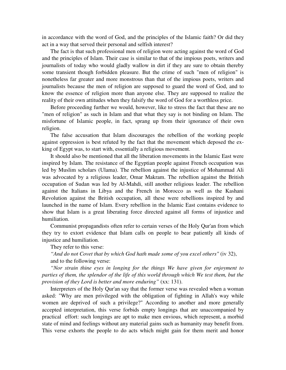in accordance with the word of God, and the principles of the Islamic faith? Or did they act in a way that served their personal and selfish interest?

The fact is that such professional men of religion were acting against the word of God and the principles of Islam. Their case is similar to that of the impious poets, writers and journalists of today who would gladly wallow in dirt if they are sure to obtain thereby some transient though forbidden pleasure. But the crime of such "men of religion" is nonetheless far greater and more monstrous than that of the impious poets, writers and journalists because the men of religion are supposed to guard the word of God, and to know the essence of religion more than anyone else. They are supposed to realize the reality of their own attitudes when they falsify the word of God for a worthless price.

Before proceeding further we would, however, like to stress the fact that these are no "men of religion" as such in Islam and that what they say is not binding on Islam. The misfortune of Islamic people, in fact, sprang up from their ignorance of their own religion.

The false accusation that Islam discourages the rebellion of the working people against oppression is best refuted by the fact that the movement which deposed the exking of Egypt was, to start with, essentially a religious movement.

It should also be mentioned that all the liberation movements in the Islamic East were inspired by Islam. The resistance of the Egyptian people against French occupation was led by Muslim scholars (Ulama). The rebellion against the injustice of Mohammad Ali was advocated by a religious leader, Omar Makram. The rebellion against the British occupation of Sudan was led by Al-Mahdi, still another religious leader. The rebellion against the Italians in Libya and the French in Morocco as well as the Kashani Revolution against the British occupation, all these were rebellions inspired by and launched in the name of Islam. Every rebellion in the Islamic East contains evidence to show that Islam is a great liberating force directed against all forms of injustice and humiliation.

Communist propagandists often refer to certain verses of the Holy Qur'an from which they try to extort evidence that Islam calls on people to bear patiently all kinds of injustice and humiliation.

They refer to this verse:

*"And do not Covet that by which God hath made some of you excel others"* (iv 32), and to the following verse:

*"Nor strain thine eyes in longing for the things We have given for enjoyment to parties of them, the splendor of the life of this world through which We test them, but the provision of they Lord is better and more enduring"* (xx: 131).

Interpreters of the Holy Qur'an say that the former verse was revealed when a woman asked: "Why are men privileged with the obligation of fighting in Allah's way while women are deprived of such a privilege?" According to another and more generally accepted interpretation, this verse forbids empty longings that are unaccompanied by practical effort: such longings are apt to make men envious, which represent, a morbid state of mind and feelings without any material gains such as humanity may benefit from. This verse exhorts the people to do acts which might gain for them merit and honor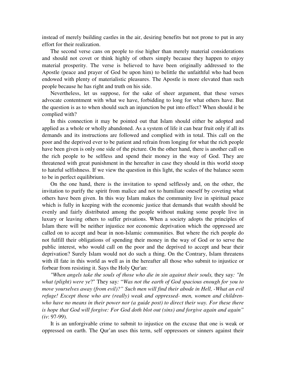instead of merely building castles in the air, desiring benefits but not prone to put in any effort for their realization.

The second verse cans on people to rise higher than merely material considerations and should not covet or think highly of others simply because they happen to enjoy material prosperity. The verse is believed to have been originally addressed to the Apostle (peace and prayer of God be upon him) to belittle the unfaithful who had been endowed with plenty of materialistic pleasures. The Apostle is more elevated than such people because he has right and truth on his side.

Nevertheless, let us suppose, for the sake of sheer argument, that these verses advocate contentment with what we have, forbidding to long for what others have. But the question is as to when should such an injunction be put into effect? When should it be complied with?

In this connection it may be pointed out that Islam should either be adopted and applied as a whole or wholly abandoned. As a system of life it can bear fruit only if all its demands and its instructions are followed and complied with in total. This call on the poor and the deprived ever to be patient and refrain from longing for what the rich people have been given is only one side of the picture. On the other hand, there is another call on the rich people to be selfless and spend their money in the way of God. They are threatened with great punishment in the hereafter in case they should in this world stoop to hateful selfishness. If we view the question in this light, the scales of the balance seem to be in perfect equilibrium.

On the one hand, there is the invitation to spend selflessly and, on the other, the invitation to purify the spirit from malice and not to humiliate oneself by coveting what others have been given. In this way Islam makes the community live in spiritual peace which is fully in keeping with the economic justice that demands that wealth should be evenly and fairly distributed among the people without making some people live in luxury or leaving others to suffer privations. When a society adopts the principles of Islam there will be neither injustice nor economic deprivation which the oppressed are called on to accept and bear in non-Islamic communities. But where the rich people do not fulfill their obligations of spending their money in the way of God or to serve the public interest, who would call on the poor and the deprived to accept and bear their deprivation? Surely Islam would not do such a thing. On the Contrary, Islam threatens with ill fate in this world as well as in the hereafter all those who submit to injustice or forbear from resisting it. Says the Holy Qur'an:

*"When angels take the souls of those who die in sin against their souls,* they say*: "In what (plight) were ye*?" They say*:* "*Was not the earth of God spacious enough for you to move yourselves away (from evil)?" Such men will find their abode in Hell, -What an evil refuge! Except those who are (really) weak and oppressed- men, women and childrenwho have no means in their power nor (a guide post) to direct their way. For these there is hope that God will forgive: For God doth blot out (sins) and forgive again and again" (iv*: 97-99).

It is an unforgivable crime to submit to injustice on the excuse that one is weak or oppressed on earth. The Qur'an uses this term, self oppressors or sinners against their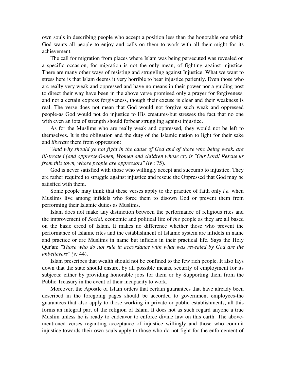own souls in describing people who accept a position less than the honorable one which God wants all people to enjoy and calls on them to work with all their might for its achievement.

The call for migration from places where Islam was being persecuted was revealed on a specific occasion, for migration is not the only mean, of fighting against injustice. There are many other ways of resisting and struggling against Injustice. What we want to stress here is that Islam deems it very horrible to bear injustice patiently. Even those who arc really very weak and oppressed and have no means in their power nor a guiding post to direct their way have been in the above verse promised only a prayer for forgiveness, and not a certain express forgiveness, though their excuse is clear and their weakness is real. The verse does not mean that God would not forgive such weak and oppressed people-as God would not do injustice to His creatures-but stresses the fact that no one with even an iota of strength should forbear struggling against injustice.

As for the Muslims who are really weak and oppressed, they would not be left to themselves. It is the obligation and the duty of the Islamic nation to light for their sake and *liberate* them from oppression:

"*And why should ye not fight in the cause of God and of those who being weak, are ill-treated (and oppressed)-men, Women and children whose cry is "Our Lord! Rescue us from this town, whose people are oppressors" (iv* : 75).

God is never satisfied with those who willingly accept and succumb to injustice. They are rather required to struggle against injustice and rescue the Oppressed that God may be satisfied with them.

Some people may think that these verses apply to the practice of faith only *i,e.* when Muslims live among infidels who force them to disown God or prevent them from performing their Islamic duties as Muslims.

Islam does not make any distinction between the performance of religious rites and the improvement of *Social,* economic and political life of *the* people as they are all based on the basic creed of Islam. It makes no difference whether those who prevent the performance of Islamic rites and the establishment of Islamic system are infidels in name and practice or are Muslims in name but infidels in their practical life. Says the Holy Qur'an: *"Those who do not rule in accordance with what was revealed by God are the unbelievers" (v:* 44).

Islam prescribes that wealth should not be confined to the few rich people. It also lays down that the state should ensure, by all possible means, security of employment for its subjects: either by providing honorable jobs for them or by Supporting them from the Public Treasury in the event of their incapacity to work.

Moreover, the Apostle of Islam orders that certain guarantees that have already been described in the foregoing pages should be accorded to government employees-the guarantees that also apply to those working in private or public establishments, all this forms an integral part of the religion of Islam. It does not as such regard anyone a true Muslim unless he is ready to endeavor to enforce divine law on this earth. The abovementioned verses regarding acceptance of injustice willingly and those who commit injustice towards their own souls apply to those who do not fight for the enforcement of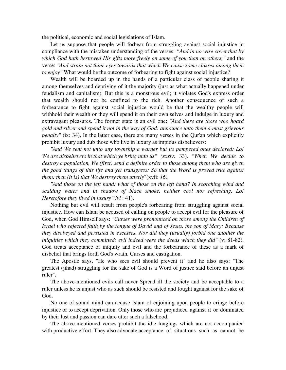the political, economic and social legislations of Islam.

Let us suppose that people will forbear from struggling against social injustice in compliance with the mistaken understanding of the verses: *"And in no wise covet that by which God hath bestowed His gifts more freely on some of you than on others,"* and the verse: *"And strain not thine eyes towards that which We cause some classes among them to enjoy"* What would be the outcome of forbearing to fight against social injustice?

Wealth will be hoarded up in the hands of a particular class of people sharing it among themselves and depriving of it the majority (just as what actually happened under feudalism and capitalism). But this is a monstrous evil; it violates God's express order that wealth should not be confined to the rich. Another consequence of such a forbearance to fight against social injustice would be that the wealthy people will withhold their wealth or they will spend it on their own selves and indulge in luxury and extravagant pleasures. The former state is an evil one: *"And there are those who hoard gold and silver and spend it not in the way of God: announce unto them a most grievous penalty"* (ix: 34). In the latter case, there are many verses in the Qur'an which explicitly prohibit luxury and dub those who live in luxury as impious disbelievers:

*"And We sent not unto any township a warner but its pampered ones declared: Lo! We are disbelievers in that which ye bring unto us" (xxxiv:* 33). *"When We decide to destroy a population, We (first) send a definite order to those among them who are given the good things of this life and yet transgress: So that the Word is proved true against them: then (it is) that We destroy them utterly*"(xvii: *16).* 

*"And those on the left hand: what of those on the left hand? In scorching wind and scalding water and in shadow of black smoke, neither cool nor refreshing. Lo! Heretofore they lived in luxury"(lvi* : 41).

Nothing but evil will result from people's forbearing from struggling against social injustice. How can Islam be accused of calling on people to accept evil for the pleasure of God, when God Himself says: *"Curses were pronounced on those among the Children of Israel who rejected faith by the tongue of David and of Jesus, the son of Mary: Because they disobeyed and persisted in excesses. Nor did they (usually) forbid one another the iniquities which they committed: evil indeed were the deeds which they did"* (v; 81-82). God treats acceptance of iniquity and evil and the forbearance of these as a mark of disbelief that brings forth God's wrath, Curses and castigation.

The Apostle says, "He who sees evil should prevent it" and he also says: "The greatest (jihad) struggling for the sake of God is a Word of justice said before an unjust ruler".

The above-mentioned evils call never Spread ill the society and be acceptable to a ruler unless he is unjust who as such should be resisted and fought against for the sake of God.

No one of sound mind can accuse Islam of enjoining upon people to cringe before injustice or to accept deprivation. Only those who are prejudiced against it or dominated by their lust and passion can dare utter such a falsehood.

The above-mentioned verses prohibit the idle longings which are not accompanied with productive effort. They also advocate acceptance of situations such as cannot be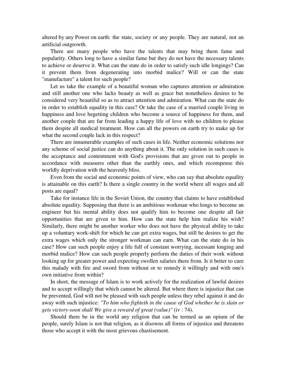altered by any Power on earth: the state, society or any people. They are natural, not an artificial outgrowth.

There are many people who have the talents that may bring them fame and popularity. Others long to have a similar fame but they do not have the necessary talents to achieve or deserve it. What can the state do in order to satisfy such idle longings? Can it prevent them from degenerating into morbid malice? Will or can the state "manufacture" a talent for such people?

Let us take the example of a beautiful woman who captures attention or admiration and still another one who lacks beauty as well as grace but nonetheless desires to be considered very beautiful so as to attract attention and admiration. What can the state do in order to establish equality in this case? Or take the case of a married couple living in happiness and love begetting children who become a source of happiness for them, and another couple that are far from leading a happy life of love with no children to please them despite all medical treatment. How can all the powers on earth try to make up for what the second couple lack in this respect?

There are innumerable examples of such cases in life. Neither economic solutions nor any scheme of social justice can do anything about it. The only solution in such cases is the acceptance and contentment with God's provisions that are given out to people in accordance with measures other than the earthly ones, and which recompense this worldly deprivation with the heavenly bliss.

Even from the social and economic points of view, who can say that absolute equality is attainable on this earth? Is there a single country in the world where all wages and all posts are equal?

Take for instance life in the Soviet Union, the country that claims to have established absolute equality. Supposing that there is an ambitious workman who longs to become an engineer but his mental ability does not qualify him to become one despite all fair opportunities that are given to him. How can the state help him realize his wish? Similarly, there might be another worker who does not have the physical ability to take up a voluntary work-shift for which he can get extra wages, but still he desires to get the extra wages which only the stronger workman can earn. What can the state do in his case? How can such people enjoy a life full of constant worrying, incessant longing and morbid malice? How can such people properly perform the duties of their work without looking up for greater power and expecting swollen salaries there from. Is it better to cure this malady with fire and sword from without or to remedy it willingly and with one's own initiative from within?

In short, the message of Islam is to work actively for the realization of lawful desires and to accept willingly that which cannot be altered. But where there is injustice that can be prevented, God will not be pleased with such people unless they rebel against it and do away with such injustice: *"To him who fighteth in the cause of God whether he is slain or gets victory-soon shall We give a reward of great (value)"* (iv : 74).

Should there be in the world any religion that can be termed as an opium of the people, surely Islam is not that religion, as it disowns all forms of injustice and threatens those who accept it with the most grievous chastisement.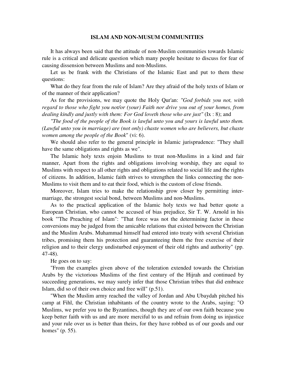### **ISLAM AND NON-MUSUM COMMUNITIES**

It has always been said that the attitude of non-Muslim communities towards Islamic rule is a critical and delicate question which many people hesitate to discuss for fear of causing dissension between Muslims and non-Muslims.

Let us be frank with the Christians of the Islamic East and put to them these questions:

What do they fear from the rule of Islam? Are they afraid of the holy texts of Islam or of the manner of their application?

As for the provisions, we may quote the Holy Qur'an: *"God forbids you not, with regard to those who fight you not/or (your) Faith nor drive you out of your homes, from dealing kindly and justly with them: For God loveth those who are just"* (Ix : 8); and

*"The food of the people of the Book is lawful unto you and yours is lawful unto them. (Lawful unto you in marriage) are (not only) chaste women who are believers, but chaste women among the people of the Book*" (vi: 6).

We should also refer to the general principle in Islamic jurisprudence: "They shall have the same obligations and rights as we".

The Islamic holy texts enjoin Muslims to treat non-Muslims in a kind and fair manner, Apart from the rights and obligations involving worship, they are equal to Muslims with respect to all other rights and obligations related to social life and the rights of citizens. In addition, Islamic faith strives to strengthen the links connecting the non-Muslims to visit them and to eat their food, which is the custom of close friends.

Moreover, Islam tries to make the relationship grow closer by permitting intermarriage, the strongest social bond, between Muslims and non-Muslims.

As to the practical application of the Islamic holy texts we had better quote a European Christian, who cannot be accused of bias prejudice, Sir T. W. Arnold in his book "'The Preaching of Islam": "That force was not the determining factor in these conversions may be judged from the amicable relations that existed between the Christian and the Muslim Arabs. Muhammad himself had entered into treaty with several Christian tribes, promising them his protection and guaranteeing them the free exercise of their religion and to their clergy undisturbed enjoyment of their old rights and authority" (pp. 47-48).

He goes on to say:

"From the examples given above of the toleration extended towards the Christian Arabs by the victorious Muslims of the first century of the Hijrah and continued by succeeding generations, we may surely infer that those Christian tribes that did embrace Islam, did so of their own choice and free will" (p.51).

"When the Muslim army reached the valley of Jordan and Abu Ubaydah pitched his camp at Fihl, the Christian inhabitants of the country wrote to the Arabs, saying: "O Muslims, we prefer you to the Byzantines, though they are of our own faith because you keep better faith with us and are more merciful to us and refrain from doing us injustice and your rule over us is better than theirs, for they have robbed us of our goods and our homes" (p. 55).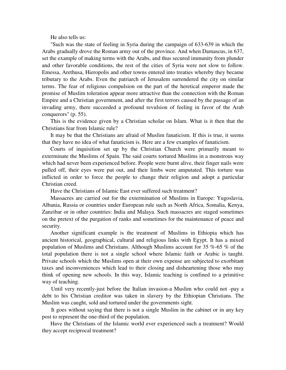He also tells us:

"Such was the state of feeling in Syria during the campaign of 633-639 in which the Arabs gradually drove the Roman army out of the province. And when Damascus, in 637, set the example of making terms with the Arabs, and thus secured immunity from plunder and other favorable conditions, the rest of the cities of Syria were not slow to follow. Emessa, Arethusa, Hieropolis and other towns entered into treaties whereby they became tributary to the Arabs. Even the patriarch of Jerusalem surrendered the city on similar terms. The fear of religious compulsion on the part of the heretical emperor made the promise of Muslim toleration appear more attractive than the connection with the Roman Empire and a Christian government, and after the first terrors caused by the passage of an invading army, there succeeded a profound revulsion of feeling in favor of the Arab conquerors" (p. 55).

This is the evidence given by a Christian scholar on Islam. What is it then that the Christians fear from Islamic rule?

It may be that the Christians are afraid of Muslim fanaticism. If this is true, it seems that they have no idea of what fanaticism is. Here are a few examples of fanaticism.

Courts of inquisition set up by the Christian Church were primarily meant to exterminate the Muslims of Spain. The said courts tortured Muslims in a monstrous way which had never been experienced before. People were burnt alive, their finger nails were pulled off, their eyes were put out, and their limbs were amputated. This torture was inflicted in order to force the people to change their religion and adopt a particular Christian creed.

Have the Christians of Islamic East ever suffered such treatment?

Massacres are carried out for the extermination of Muslims in Europe: Yugoslavia, Albania, Russia or countries under European rule such as North Africa, Somalia, Kenya, Zanzibar or in other countries: India and Malaya. Such massacres are staged sometimes on the pretext of the purgation of ranks and sometimes for the maintenance of peace and security.

Another significant example is the treatment of Muslims in Ethiopia which has ancient historical, geographical, cultural and religious links with Egypt. It has a mixed population of Muslims and Christians. Although Muslims account for 35 %-65 % of the total population there is not a single school where Islamic faith or Arabic is taught. Private schools which the Muslims open at their own expense are subjected to exorbitant taxes and inconveniences which lead to their closing and disheartening those who may think of opening new schools. In this way, Islamic teaching is confined to a primitive way of teaching.

 Until very recently-just before the Italian invasion-a Muslim who could not -pay a debt to his Christian creditor was taken in slavery by the Ethiopian Christians. The Muslim was caught, sold and tortured under the governments sight.

 It goes without saying that there is not a single Muslim in the cabinet or in any key post to represent the one-third of the population.

Have the Christians of the Islamic world ever experienced such a treatment? Would they accept reciprocal treatment?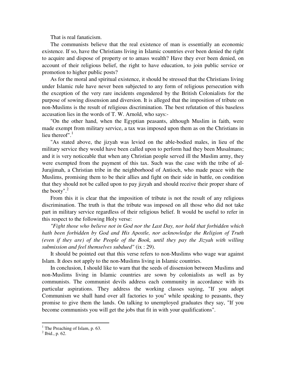That is real fanaticism.

The communists believe that the real existence of man is essentially an economic existence. If so, have the Christians living in Islamic countries ever been denied the right to acquire and dispose of property or to amass wealth? Have they ever been denied, on account of their religious belief, the right to have education, to join public service or promotion to higher public posts?

As for the moral and spiritual existence, it should be stressed that the Christians living under Islamic rule have never been subjected to any form of religious persecution with the exception of the very rare incidents engendered by the British Colonialists for the purpose of sowing dissension and diversion. It is alleged that the imposition of tribute on non-Muslims is the result of religious discrimination. The best refutation of this baseless accusation lies in the words of T. W. Arnold, who says:-

"On the other hand, when the Egyptian peasants, although Muslim in faith, were made exempt from military service, a tax was imposed upon them as on the Christians in lieu thereof". $<sup>1</sup>$ </sup>

"As stated above, the jizyah was levied on the able-bodied males, in lieu of the military service they would have been called upon to perform had they been Musalmans; and it is very noticeable that when any Christian people served ill the Muslim army, they were exempted from the payment of this tax. Such was the case with the tribe of al-Jurajimah, a Christian tribe in the neighborhood of Antioch, who made peace with the Muslims, promising them to be their allies and fight on their side in battle, on condition that they should not be called upon to pay jizyah and should receive their proper share of the booty". $2$ 

From this it is clear that the imposition of tribute is not the result of any religious discrimination. The truth is that the tribute was imposed on all those who did not take part in military service regardless of their religious belief. It would be useful to refer in this respect to the following Holy verse:

*"Fight those who believe not in God nor the Last Day, nor hold that forbidden which hath been forbidden by God and His Apostle, nor acknowledge the Religion of Truth (even if they are) of the People of the Book, until they pay the Jizyah with willing submission and feel themselves subdued"* (ix : 29).

It should be pointed out that this verse refers to non-Muslims who wage war against Islam. It does not apply to the non-Muslims living in Islamic countries.

In conclusion, I should like to warn that the seeds of dissension between Muslims and non-Muslims living in Islamic countries are sown by colonialists as well as by communists. The communist devils address each community in accordance with its particular aspirations. They address the working classes saying, "If you adopt Communism we shall hand over all factories to you" while speaking to peasants, they promise to give them the lands. On talking to unemployed graduates they say, "If you become communists you will get the jobs that fit in with your qualifications".

<sup>&</sup>lt;sup>1</sup> The Preaching of Islam, p. 63.

 $2$  Ibid., p. 62.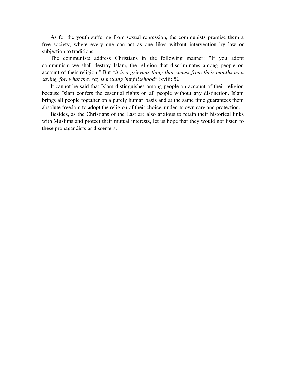As for the youth suffering from sexual repression, the communists promise them a free society, where every one can act as one likes without intervention by law or subjection to traditions.

The communists address Christians in the following manner: "If you adopt communism we shall destroy Islam, the religion that discriminates among people on account of their religion." But *"it is a grievous thing that comes from their mouths as a saying, for, what they say is nothing but falsehood"* (xviii: 5*).* 

It cannot be said that Islam distinguishes among people on account of their religion because Islam confers the essential rights on all people without any distinction. Islam brings all people together on a purely human basis and at the same time guarantees them absolute freedom to adopt the religion of their choice, under its own care and protection.

Besides, as the Christians of the East are also anxious to retain their historical links with Muslims and protect their mutual interests, let us hope that they would not listen to these propagandists or dissenters.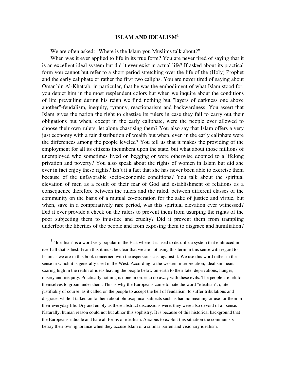# **ISLAM AND IDEALISM<sup>1</sup>**

We are often asked: "Where is the Islam you Muslims talk about?"

When was it ever applied to life in its true form? You are never tired of saying that it is an excellent ideal system but did it ever exist in actual life? If asked about its practical form you cannot but refer to a short period stretching over the life of the (Holy) Prophet and the early caliphate or rather the first two caliphs. You are never tired of saying about Omar bin Al-Khattab, in particular, that he was the embodiment of what Islam stood for; you depict him in the most resplendent colors but when we inquire about the conditions of life prevailing during his reign we find nothing but "layers of darkness one above another"-feudalism, inequity, tyranny, reactionarism and backwardness. You assert that Islam gives the nation the right to chastise its rulers in case they fail to carry out their obligations but when, except in the early caliphate, were the people ever allowed to choose their own rulers, let alone chastising them? You also say that Islam offers a very just economy with a fair distribution of wealth but when, even in the early caliphate were the differences among the people leveled? You tell us that it makes the providing of the employment for all its citizens incumbent upon the state, but what about those millions of unemployed who sometimes lived on begging or were otherwise doomed to a lifelong privation and poverty? You also speak about the rights of women in Islam but did she ever in fact enjoy these rights? Isn't it a fact that she has never been able to exercise them because of the unfavorable socio-economic conditions? You talk about the spiritual elevation of men as a result of their fear of God and establishment of relations as a consequence therefore between the rulers and the ruled, between different classes of the community on the basis of a mutual co-operation for the sake of justice and virtue, but when, save in a comparatively rare period, was this spiritual elevation ever witnessed? Did it ever provide a check on the rulers to prevent them from usurping the rights of the poor subjecting them to injustice and cruelty? Did it prevent them from trampling underfoot the liberties of the people and from exposing them to disgrace and humiliation?

 $\overline{a}$ 

<sup>&</sup>lt;sup>1</sup> "Idealism" is a word very popular in the East where it is used to describe a system that embraced in itself all that is best. From this it must be clear that we are not using this term in this sense with regard to Islam as we are in this book concerned with the aspersions cast against it. We use this word rather in the sense in which it is generally used in the West. According to the western interpretation, idealism means soaring high in the realm of ideas leaving the people below on earth to their fate, deprivations, hunger, misery and inequity. Practically nothing is done in order to do away with these evils. The people are left to themselves to groan under them. This is why the Europeans came to hate the word "idealism", quite justifiably of course, as it called on the people to accept the hell of feudalism, to suffer tribulations and disgrace, while it talked on to them about philosophical subjects such as had no meaning or use for them in their everyday life. Dry and empty as these abstract discussions were, they were also devoid of all sense. Naturally, human reason could not but abhor this sophistry. It is because of this historical background that the Europeans ridicule and hate all forms of idealism. Anxious to exploit this situation the communists betray their own ignorance when they accuse Islam of a similar barren and visionary idealism.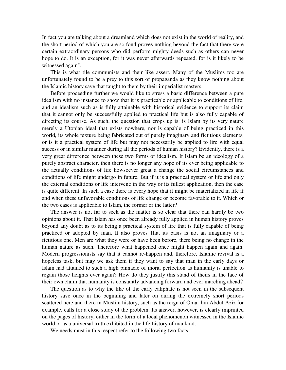In fact you are talking about a dreamland which does not exist in the world of reality, and the short period of which you are so fond proves nothing beyond the fact that there were certain extraordinary persons who did perform mighty deeds such as others can never hope to do. It is an exception, for it was never afterwards repeated, for is it likely to be witnessed again".

This is what tile communists and their like assert. Many of the Muslims too are unfortunately found to be a prey to this sort of propaganda as they know nothing about the Islamic history save that taught to them by their imperialist masters.

Before proceeding further we would like to stress a basic difference between a pure idealism with no instance to show that it is practicable or applicable to conditions of life, and an idealism such as is fully attainable with historical evidence to support its claim that it cannot only be successfully applied to practical life but is also fully capable of directing its course. As such, the question that crops up is: is Islam by its very nature merely a Utopian ideal that exists nowhere, nor is capable of being practiced in this world, its whole texture being fabricated out of purely imaginary and fictitious elements, or is it a practical system of life but may not necessarily be applied to lire with equal success or in similar manner during all the periods of human history? Evidently, there is a very great difference between these two forms of idealism. If Islam be an ideology of a purely abstract character, then there is no longer any hope of its ever being applicable to the actually conditions of life howsoever great a change the social circumstances and conditions of life might undergo in future. But if it is a practical system or life and only the external conditions or life intervene in the way or its fullest application, then the case is quite different. In such a case there is every hope that it might be materialized in life if and when these unfavorable conditions of life change or become favorable to it. Which or the two cases is applicable to Islam, the former or the latter?

The answer is not far to seek as the matter is so clear that there can hardly be two opinions about it. That Islam has once been already fully applied in human history proves beyond any doubt as to its being a practical system of lire that is fully capable of being practiced or adopted by man. It also proves 1hat its basis is not an imaginary or a fictitious one. Men are what they were or have been before, there being no change in the human nature as such. Therefore what happened once might happen again and again. Modern progressionists say that it cannot re-happen and, therefore, Islamic revival is a hopeless task, but may we ask them if they want to say that man in the early days or Islam had attained to such a high pinnacle of moral perfection as humanity is unable to regain those heights ever again? How do they justify this stand of theirs in the face of their own claim that humanity is constantly advancing forward and ever marching ahead?

The question as to why the like of the early caliphate is not seen in the subsequent history save once in the beginning and later on during the extremely short periods scattered here and there in Muslim history, such as the reign of Omar bin Abdul Aziz for example, calls for a close study of the problem. Its answer, however, is clearly imprinted on the pages of history, either in the form of a local phenomenon witnessed in the Islamic world or as a universal truth exhibited in the life-history of mankind.

We needs must in this respect refer to the following two facts: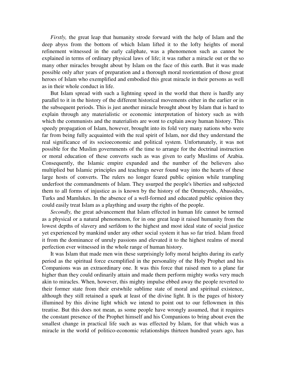*Firstly,* the great leap that humanity strode forward with the help of Islam and the deep abyss from the bottom of which Islam lifted it to the lofty heights of moral refinement witnessed in the early caliphate, was a phenomenon such as cannot be explained in terms of ordinary physical laws of life; it was rather a miracle out or the so many other miracles brought about by Islam on the face of this earth. But it was made possible only after years of preparation and a thorough moral reorientation of those great heroes of Islam who exemplified and embodied this great miracle in their persons as well as in their whole conduct in life.

But Islam spread with such a lightning speed in the world that there is hardly any parallel to it in the history of the different historical movements either in the earlier or in the subsequent periods. This is just another miracle brought about by Islam that is hard to explain through any materialistic or economic interpretation of history such as with which the communists and the materialists are wont to explain away human history. This speedy propagation of Islam, however, brought into its fold very many nations who were far from being fully acquainted with the real spirit of Islam, nor did they understand the real significance of its socioeconomic and political system. Unfortunately, it was not possible for the Muslim governments of the time to arrange for the doctrinal instruction or moral education of these converts such as was given to early Muslims of Arabia. Consequently, the Islamic empire expanded and the number of the believers also multiplied but Islamic principles and teachings never found way into the hearts of these large hosts of converts. The rulers no longer feared public opinion while trampling underfoot the commandments of Islam. They usurped the people's liberties and subjected them to all forms of injustice as is known by the history of the Ommeyeds, Abassides, Turks and Mamlukes. In the absence of a well-formed and educated public opinion they could easily treat Islam as a plaything and usurp the rights of the people.

*Secondly,* the great advancement that Islam effected in human life cannot be termed as a physical or a natural phenomenon, for in one great leap it raised humanity from the lowest depths of slavery and serfdom to the highest and most ideal state of social justice yet experienced by mankind under any other social system it has so far tried. Islam freed it from the dominance of unruly passions and elevated it to the highest realms of moral perfection ever witnessed in the whole range of human history.

It was Islam that made men win these surprisingly lofty moral heights during its early period as the spiritual force exemplified in the personality of the Holy Prophet and his Companions was an extraordinary one. It was this force that raised men to a plane far higher than they could ordinarily attain and made them perform mighty works very much akin to miracles. When, however, this mighty impulse ebbed away the people reverted to their former state from their erstwhile sublime state of moral and spiritual existence, although they still retained a spark at least of the divine light. It is the pages of history illumined by this divine light which we intend to point out to our fellowmen in this treatise. But this does not mean, as some people have wrongly assumed, that it requires the constant presence of the Prophet himself and his Companions to bring about even the smallest change in practical life such as was effected by Islam, for that which was a miracle in the world of politico-economic relationships thirteen hundred years ago, has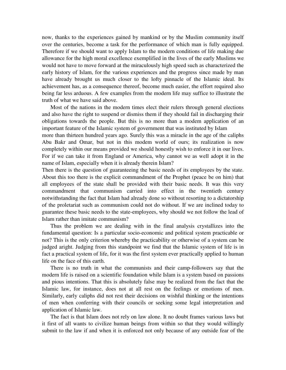now, thanks to the experiences gained by mankind or by the Muslim community itself over the centuries, become a task for the performance of which man is fully equipped. Therefore if we should want to apply Islam to the modern conditions of life making due allowance for the high moral excellence exemplified in the lives of the early Muslims we would not have to move forward at the miraculously high speed such as characterized the early history of Islam, for the various experiences and the progress since made by man have already brought us much closer to the lofty pinnacle of the Islamic ideal. Its achievement has, as a consequence thereof, become much easier, the effort required also being far less arduous. A few examples from the modern life may suffice to illustrate the truth of what we have said above.

Most of the nations in the modern times elect their rulers through general elections and also have the right to suspend or dismiss them if they should fail in discharging their obligations towards the people. But this is no more than a modem application of an important feature of the Islamic system of government that was instituted by Islam

more than thirteen hundred years ago. Surely this was a miracle in the age of the caliphs Abu Bakr and Omar, but not in this modem world of ours; its realization is now completely within our means provided we should honestly wish to enforce it in our lives. For if we can take it from England or America, why cannot we as well adopt it in the name of Islam, especially when it is already therein Islam?

Then there is the question of guaranteeing the basic needs of its employees by the state. About this too there is the explicit commandment of the Prophet (peace be on him) that all employees of the state shall be provided with their basic needs. It was this very commandment that communism carried into effect in the twentieth century notwithstanding the fact that Islam had already done so without resorting to a dictatorship of the proletariat such as communism could not do without. If we are inclined today to guarantee these basic needs to the state-employees, why should we not follow the lead of Islam rather than imitate communism?

Thus the problem we are dealing with in the final analysis crystallizes into the fundamental question: Is a particular socio-economic and political system practicable or not? This is the only criterion whereby the practicability or otherwise of a system can be judged aright. Judging from this standpoint we find that the Islamic system of life is in fact a practical system of life, for it was the first system ever practically applied to human life on the face of this earth.

There is no truth in what the communists and their camp-followers say that the modern life is raised on a scientific foundation while Islam is a system based on passions and pious intentions. That this is absolutely false may be realized from the fact that the Islamic law, for instance, does not at all rest on the feelings or emotions of men. Similarly, early caliphs did not rest their decisions on wishful thinking or the intentions of men when conferring with their councils or seeking some legal interpretation and application of Islamic law.

The fact is that Islam does not rely on law alone. It no doubt frames various laws but it first of all wants to civilize human beings from within so that they would willingly submit to the law if and when it is enforced not only because of any outside fear of the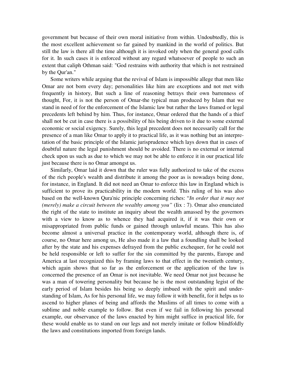government but because of their own moral initiative from within. Undoubtedly, this is the most excellent achievement so far gained by mankind in the world of politics. But still the law is there all the time although it is invoked only when the general good calls for it. In such cases it is enforced without any regard whatsoever of people to such an extent that caliph Othman said: "God restrains with authority that which is not restrained by the Qur'an."

Some writers while arguing that the revival of Islam is impossible allege that men like Omar are not born every day; personalities like him are exceptions and not met with frequently in history, But such a line of reasoning betrays their own barrenness of thought, For, it is not the person of Omar-the typical man produced by Islam that we stand in need of for the enforcement of the Islamic law but rather the laws framed or legal precedents left behind by him. Thus, for instance, Omar ordered that the hands of a thief shall not be cut in case there is a possibility of his being driven to it due to some external economic or social exigency. Surely, this legal precedent does not necessarily call for the presence of a man like Omar to apply it to practical life, as it was nothing but an interpretation of the basic principle of the Islamic jurisprudence which lays down that in cases of doubtful nature the legal punishment should be avoided. There is no external or internal check upon us such as due to which we may not be able to enforce it in our practical life just because there is no Omar amongst us.

Similarly, Omar laid it down that the ruler was fully authorized to take of the excess of the rich people's wealth and distribute it among the poor as is nowadays being done, for instance, in England. It did not need an Omar to enforce this law in England which is sufficient to prove its practicability in the modern world. This ruling of his was also based on the well-known Qura'nic principle concerning riches: "*In order that it may not (merely) make a circuit between the wealthy among you"* (Iix : 7). Omar also enunciated the right of the state to institute an inquiry about the wealth amassed by the governors with a view to know as to whence they had acquired it, if it was their own or misappropriated from public funds or gained through unlawful means. This has also become almost a universal practice in the contemporary world, although there is, of course, no Omar here among us, He also made it a law that a foundling shall be looked after by the state and his expenses defrayed from the public exchequer, for he could not be held responsible or left to suffer for the sin committed by the parents, Europe and America at last recognized this by framing laws to that effect in the twentieth century, which again shows that so far as the enforcement or the application of the law is concerned the presence of an Omar is not inevitable. We need Omar not just because he was a man of towering personality but because he is the most outstanding legist of the early period of Islam besides his being so deeply imbued with the spirit and understanding of Islam, As for his personal life, we may follow it with benefit, for it helps us to ascend to higher planes of being and affords the Muslims of all times to come with a sublime and noble example to follow. But even if we fail in following his personal example, our observance of the laws enacted by him might suffice in practical life, for these would enable us to stand on our legs and not merely imitate or follow blindfoldly the laws and constitutions imported from foreign lands.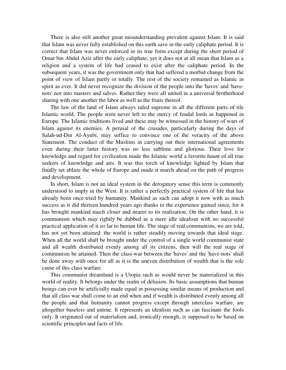There is also still another great misunderstanding prevalent against Islam. It is said that Islam was never fully established on this earth save in the early caliphate period. It is correct that Islam was never enforced in its true form except during the short period of Omar bin Abdul Aziz after the early caliphate; yet it does not at all mean that Islam as a religion and a system of life had ceased to exist after the caliphate period. In the subsequent years, it was the government only that had suffered a morbid change from the point of view of Islam partly or totally. The rest of the society remained as Islamic in spirit as ever. It did never recognize the division of the people into the 'haves' and 'havenots' nor into masters and salves. Rather they were all united in a universal brotherhood sharing with one another the labor as well as the fruits thereof.

The law of the land of Islam always ruled supreme in all the different parts of tile Islamic world. The people were never left to the mercy of feudal lords as happened in Europe. The Islamic traditions lived and these may be witnessed in the history of wars of Islam against its enemies. A perusal of the crusades, particularly during the days of Salah-ud-Din Al-Ayubi, may suffice to convince one of the veracity of the above Statement. The conduct of the Muslims in carrying out their international agreements even during their latter history was no less sublime and glorious. Their love for knowledge and regard for civilization made the Islamic world a favorite haunt of all true seekers of knowledge and arts. It was this torch of knowledge lighted by Islam that finally set ablaze the whole of Europe and made it march ahead on the path of progress and development.

In short, Islam is not an ideal system in the derogatory sense this term is commonly understood to imply in the West. It is rather a perfectly practical system of life that has already been once tried by humanity. Mankind as such can adopt it now with as much success as it did thirteen hundred years ago thanks to the experience gained since, for it has brought mankind much closer and nearer to its realization. On the other hand, it is communism which may rightly be dubbed as a mere idle idealism with no successful practical application of it so far to human life. The stage of real communism, we are told, has not yet been attained: the world is rather steadily moving towards that ideal stage. When all the world shall be brought under the control of a single world communist state and all wealth distributed evenly among all its citizens, then will the real stage of communism be attained. Then the class-war between the 'haves' and the 'have-nots' shall be done away with once for all as it is the uneven distribution of wealth that is the sole cause of this class warfare.

This communist dreamland is a Utopia such as would never be materialized in this world of reality. It belongs under the realm of delusion. Its basic assumptions that human beings can ever be artificially made equal in possessing similar means of production and that all class war shall come to an end when and if wealth is distributed evenly among all the people and that humanity cannot progress except through interclass warfare, are altogether baseless and untrue. It represents an idealism such as can fascinate the fools only. It originated out of materialism and, ironically enough, is supposed to be based on scientific principles and facts of life.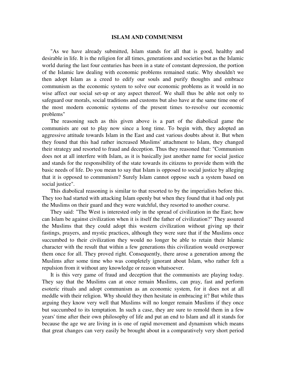#### **ISLAM AND COMMUNISM**

"As we have already submitted, Islam stands for all that is good, healthy and desirable in life. It is the religion for all times, generations and societies but as the Islamic world during the last four centuries has been in a state of constant depression, the portion of the Islamic law dealing with economic problems remained static. Why shouldn't we then adopt Islam as a creed to edify our souls and purify thoughts and embrace communism as the economic system to solve our economic problems as it would in no wise affect our social set-up or any aspect thereof. We shall thus be able not only to safeguard our morals, social traditions and customs but also have at the same time one of the most modern economic systems of the present times to-resolve our economic problems"

The reasoning such as this given above is a part of the diabolical game the communists are out to play now since a long time. To begin with, they adopted an aggressive attitude towards Islam in the East and cast various doubts about it. But when they found that this had rather increased Muslims' attachment to Islam, they changed their strategy and resorted to fraud and deception. Thus they reasoned that: "Communism does not at all interfere with Islam, as it is basically just another name for social justice and stands for the responsibility of the state towards its citizens to provide them with the basic needs of life. Do you mean to say that Islam is opposed to social justice by alleging that it is opposed to communism? Surely Islam cannot oppose such a system based on social justice".

This diabolical reasoning is similar to that resorted to by the imperialists before this. They too had started with attacking Islam openly but when they found that it had only put the Muslims on their guard and they were watchful, they resorted to another course.

They said: "The West is interested only in the spread of civilization in the East; how can Islam be against civilization when it is itself the father of civilization?" They assured the Muslims that they could adopt this western civilization without giving up their fastings, prayers, and mystic practices, although they were sure that if the Muslims once succumbed to their civilization they would no longer be able to retain their Islamic character with the result that within a few generations this civilization would overpower them once for all. They proved right. Consequently, there arose a generation among the Muslims after some time who was completely ignorant about Islam, who rather felt a repulsion from it without any knowledge or reason whatsoever.

It is this very game of fraud and deception that the communists are playing today. They say that the Muslims can at once remain Muslims, can pray, fast and perform esoteric rituals and adopt communism as an economic system, for it does not at all meddle with their religion. Why should they then hesitate in embracing it? But while thus arguing they know very well that Muslims will no longer remain Muslims if they once but succumbed to its temptation. In such a case, they are sure to remold them in a few years' time after their own philosophy of life and put an end to Islam and all it stands for because the age we are living in is one of rapid movement and dynamism which means that great changes can very easily be brought about in a comparatively very short period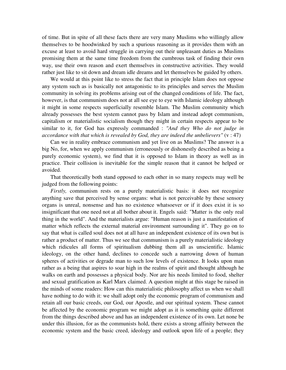of time. But in spite of all these facts there are very many Muslims who willingly allow themselves to be hoodwinked by such a spurious reasoning as it provides them with an excuse at least to avoid hard struggle in carrying out their unpleasant duties as Muslims promising them at the same time freedom from the cumbrous task of finding their own way, use their own reason and exert themselves in constructive activities. They would rather just like to sit down and dream idle dreams and let themselves be guided by others.

We would at this point like to stress the fact that in principle Islam does not oppose any system such as is basically not antagonistic to its principles and serves the Muslim community in solving its problems arising out of the changed conditions of life. The fact, however, is that communism does not at all see eye to eye with Islamic ideology although it might in some respects superficially resemble Islam. The Muslim community which already possesses the best system cannot pass by Islam and instead adopt communism, capitalism or materialistic socialism though they might in certain respects appear to be similar to it, for God has expressly commanded : *"And they Who do not judge in accordance with that which is revealed by God, they are indeed the unbelievers"* (v: 47)

Can we in reality embrace communism and yet live on as Muslims? The answer is a big No, for, when we apply communism (erroneously or dishonestly described as being a purely economic system), we find that it is opposed to Islam in theory as well as in practice. Their collision is inevitable for the simple reason that it cannot be helped or avoided.

That theoretically both stand opposed to each other in so many respects may well be judged from the following points:

*Firstly,* communism rests on a purely materialistic basis: it does not recognize anything save that perceived by sense organs: what is not perceivable by these sensory organs is unreal, nonsense and has no existence whatsoever or if it does exist it is so insignificant that one need not at all bother about it. Engels said: "Matter is the only real thing in the world". And the materialists argue: "Human reason is just a manifestation of matter which reflects the external material environment surrounding it". They go on to say that what is called soul does not at all have an independent existence of its own but is rather a product of matter. Thus we see that communism is a purely materialistic ideology which ridicules all forms of spiritualism dubbing them all as unscientific. Islamic ideology, on the other hand, declines to concede such a narrowing down of human spheres of activities or degrade man to such low levels of existence. It looks upon man rather as a being that aspires to soar high in the realms of spirit and thought although he walks on earth and possesses a physical body. Nor are his needs limited to food, shelter and sexual gratification as Karl Marx claimed. A question might at this stage be raised in the minds of some readers: How can this materialistic philosophy affect us when we shall have nothing to do with it: we shall adopt only the economic program of communism and retain all our basic creeds, our God, our Apostle, and our spiritual system. These cannot be affected by the economic program we might adopt as it is something quite different from the things described above and has an independent existence of its own. Let none be under this illusion, for as the communists hold, there exists a strong affinity between the economic system and the basic creed, ideology and outlook upon life of a people; they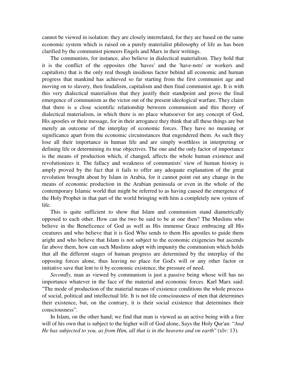cannot be viewed in isolation: they are closely interrelated, for they are based on the same economic system which is raised on a purely materialist philosophy of life as has been clarified by the communist pioneers Engels and Marx in their writings.

The communists, for instance, also believe in dialectical materialism. They hold that it is the conflict of the opposites (the 'haves' and the 'have-nots' or workers and capitalists) that is the only real though insidious factor behind all economic and human progress that mankind has achieved so far starting from the first communist age and moving on to slavery, then feudalism, capitalism and then final communist age. It is with this very dialectical materialism that they justify their standpoint and prove the final emergence of communism as the victor out of the present ideological warfare. They claim that there is a close scientific relationship between communism and this theory of dialectical materialism, in which there is no place whatsoever for any concept of God, His apostles or their message, for in their arrogance they think that all these things are but merely an outcome of the interplay of economic forces. They have no meaning or significance apart from the economic circumstances that engendered them. As such they lose all their importance in human life and are simply worthless in interpreting or defining life or determining its true objectives. The one and the only factor of importance is the means of production which, if changed, affects the whole human existence and revolutionizes it. The fallacy and weakness of communists' view of human history is amply proved by the fact that it fails to offer any adequate explanation of the great revolution brought about by Islam in Arabia, for it cannot point out any change in the means of economic production in the Arabian peninsula or even in the whole of the contemporary Islamic world that might be referred to as having caused the emergence of the Holy Prophet in that part of the world bringing with him a completely new system of life.

This is quite sufficient to show that Islam and communism stand diametrically opposed to each other. How can the two be said to be at one then? The Muslims who believe in the Beneficence of God as well as His immense Grace embracing all His creatures and who believe that it is God Who sends to them His apostles to guide them aright and who believe that Islam is not subject to the economic exigencies but ascends far above them, how can such Muslims adopt with impunity the communism which holds that all the different stages of human progress are determined by the interplay of the opposing forces alone, thus leaving no place for God's will or any other factor or initiative save that lent to it by economic existence, the pressure of need.

*Secondly*, man as viewed by communism is just a passive being whose will has no importance whatever in the face of the material and economic forces. Karl Marx said: "The mode of production of the material means of existence conditions the whole process of social, political and intellectual life. It is not tile consciousness of men that determines their existence, but, on the contrary, it is their social existence that determines their consciousness".

In Islam, on the other hand; we find that man is viewed as an active being with a free will of his own that is subject to the higher will of God alone, Says the Holy Qur'an: "*And He has subjected to you, as from Him, all that is in the heavens and on earth"* (xlv: 13).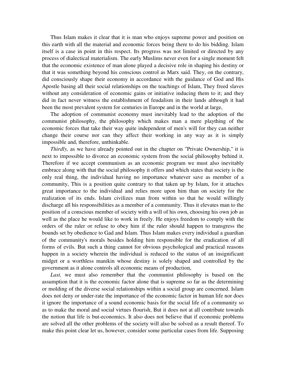Thus Islam makes it clear that it is man who enjoys supreme power and position on this earth with all the material and economic forces being there to do his bidding. Islam itself is a case in point in this respect. Its progress was not limited or directed by any process of dialectical materialism. The early Muslims never even for a single moment felt that the economic existence of man alone played a decisive role in shaping his destiny or that it was something beyond his conscious control as Marx said. They, on the contrary, did consciously shape their economy in accordance with the guidance of God and His Apostle basing all their social relationships on the teachings of Islam, They freed slaves without any consideration of economic gains or initiative inducing them to it; and they did in fact never witness the establishment of feudalism in their lands although it had been the most prevalent system for centuries in Europe and in the world at large,

The adoption of communist economy must inevitably lead to the adoption of the communist philosophy, the philosophy which makes man a mere plaything of the economic forces that take their way quite independent of men's will for they can neither change their course nor can they affect their working in any way as it is simply impossible and, therefore, unthinkable.

*Thirdly*, as we have already pointed out in the chapter on "Private Ownership," it is next to impossible to divorce an economic system from the social philosophy behind it. Therefore if we accept communism as an economic program we must also inevitably embrace along with that the social philosophy it offers and which states that society is the only real thing, the individual having no importance whatever save as member of a community, This is a position quite contrary to that taken up by Islam, for it attaches great importance to the individual and relies more upon him than on society for the realization of its ends. Islam civilizes man from within so that he would willingly discharge all his responsibilities as a member of a community. Thus it elevates man to the position of a conscious member of society with a will of his own, choosing his own job as well as the place he would like to work in freely. He enjoys freedom to comply with the orders of the ruler or refuse to obey him if the ruler should happen to transgress the bounds set by obedience to Gad and Islam. Thus Islam makes every individual a guardian of the community's morals besides holding him responsible for the eradication of all forms of evils. But such a thing cannot for obvious psychological and practical reasons happen in a society wherein the individual is reduced to the status of an insignificant midget or a worthless manikin whose destiny is solely shaped and controlled by the government as it alone controls all economic means of production,

Last, we must also remember that the communist philosophy is based on the assumption that it is the economic factor alone that is supreme so far as the determining or molding of the diverse social relationships within a social group are concerned. Islam does not deny or under-rate the importance of the economic factor in human life nor does it ignore the importance of a sound economic basis for the social life of a community so as to make the moral and social virtues flourish, But it does not at all contribute towards the notion that life is but-economics. It also does not believe that if economic problems are solved all the other problems of the society will also be solved as a result thereof. To make this point clear let us, however, consider some particular cases from life. Supposing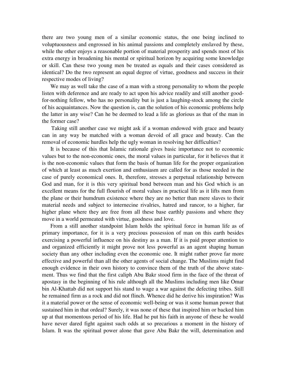there are two young men of a similar economic status, the one being inclined to voluptuousness and engrossed in his animal passions and completely enslaved by these, while the other enjoys a reasonable portion of material prosperity and spends most of his extra energy in broadening his mental or spiritual horizon by acquiring some knowledge or skill. Can these two young men be treated as equals and their cases considered as identical? Do the two represent an equal degree of virtue, goodness and success in their respective modes of living?

We may as well take the case of a man with a strong personality to whom the people listen with deference and are ready to act upon his advice readily and still another goodfor-nothing fellow, who has no personality but is just a laughing-stock among the circle of his acquaintances. Now the question is, can the solution of his economic problems help the latter in any wise? Can he be deemed to lead a life as glorious as that of the man in the former case?

 Taking still another case we might ask if a woman endowed with grace and beauty can in any way be matched with a woman devoid of all grace and beauty. Can the removal of economic hurdles help the ugly woman in resolving her difficulties?

It is because of this that Islamic rationale gives basic importance not to economic values but to the non-economic ones, the moral values in particular, for it believes that it is the non-economic values that form the basis of human life for the proper organization of which at least as much exertion and enthusiasm are called for as those needed in the case of purely economical ones. It, therefore, stresses a perpetual relationship between God and man, for it is this very spiritual bond between man and his God which is an excellent means for the full flourish of moral values in practical life as it lifts men from the plane or their humdrum existence where they are no better than mere slaves to their material needs and subject to internecine rivalries, hatred and rancor, to a higher, far higher plane where they are free from all these base earthly passions and where they move in a world permeated with virtue, goodness and love.

From a still another standpoint Islam holds the spiritual force in human life as of primary importance, for it is a very precious possession of man on this earth besides exercising a powerful influence on his destiny as a man. If it is paid proper attention to and organized efficiently it might prove not less powerful as an agent shaping human society than any other including even the economic one. It might rather prove far more effective and powerful than all the other agents of social change. The Muslims might find enough evidence in their own history to convince them of the truth of the above statement. Thus we find that the first caliph Abu Bakr stood firm in the face of the threat of apostasy in the beginning of his rule although all the Muslims including men like Omar bin Al-Khattab did not support his stand to wage a war against the defecting tribes. Still he remained firm as a rock and did not flinch. Whence did he derive his inspiration? Was it a material power or the sense of economic well-being or was it some human power that sustained him in that ordeal? Surely, it was none of these that inspired him or backed him up at that momentous period of his life. Had he put his faith in anyone of these he would have never dared fight against such odds at so precarious a moment in the history of Islam. It was the spiritual power alone that gave Abu Bakr the will, determination and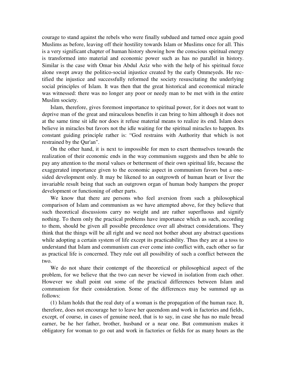courage to stand against the rebels who were finally subdued and turned once again good Muslims as before, leaving off their hostility towards Islam or Muslims once for all. This is a very significant chapter of human history showing how the conscious spiritual energy is transformed into material and economic power such as has no parallel in history. Similar is the case with Omar bin Abdul Aziz who with the help of his spiritual force alone swept away the politico-social injustice created by the early Ommeyeds. He rectified the injustice and successfully reformed the society resuscitating the underlying social principles of Islam. It was then that the great historical and economical miracle was witnessed: there was no longer any poor or needy man to be met with in the entire Muslim society.

Islam, therefore, gives foremost importance to spiritual power, for it does not want to deprive man of the great and miraculous benefits it can bring to him although it does not at the same time sit idle nor does it refuse material means to realize its end. Islam does believe in miracles but favors not the idle waiting for the spiritual miracles to happen. Its constant guiding principle rather is: "God restrains with Authority that which is not restrained by the Qur'an".

On the other hand, it is next to impossible for men to exert themselves towards the realization of their economic ends in the way communism suggests and then be able to pay any attention to the moral values or betterment of their own spiritual life, because the exaggerated importance given to the economic aspect in communism favors but a onesided development only. It may be likened to an outgrowth of human heart or liver the invariable result being that such an outgrown organ of human body hampers the proper development or functioning of other parts.

We know that there are persons who feel aversion from such a philosophical comparison of Islam and communism as we have attempted above, for they believe that such theoretical discussions carry no weight and are rather superfluous and signify nothing. To them only the practical problems have importance which as such, according to them, should be given all possible precedence over all abstract considerations. They think that the things will be all right and we need not bother about any abstract questions while adopting a certain system of life except its practicability. Thus they are at a toss to understand that Islam and communism can ever come into conflict with, each other so far as practical life is concerned. They rule out all possibility of such a conflict between the two.

We do not share their contempt of the theoretical or philosophical aspect of the problem, for we believe that the two can never be viewed in isolation from each other. However we shall point out some of the practical differences between Islam and communism for their consideration. Some of the differences may be summed up as follows:

(1) Islam holds that the real duty of a woman is the propagation of the human race. It, therefore, does not encourage her to leave her queendom and work in factories and fields, except, of course, in cases of genuine need, that is to say, in case she has no male bread earner, be he her father, brother, husband or a near one. But communism makes it obligatory for woman to go out and work in factories or fields for as many hours as the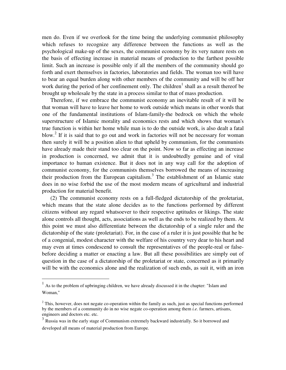men do. Even if we overlook for the time being the underlying communist philosophy which refuses to recognize any difference between the functions as well as the psychological make-up of the sexes, the communist economy by its very nature rests on the basis of effecting increase in material means of production to the farthest possible limit. Such an increase is possible only if all the members of the community should go forth and exert themselves in factories, laboratories and fields. The woman too will have to bear an equal burden along with other members of the community and will be off her work during the period of her confinement only. The children<sup>1</sup> shall as a result thereof be brought up wholesale by the state in a process similar to that of mass production.

Therefore, if we embrace the communist economy an inevitable result of it will be that woman will have to leave her home to work outside which means in other words that one of the fundamental institutions of Islam-family-the bedrock on which the whole superstructure of Islamic morality and economics rests and which shows that woman's true function is within her home while man is to do the outside work, is also dealt a fatal blow.<sup>2</sup> If it is said that to go out and work in factories will not be necessary for woman then surely it will be a position alien to that upheld by communism, for the communists have already made their stand too clear on the point. Now so far as effecting an increase in production is concerned, we admit that it is undoubtedly genuine and of vital importance to human existence. But it does not in any way call for the adoption of communist economy, for the communists themselves borrowed the means of increasing their production from the European capitalism.<sup>3</sup> The establishment of an Islamic state does in no wise forbid the use of the most modern means of agricultural and industrial production for material benefit.

(2) The communist economy rests on a full-fledged dictatorship of the proletariat, which means that the state alone decides as to the functions performed by different citizens without any regard whatsoever to their respective aptitudes or likings. The state alone controls all thought, acts, associations as well as the ends to be realized by them. At this point we must also differentiate between the dictatorship of a single ruler and the dictatorship of the state (proletariat). For, in the case of a ruler it is just possible that he be of a congenial, modest character with the welfare of his country very dear to his heart and may even at times condescend to consult the representatives of the people-real or falsebefore deciding a matter or enacting a law. But all these possibilities are simply out of question in the case of a dictatorship of the proletariat or state, concerned as it primarily will be with the economics alone and the realization of such ends, as suit it, with an iron

 $\overline{a}$ 

 $<sup>1</sup>$  As to the problem of upbringing children, we have already discussed it in the chapter: "Islam and</sup> Woman<sup>"</sup>

 $2$  This, however, does not negate co-operation within the family as such, just as special functions performed by the members of a community do in no wise negate co-operation among them *i.e.* farmers, artisans, engineers and doctors etc. etc.

<sup>&</sup>lt;sup>3</sup> Russia was in the early stage of Communism extremely backward industrially. So it borrowed and developed all means of material production from Europe.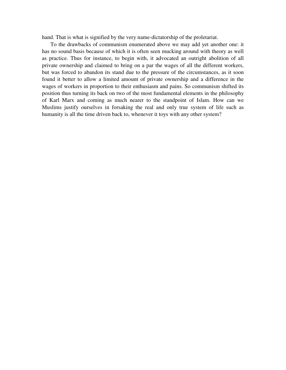hand. That is what is signified by the very name-dictatorship of the proletariat.

To the drawbacks of communism enumerated above we may add yet another one: it has no sound basis because of which it is often seen mucking around with theory as well as practice. Thus for instance, to begin with, it advocated an outright abolition of all private ownership and claimed to bring on a par the wages of all the different workers, but was forced to abandon its stand due to the pressure of the circumstances, as it soon found it better to allow a limited amount of private ownership and a difference in the wages of workers in proportion to their enthusiasm and pains. So communism shifted its position thus turning its back on two of the most fundamental elements in the philosophy of Karl Marx and coming as much nearer to the standpoint of Islam. How can we Muslims justify ourselves in forsaking the real and only true system of life such as humanity is all the time driven back to, whenever it toys with any other system?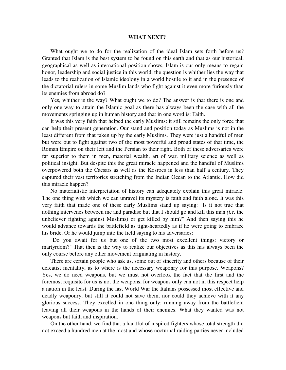#### **WHAT NEXT?**

What ought we to do for the realization of the ideal Islam sets forth before us? Granted that Islam is the best system to be found on this earth and that as our historical, geographical as well as international position shows, Islam is our only means to regain honor, leadership and social justice in this world, the question is whither lies the way that leads to the realization of Islamic ideology in a world hostile to it and in the presence of the dictatorial rulers in some Muslim lands who fight against it even more furiously than its enemies from abroad do?

Yes, whither is the way? What ought we to do? The answer is that there is one and only one way to attain the Islamic goal as there has always been the case with all the movements springing up in human history and that in one word is: Faith.

It was this very faith that helped the early Muslims: it still remains the only force that can help their present generation. Our stand and position today as Muslims is not in the least different from that taken up by the early Muslims. They were just a handful of men but were out to fight against two of the most powerful and proud states of that time, the Roman Empire on their left and the Persian to their right. Both of these adversaries were far superior to them in men, material wealth, art of war, military science as well as political insight. But despite this the great miracle happened and the handful of Muslims overpowered both the Caesars as well as the Kosroes in less than half a century. They captured their vast territories stretching from the Indian Ocean to the Atlantic. How did this miracle happen?

No materialistic interpretation of history can adequately explain this great miracle. The one thing with which we can unravel its mystery is faith and faith alone. It was this very faith that made one of these early Muslims stand up saying: "Is it not true that nothing intervenes between me and paradise but that I should go and kill this man *(i.e.* the unbeliever fighting against Muslims) or get killed by him?" And then saying this he would advance towards the battlefield as tight-heartedly as if he were going to embrace his bride. Or he would jump into the field saying to his adversaries:

"Do you await for us but one of the two most excellent things: victory or martyrdom?" That then is the way to realize our objectives as this has always been the only course before any other movement originating in history.

There are certain people who ask us, some out of sincerity and others because of their defeatist mentality, as to where is the necessary weaponry for this purpose. Weapons? Yes, we do need weapons, but we must not overlook the fact that the first and the foremost requisite for us is not the weapons, for weapons only can not in this respect help a nation in the least. During the last World War the Italians possessed most effective and deadly weaponry, but still it could not save them, nor could they achieve with it any glorious success. They excelled in one thing only: running away from the battlefield leaving all their weapons in the hands of their enemies. What they wanted was not weapons but faith and inspiration.

On the other hand, we find that a handful of inspired fighters whose total strength did not exceed a hundred men at the most and whose nocturnal raiding parties never included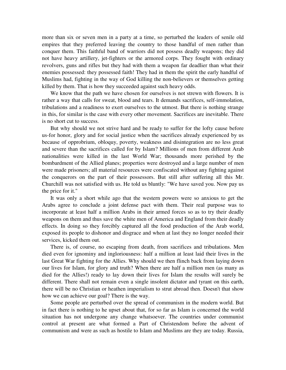more than six or seven men in a party at a time, so perturbed the leaders of senile old empires that they preferred leaving the country to those handful of men rather than conquer them. This faithful band of warriors did not possess deadly weapons; they did not have heavy artillery, jet-fighters or the armored corps. They fought with ordinary revolvers, guns and rifles but they had with them a weapon far deadlier than what their enemies possessed: they possessed faith! They had in them the spirit the early handful of Muslims had, fighting in the way of God killing the non-believers or themselves getting killed by them. That is how they succeeded against such heavy odds.

We know that the path we have chosen for ourselves is not strewn with flowers. It is rather a way that calls for sweat, blood and tears. It demands sacrifices, self-immolation, tribulations and a readiness to exert ourselves to the utmost. But there is nothing strange in this, for similar is the case with every other movement. Sacrifices are inevitable. There is no short cut to success.

But why should we not strive hard and be ready to suffer for the lofty cause before us-for honor, glory and for social justice when the sacrifices already experienced by us because of opprobrium, obloquy, poverty, weakness and disintegration are no less great and severe than the sacrifices called for by Islam? Millions of men from different Arab nationalities were killed in the last World War; thousands more perished by the bombardment of the Allied planes; properties were destroyed and a large number of men were made prisoners; all material resources were confiscated without any fighting against the conquerors on the part of their possessors. But still after suffering all this Mr. Churchill was not satisfied with us. He told us bluntly: "We have saved you. Now pay us the price for it."

It was only a short while ago that the western powers were so anxious to get the Arabs agree to conclude a joint defense pact with them. Their real purpose was to incorporate at least half a million Arabs in their armed forces so as to try their deadly weapons on them and thus save the white men of America and England from their deadly effects. In doing so they forcibly captured all the food production of the Arab world, exposed its people to dishonor and disgrace and when at last they no longer needed their services, kicked them out.

There is, of course, no escaping from death, from sacrifices and tribulations. Men died even for ignominy and ingloriousness: half a million at least laid their lives in the last Great War fighting for the Allies. Why should we then flinch back from laying down our lives for Islam, for glory and truth? When there are half a million men (as many as died for the Allies!) ready to lay down their lives for Islam the results will surely be different. There shall not remain even a single insolent dictator and tyrant on this earth, there will be no Christian or heathen imperialism to strut abroad then. Doesn't that show how we can achieve our goal? There is the way.

Some people are perturbed over the spread of communism in the modern world. But in fact there is nothing to he upset about that, for so far as Islam is concerned the world situation has not undergone any change whatsoever. The countries under communist control at present are what formed a Part of Christendom before the advent of communism and were as such as hostile to Islam and Muslims are they are today. Russia,